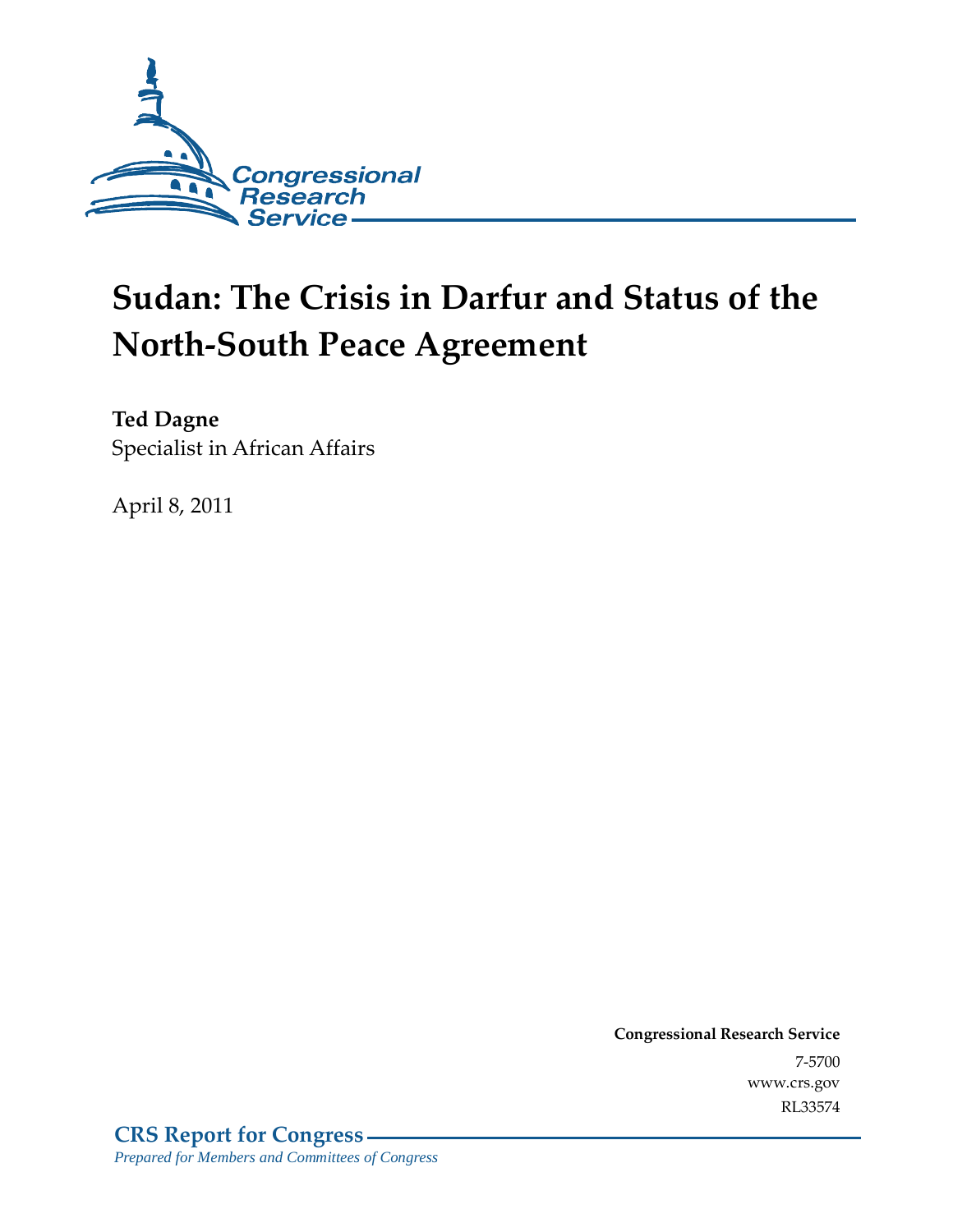

# **Sudan: The Crisis in Darfur and Status of the North-South Peace Agreement**

**Ted Dagne**  Specialist in African Affairs

April 8, 2011

**Congressional Research Service** 7-5700 www.crs.gov RL33574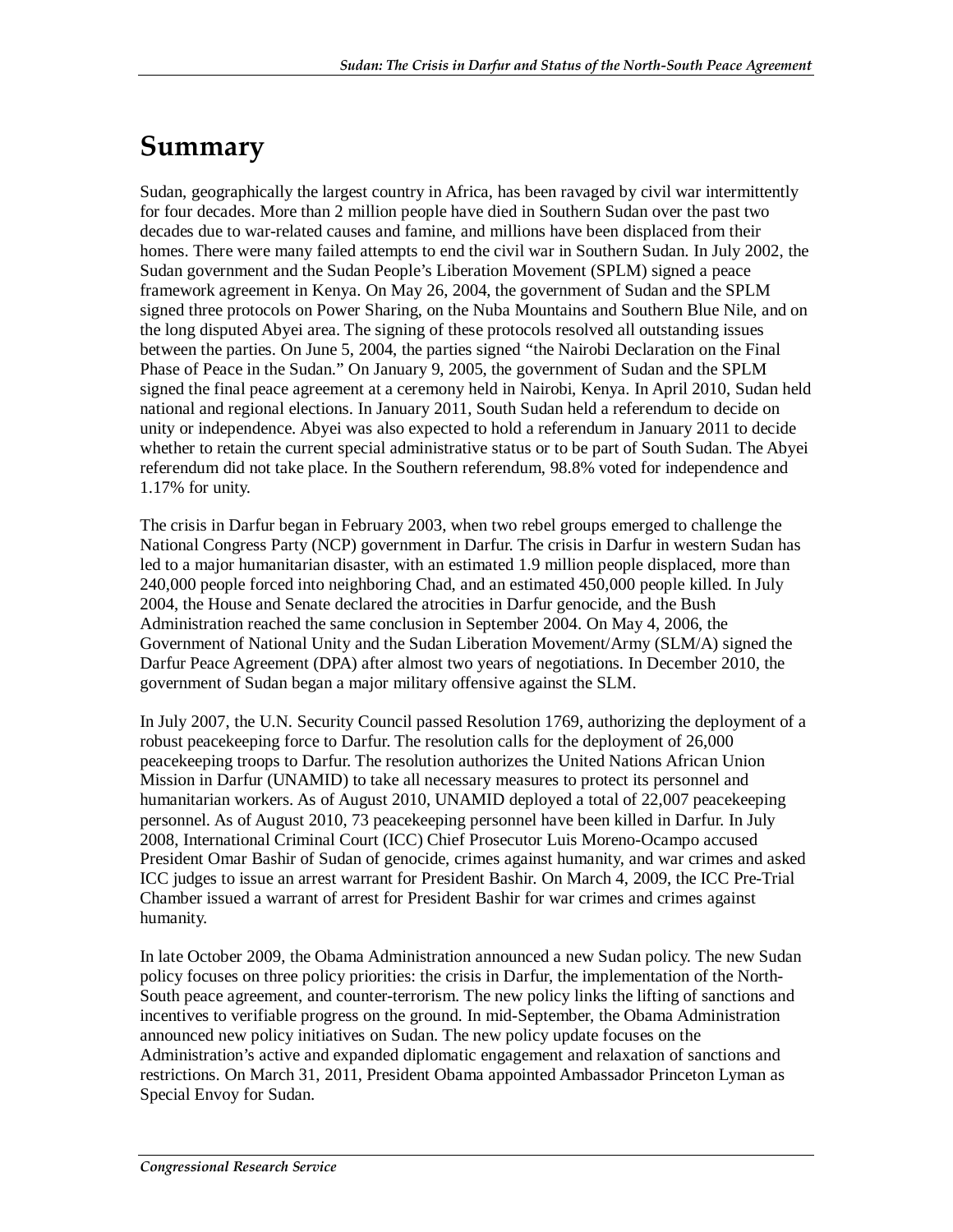## **Summary**

Sudan, geographically the largest country in Africa, has been ravaged by civil war intermittently for four decades. More than 2 million people have died in Southern Sudan over the past two decades due to war-related causes and famine, and millions have been displaced from their homes. There were many failed attempts to end the civil war in Southern Sudan. In July 2002, the Sudan government and the Sudan People's Liberation Movement (SPLM) signed a peace framework agreement in Kenya. On May 26, 2004, the government of Sudan and the SPLM signed three protocols on Power Sharing, on the Nuba Mountains and Southern Blue Nile, and on the long disputed Abyei area. The signing of these protocols resolved all outstanding issues between the parties. On June 5, 2004, the parties signed "the Nairobi Declaration on the Final Phase of Peace in the Sudan." On January 9, 2005, the government of Sudan and the SPLM signed the final peace agreement at a ceremony held in Nairobi, Kenya. In April 2010, Sudan held national and regional elections. In January 2011, South Sudan held a referendum to decide on unity or independence. Abyei was also expected to hold a referendum in January 2011 to decide whether to retain the current special administrative status or to be part of South Sudan. The Abyei referendum did not take place. In the Southern referendum, 98.8% voted for independence and 1.17% for unity.

The crisis in Darfur began in February 2003, when two rebel groups emerged to challenge the National Congress Party (NCP) government in Darfur. The crisis in Darfur in western Sudan has led to a major humanitarian disaster, with an estimated 1.9 million people displaced, more than 240,000 people forced into neighboring Chad, and an estimated 450,000 people killed. In July 2004, the House and Senate declared the atrocities in Darfur genocide, and the Bush Administration reached the same conclusion in September 2004. On May 4, 2006, the Government of National Unity and the Sudan Liberation Movement/Army (SLM/A) signed the Darfur Peace Agreement (DPA) after almost two years of negotiations. In December 2010, the government of Sudan began a major military offensive against the SLM.

In July 2007, the U.N. Security Council passed Resolution 1769, authorizing the deployment of a robust peacekeeping force to Darfur. The resolution calls for the deployment of 26,000 peacekeeping troops to Darfur. The resolution authorizes the United Nations African Union Mission in Darfur (UNAMID) to take all necessary measures to protect its personnel and humanitarian workers. As of August 2010, UNAMID deployed a total of 22,007 peacekeeping personnel. As of August 2010, 73 peacekeeping personnel have been killed in Darfur. In July 2008, International Criminal Court (ICC) Chief Prosecutor Luis Moreno-Ocampo accused President Omar Bashir of Sudan of genocide, crimes against humanity, and war crimes and asked ICC judges to issue an arrest warrant for President Bashir. On March 4, 2009, the ICC Pre-Trial Chamber issued a warrant of arrest for President Bashir for war crimes and crimes against humanity.

In late October 2009, the Obama Administration announced a new Sudan policy. The new Sudan policy focuses on three policy priorities: the crisis in Darfur, the implementation of the North-South peace agreement, and counter-terrorism. The new policy links the lifting of sanctions and incentives to verifiable progress on the ground. In mid-September, the Obama Administration announced new policy initiatives on Sudan. The new policy update focuses on the Administration's active and expanded diplomatic engagement and relaxation of sanctions and restrictions. On March 31, 2011, President Obama appointed Ambassador Princeton Lyman as Special Envoy for Sudan.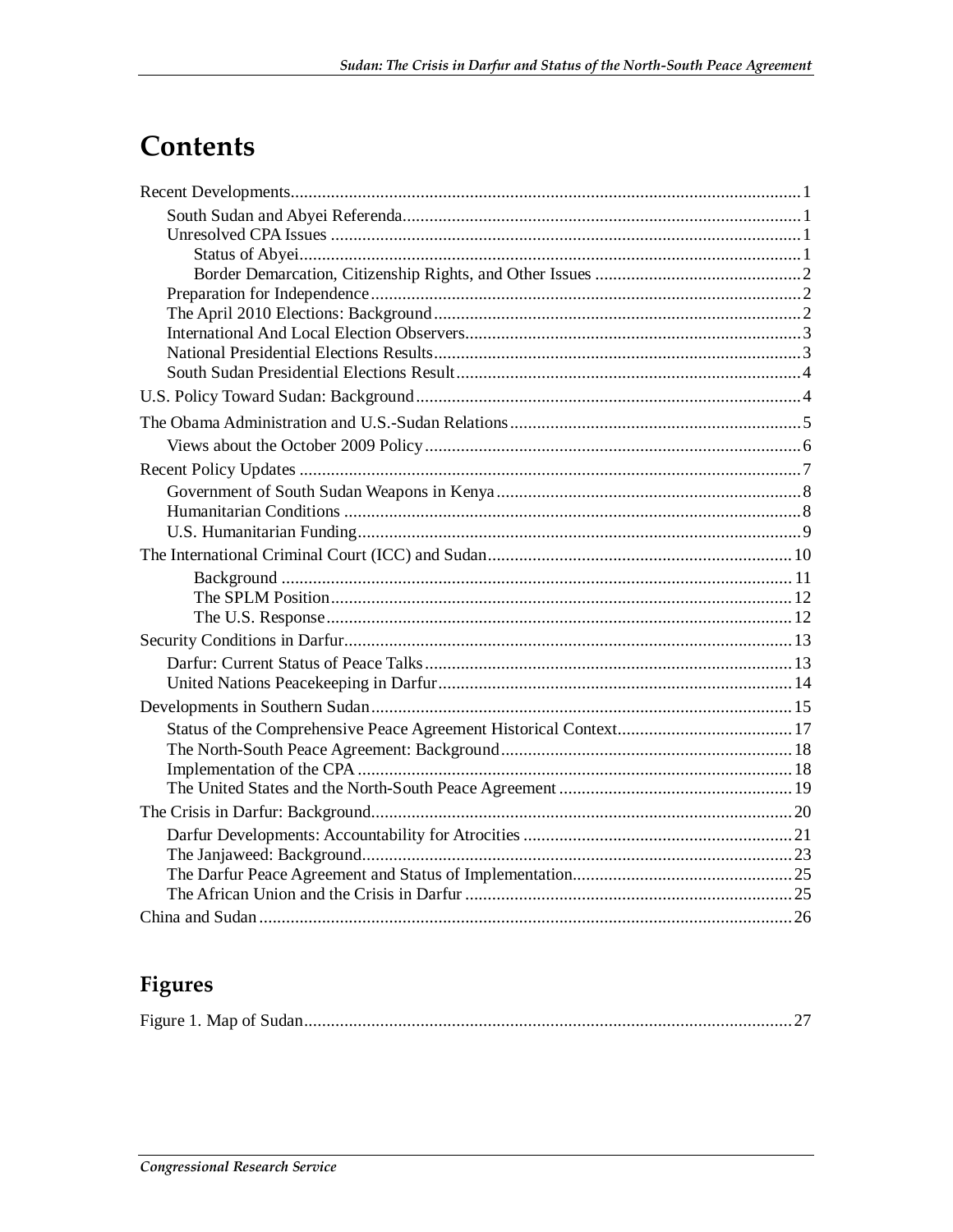## Contents

## Figures

|--|--|--|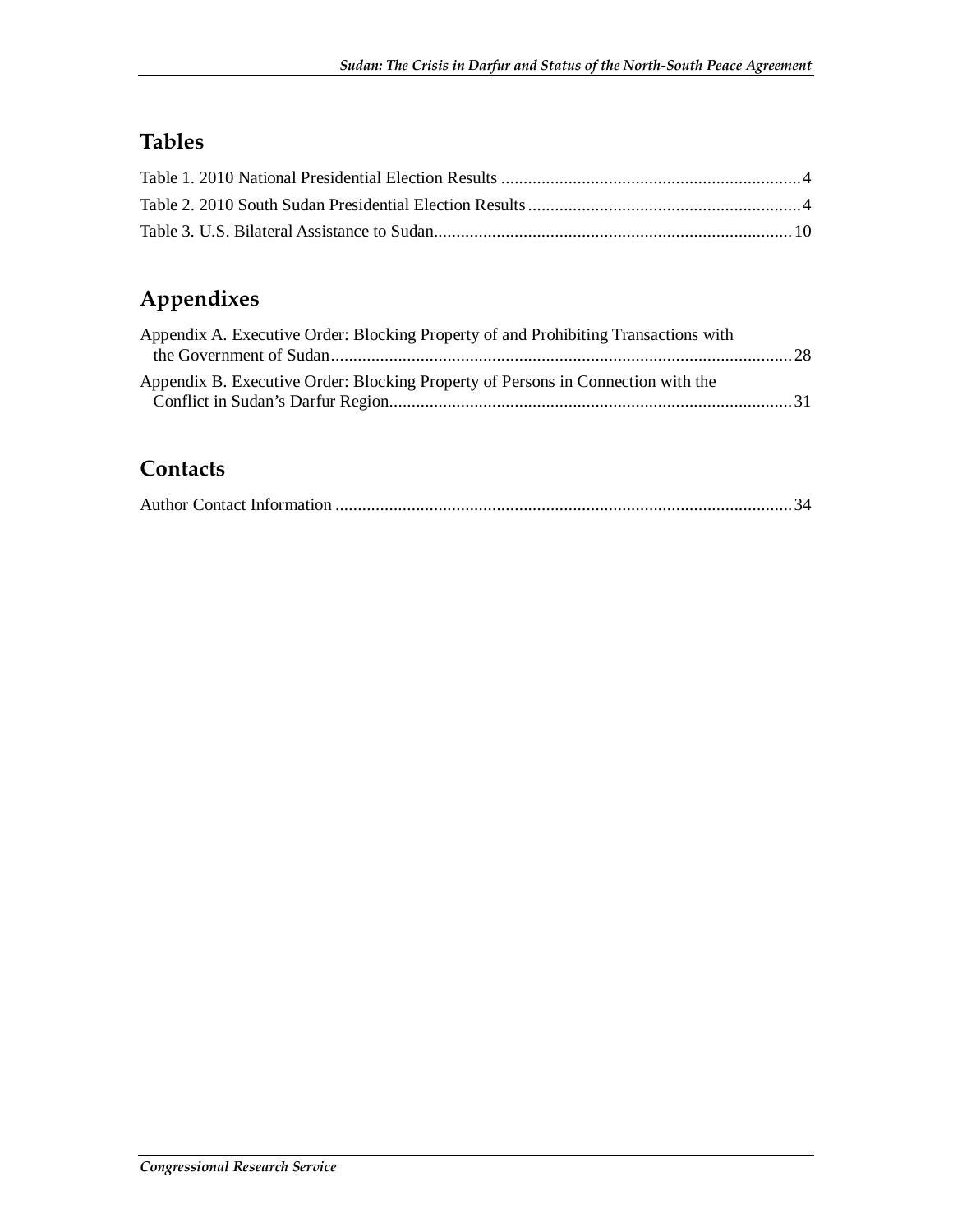## **Tables**

## **Appendixes**

| Appendix A. Executive Order: Blocking Property of and Prohibiting Transactions with |  |
|-------------------------------------------------------------------------------------|--|
| Appendix B. Executive Order: Blocking Property of Persons in Connection with the    |  |

## **Contacts**

|--|--|--|--|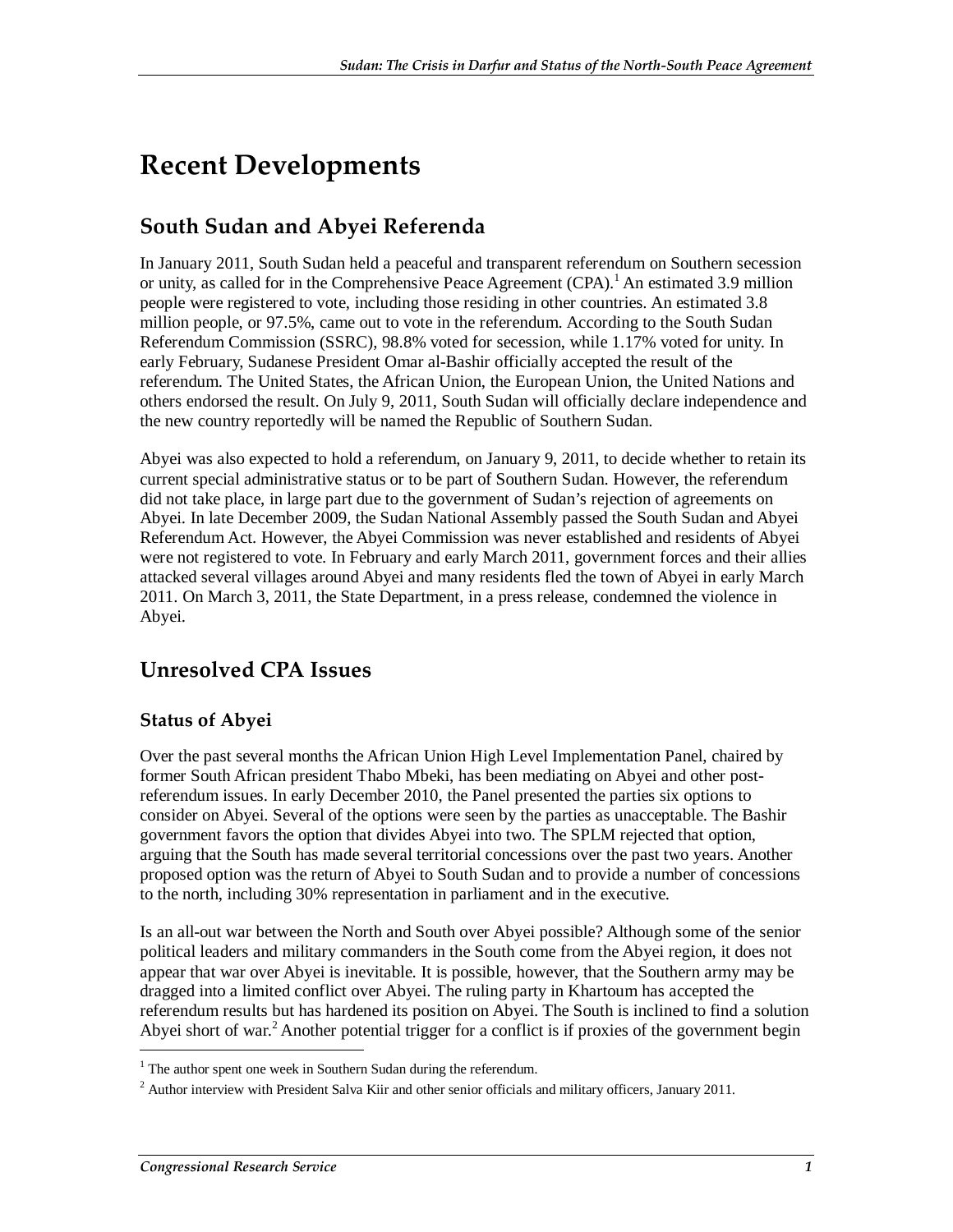## **Recent Developments**

## **South Sudan and Abyei Referenda**

In January 2011, South Sudan held a peaceful and transparent referendum on Southern secession or unity, as called for in the Comprehensive Peace Agreement (CPA).<sup>1</sup> An estimated 3.9 million people were registered to vote, including those residing in other countries. An estimated 3.8 million people, or 97.5%, came out to vote in the referendum. According to the South Sudan Referendum Commission (SSRC), 98.8% voted for secession, while 1.17% voted for unity. In early February, Sudanese President Omar al-Bashir officially accepted the result of the referendum. The United States, the African Union, the European Union, the United Nations and others endorsed the result. On July 9, 2011, South Sudan will officially declare independence and the new country reportedly will be named the Republic of Southern Sudan.

Abyei was also expected to hold a referendum, on January 9, 2011, to decide whether to retain its current special administrative status or to be part of Southern Sudan. However, the referendum did not take place, in large part due to the government of Sudan's rejection of agreements on Abyei. In late December 2009, the Sudan National Assembly passed the South Sudan and Abyei Referendum Act. However, the Abyei Commission was never established and residents of Abyei were not registered to vote. In February and early March 2011, government forces and their allies attacked several villages around Abyei and many residents fled the town of Abyei in early March 2011. On March 3, 2011, the State Department, in a press release, condemned the violence in Abyei.

## **Unresolved CPA Issues**

#### **Status of Abyei**

Over the past several months the African Union High Level Implementation Panel, chaired by former South African president Thabo Mbeki, has been mediating on Abyei and other postreferendum issues. In early December 2010, the Panel presented the parties six options to consider on Abyei. Several of the options were seen by the parties as unacceptable. The Bashir government favors the option that divides Abyei into two. The SPLM rejected that option, arguing that the South has made several territorial concessions over the past two years. Another proposed option was the return of Abyei to South Sudan and to provide a number of concessions to the north, including 30% representation in parliament and in the executive.

Is an all-out war between the North and South over Abyei possible? Although some of the senior political leaders and military commanders in the South come from the Abyei region, it does not appear that war over Abyei is inevitable. It is possible, however, that the Southern army may be dragged into a limited conflict over Abyei. The ruling party in Khartoum has accepted the referendum results but has hardened its position on Abyei. The South is inclined to find a solution Abyei short of war. $^{2}$  Another potential trigger for a conflict is if proxies of the government begin

<sup>&</sup>lt;sup>1</sup> The author spent one week in Southern Sudan during the referendum.

 $2$  Author interview with President Salva Kiir and other senior officials and military officers, January 2011.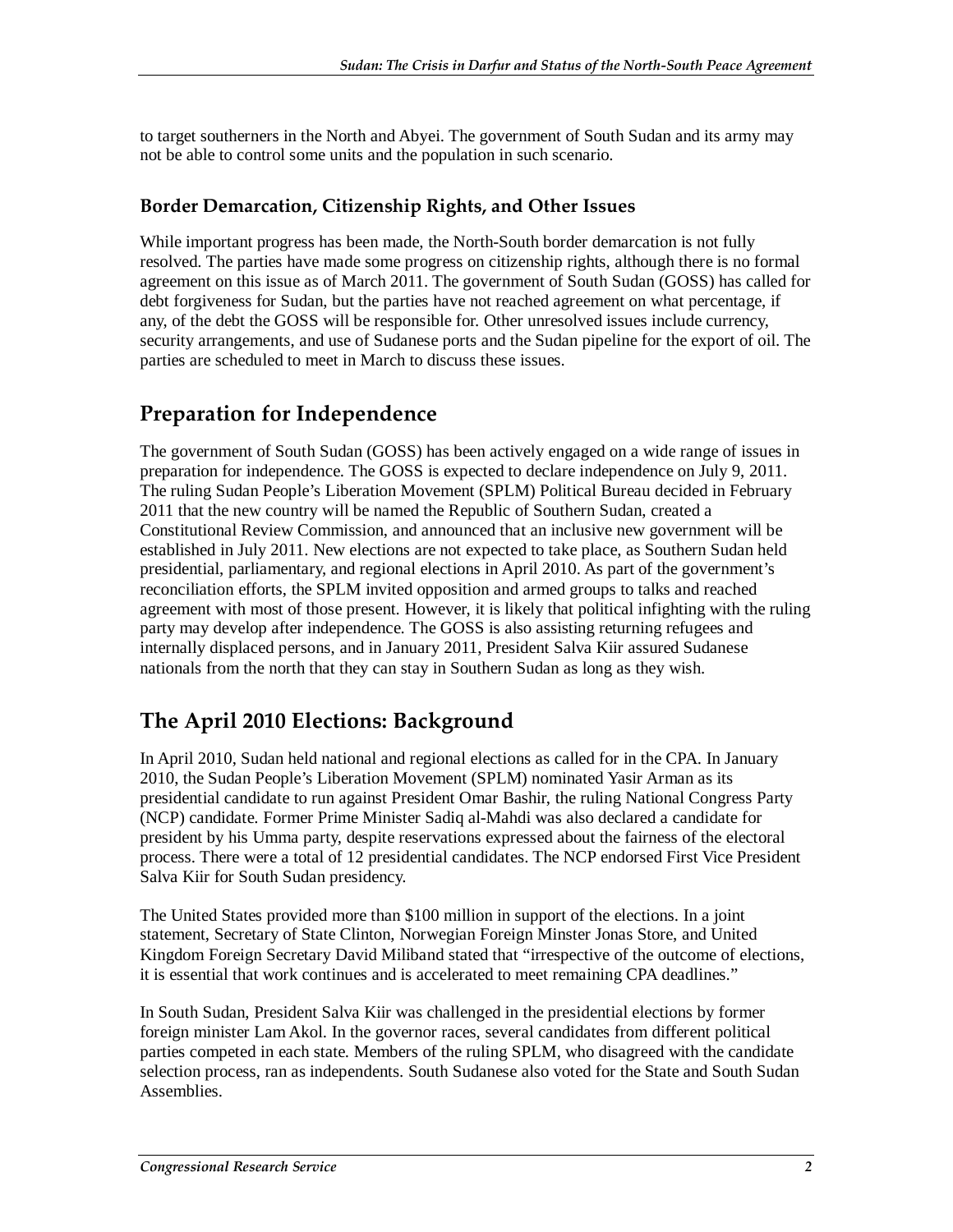to target southerners in the North and Abyei. The government of South Sudan and its army may not be able to control some units and the population in such scenario.

#### **Border Demarcation, Citizenship Rights, and Other Issues**

While important progress has been made, the North-South border demarcation is not fully resolved. The parties have made some progress on citizenship rights, although there is no formal agreement on this issue as of March 2011. The government of South Sudan (GOSS) has called for debt forgiveness for Sudan, but the parties have not reached agreement on what percentage, if any, of the debt the GOSS will be responsible for. Other unresolved issues include currency, security arrangements, and use of Sudanese ports and the Sudan pipeline for the export of oil. The parties are scheduled to meet in March to discuss these issues.

## **Preparation for Independence**

The government of South Sudan (GOSS) has been actively engaged on a wide range of issues in preparation for independence. The GOSS is expected to declare independence on July 9, 2011. The ruling Sudan People's Liberation Movement (SPLM) Political Bureau decided in February 2011 that the new country will be named the Republic of Southern Sudan, created a Constitutional Review Commission, and announced that an inclusive new government will be established in July 2011. New elections are not expected to take place, as Southern Sudan held presidential, parliamentary, and regional elections in April 2010. As part of the government's reconciliation efforts, the SPLM invited opposition and armed groups to talks and reached agreement with most of those present. However, it is likely that political infighting with the ruling party may develop after independence. The GOSS is also assisting returning refugees and internally displaced persons, and in January 2011, President Salva Kiir assured Sudanese nationals from the north that they can stay in Southern Sudan as long as they wish.

## **The April 2010 Elections: Background**

In April 2010, Sudan held national and regional elections as called for in the CPA. In January 2010, the Sudan People's Liberation Movement (SPLM) nominated Yasir Arman as its presidential candidate to run against President Omar Bashir, the ruling National Congress Party (NCP) candidate. Former Prime Minister Sadiq al-Mahdi was also declared a candidate for president by his Umma party, despite reservations expressed about the fairness of the electoral process. There were a total of 12 presidential candidates. The NCP endorsed First Vice President Salva Kiir for South Sudan presidency.

The United States provided more than \$100 million in support of the elections. In a joint statement, Secretary of State Clinton, Norwegian Foreign Minster Jonas Store, and United Kingdom Foreign Secretary David Miliband stated that "irrespective of the outcome of elections, it is essential that work continues and is accelerated to meet remaining CPA deadlines."

In South Sudan, President Salva Kiir was challenged in the presidential elections by former foreign minister Lam Akol. In the governor races, several candidates from different political parties competed in each state. Members of the ruling SPLM, who disagreed with the candidate selection process, ran as independents. South Sudanese also voted for the State and South Sudan Assemblies.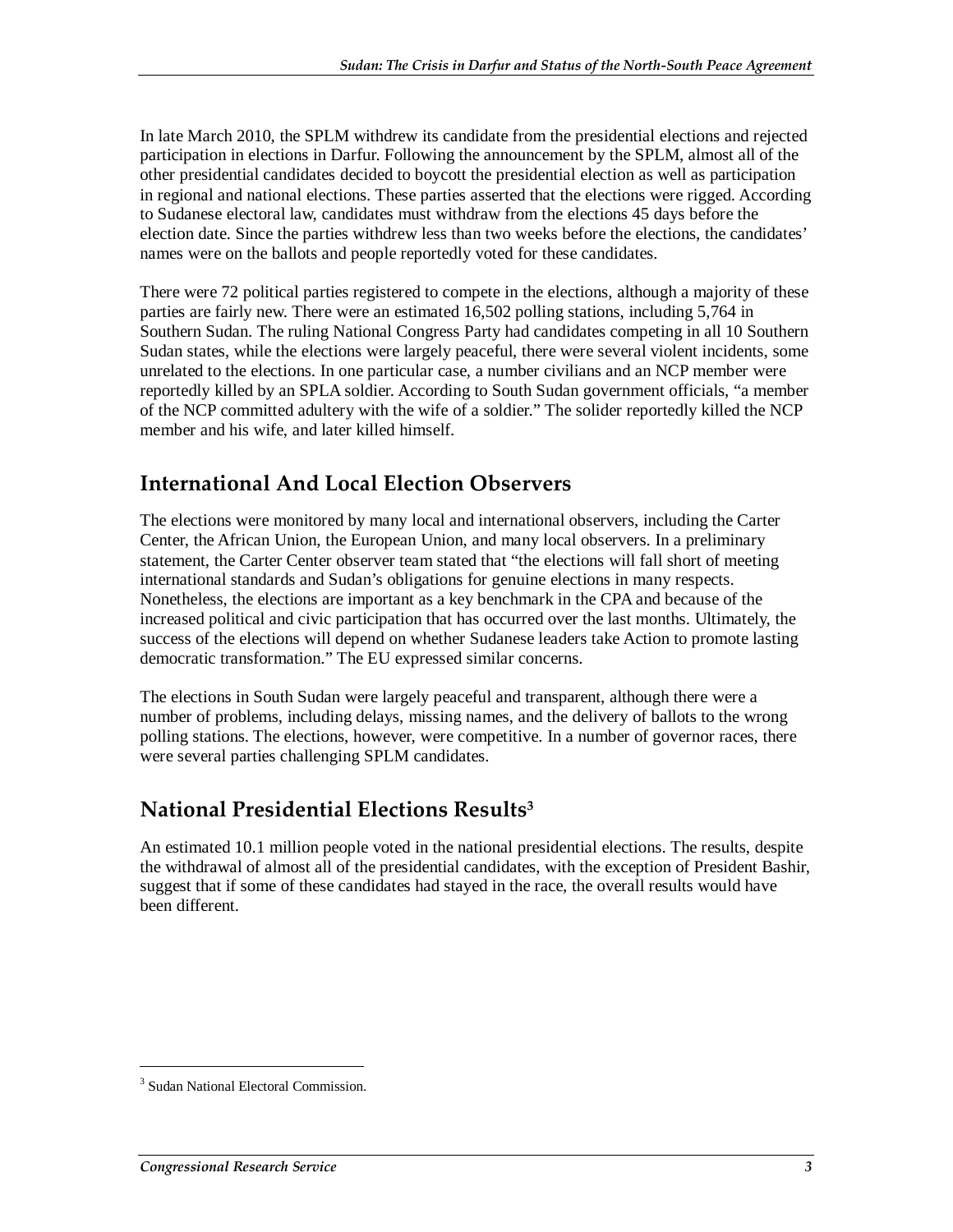In late March 2010, the SPLM withdrew its candidate from the presidential elections and rejected participation in elections in Darfur. Following the announcement by the SPLM, almost all of the other presidential candidates decided to boycott the presidential election as well as participation in regional and national elections. These parties asserted that the elections were rigged. According to Sudanese electoral law, candidates must withdraw from the elections 45 days before the election date. Since the parties withdrew less than two weeks before the elections, the candidates' names were on the ballots and people reportedly voted for these candidates.

There were 72 political parties registered to compete in the elections, although a majority of these parties are fairly new. There were an estimated 16,502 polling stations, including 5,764 in Southern Sudan. The ruling National Congress Party had candidates competing in all 10 Southern Sudan states, while the elections were largely peaceful, there were several violent incidents, some unrelated to the elections. In one particular case, a number civilians and an NCP member were reportedly killed by an SPLA soldier. According to South Sudan government officials, "a member of the NCP committed adultery with the wife of a soldier." The solider reportedly killed the NCP member and his wife, and later killed himself.

### **International And Local Election Observers**

The elections were monitored by many local and international observers, including the Carter Center, the African Union, the European Union, and many local observers. In a preliminary statement, the Carter Center observer team stated that "the elections will fall short of meeting international standards and Sudan's obligations for genuine elections in many respects. Nonetheless, the elections are important as a key benchmark in the CPA and because of the increased political and civic participation that has occurred over the last months. Ultimately, the success of the elections will depend on whether Sudanese leaders take Action to promote lasting democratic transformation." The EU expressed similar concerns.

The elections in South Sudan were largely peaceful and transparent, although there were a number of problems, including delays, missing names, and the delivery of ballots to the wrong polling stations. The elections, however, were competitive. In a number of governor races, there were several parties challenging SPLM candidates.

### **National Presidential Elections Results3**

An estimated 10.1 million people voted in the national presidential elections. The results, despite the withdrawal of almost all of the presidential candidates, with the exception of President Bashir, suggest that if some of these candidates had stayed in the race, the overall results would have been different.

<sup>3</sup> Sudan National Electoral Commission.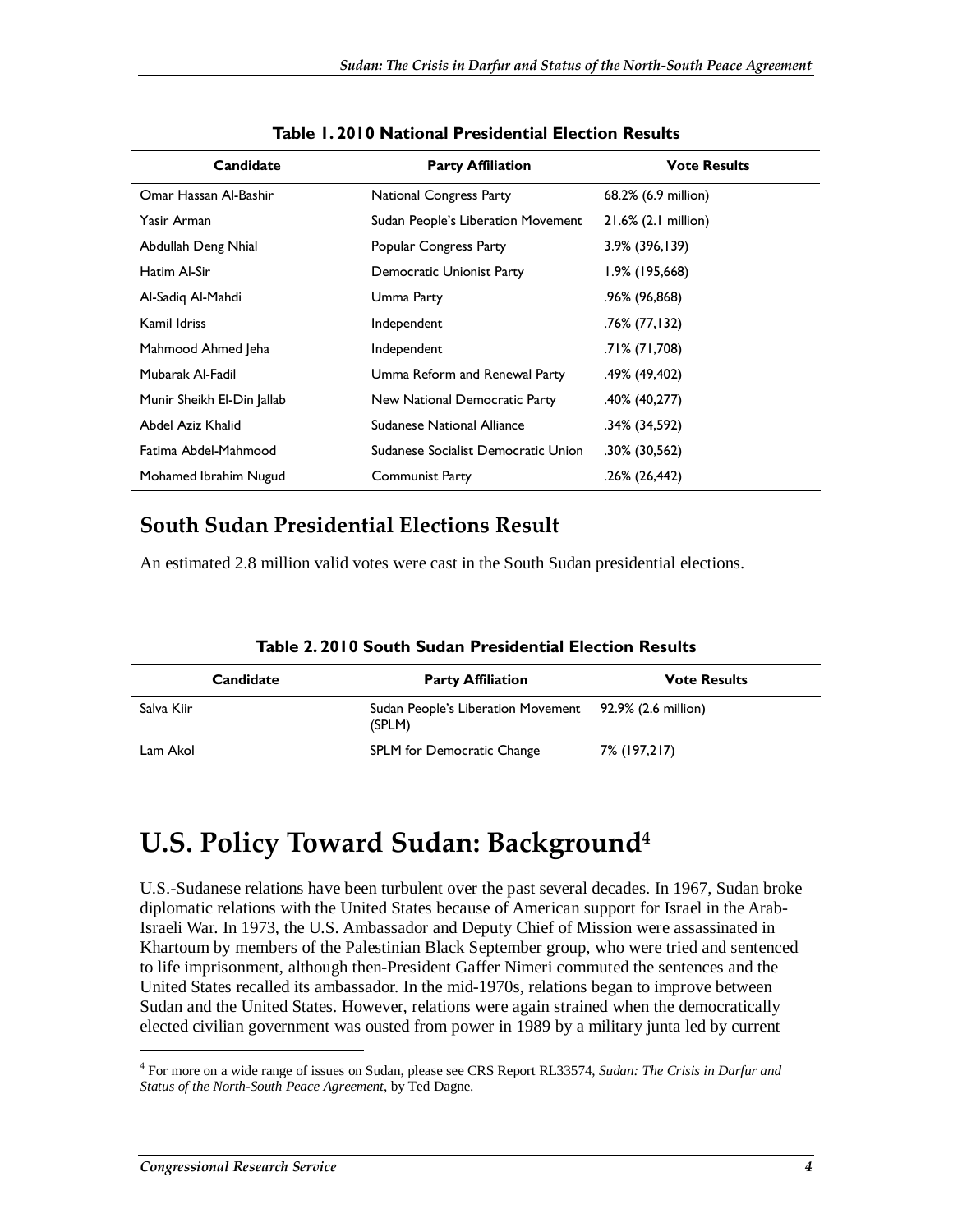| Candidate<br><b>Party Affiliation</b> |                                     | <b>Vote Results</b> |
|---------------------------------------|-------------------------------------|---------------------|
| Omar Hassan Al-Bashir                 | <b>National Congress Party</b>      | 68.2% (6.9 million) |
| Yasir Arman                           | Sudan People's Liberation Movement  | 21.6% (2.1 million) |
| Abdullah Deng Nhial                   | Popular Congress Party              | 3.9% (396,139)      |
| Hatim Al-Sir                          | Democratic Unionist Party           | I.9% (195,668)      |
| Al-Sadig Al-Mahdi                     | Umma Party                          | .96% (96,868)       |
| Kamil Idriss                          | Independent                         | .76% (77,132)       |
| Mahmood Ahmed Jeha                    | Independent                         | .71% (71,708)       |
| Mubarak Al-Fadil                      | Umma Reform and Renewal Party       | .49% (49,402)       |
| Munir Sheikh El-Din Jallab            | New National Democratic Party       | .40% (40,277)       |
| Abdel Aziz Khalid                     | Sudanese National Alliance          | .34% (34,592)       |
| Fatima Abdel-Mahmood                  | Sudanese Socialist Democratic Union | .30% (30,562)       |
| Mohamed Ibrahim Nugud                 | Communist Party                     | .26% (26,442)       |

**Table 1. 2010 National Presidential Election Results** 

#### **South Sudan Presidential Elections Result**

An estimated 2.8 million valid votes were cast in the South Sudan presidential elections.

| Candidate  | <b>Party Affiliation</b>                     | <b>Vote Results</b> |  |  |
|------------|----------------------------------------------|---------------------|--|--|
| Salva Kiir | Sudan People's Liberation Movement<br>(SPLM) | 92.9% (2.6 million) |  |  |
| Lam Akol   | SPLM for Democratic Change                   | 7% (197,217)        |  |  |

**Table 2. 2010 South Sudan Presidential Election Results** 

## **U.S. Policy Toward Sudan: Background4**

U.S.-Sudanese relations have been turbulent over the past several decades. In 1967, Sudan broke diplomatic relations with the United States because of American support for Israel in the Arab-Israeli War. In 1973, the U.S. Ambassador and Deputy Chief of Mission were assassinated in Khartoum by members of the Palestinian Black September group, who were tried and sentenced to life imprisonment, although then-President Gaffer Nimeri commuted the sentences and the United States recalled its ambassador. In the mid-1970s, relations began to improve between Sudan and the United States. However, relations were again strained when the democratically elected civilian government was ousted from power in 1989 by a military junta led by current

<sup>4</sup> For more on a wide range of issues on Sudan, please see CRS Report RL33574, *Sudan: The Crisis in Darfur and Status of the North-South Peace Agreement*, by Ted Dagne.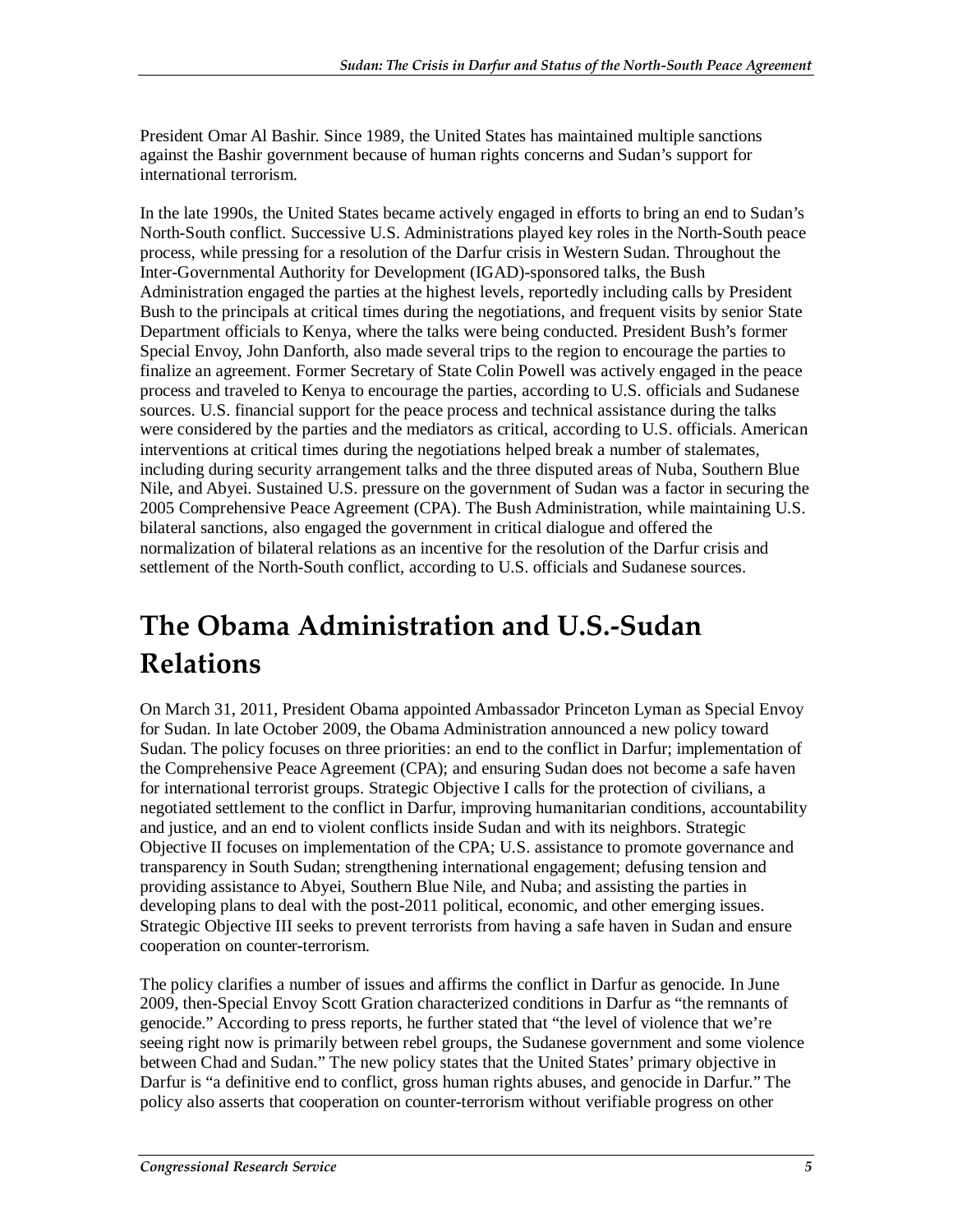President Omar Al Bashir. Since 1989, the United States has maintained multiple sanctions against the Bashir government because of human rights concerns and Sudan's support for international terrorism.

In the late 1990s, the United States became actively engaged in efforts to bring an end to Sudan's North-South conflict. Successive U.S. Administrations played key roles in the North-South peace process, while pressing for a resolution of the Darfur crisis in Western Sudan. Throughout the Inter-Governmental Authority for Development (IGAD)-sponsored talks, the Bush Administration engaged the parties at the highest levels, reportedly including calls by President Bush to the principals at critical times during the negotiations, and frequent visits by senior State Department officials to Kenya, where the talks were being conducted. President Bush's former Special Envoy, John Danforth, also made several trips to the region to encourage the parties to finalize an agreement. Former Secretary of State Colin Powell was actively engaged in the peace process and traveled to Kenya to encourage the parties, according to U.S. officials and Sudanese sources. U.S. financial support for the peace process and technical assistance during the talks were considered by the parties and the mediators as critical, according to U.S. officials. American interventions at critical times during the negotiations helped break a number of stalemates, including during security arrangement talks and the three disputed areas of Nuba, Southern Blue Nile, and Abyei. Sustained U.S. pressure on the government of Sudan was a factor in securing the 2005 Comprehensive Peace Agreement (CPA). The Bush Administration, while maintaining U.S. bilateral sanctions, also engaged the government in critical dialogue and offered the normalization of bilateral relations as an incentive for the resolution of the Darfur crisis and settlement of the North-South conflict, according to U.S. officials and Sudanese sources.

## **The Obama Administration and U.S.-Sudan Relations**

On March 31, 2011, President Obama appointed Ambassador Princeton Lyman as Special Envoy for Sudan. In late October 2009, the Obama Administration announced a new policy toward Sudan. The policy focuses on three priorities: an end to the conflict in Darfur; implementation of the Comprehensive Peace Agreement (CPA); and ensuring Sudan does not become a safe haven for international terrorist groups. Strategic Objective I calls for the protection of civilians, a negotiated settlement to the conflict in Darfur, improving humanitarian conditions, accountability and justice, and an end to violent conflicts inside Sudan and with its neighbors. Strategic Objective II focuses on implementation of the CPA; U.S. assistance to promote governance and transparency in South Sudan; strengthening international engagement; defusing tension and providing assistance to Abyei, Southern Blue Nile, and Nuba; and assisting the parties in developing plans to deal with the post-2011 political, economic, and other emerging issues. Strategic Objective III seeks to prevent terrorists from having a safe haven in Sudan and ensure cooperation on counter-terrorism.

The policy clarifies a number of issues and affirms the conflict in Darfur as genocide. In June 2009, then-Special Envoy Scott Gration characterized conditions in Darfur as "the remnants of genocide." According to press reports, he further stated that "the level of violence that we're seeing right now is primarily between rebel groups, the Sudanese government and some violence between Chad and Sudan." The new policy states that the United States' primary objective in Darfur is "a definitive end to conflict, gross human rights abuses, and genocide in Darfur." The policy also asserts that cooperation on counter-terrorism without verifiable progress on other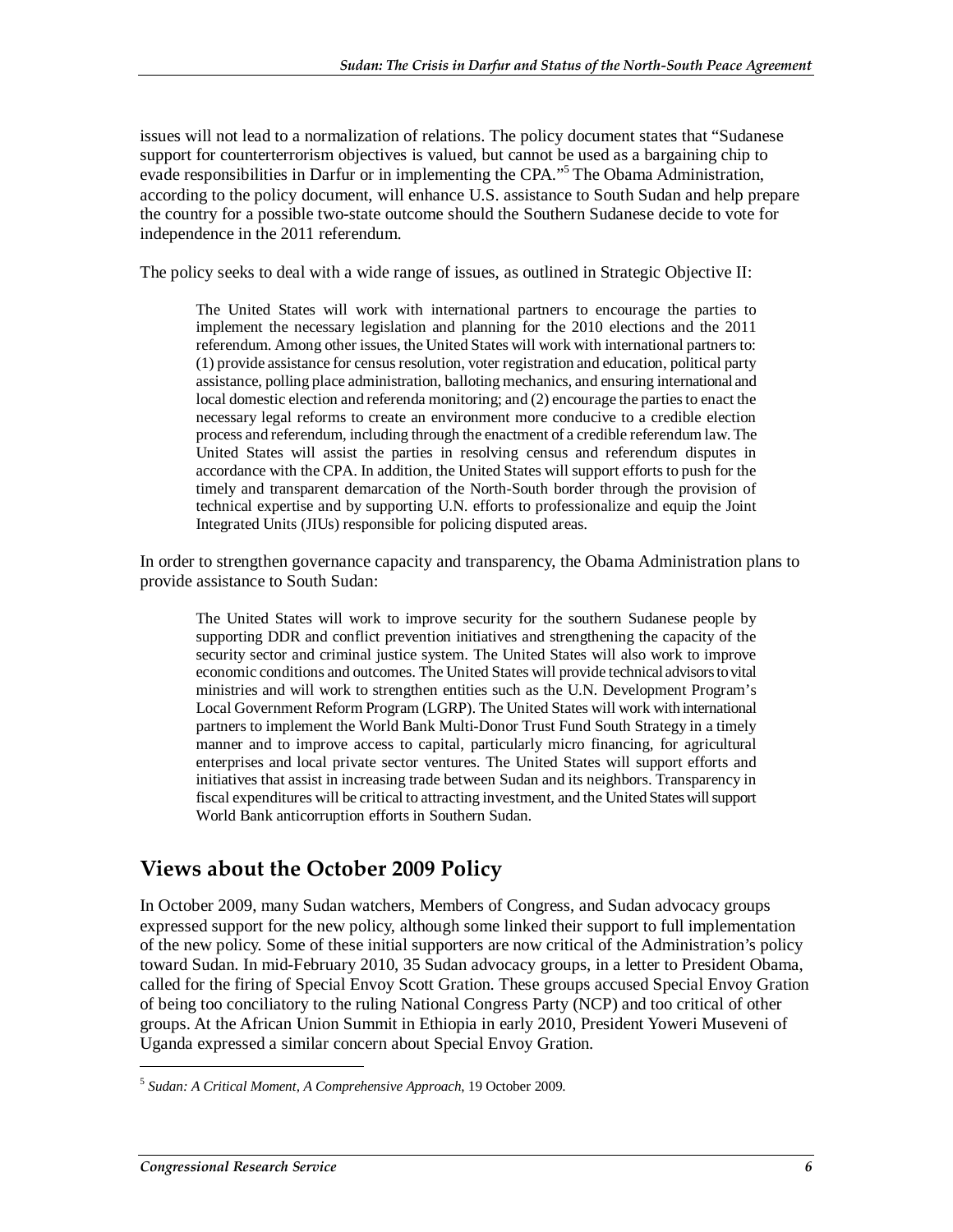issues will not lead to a normalization of relations. The policy document states that "Sudanese support for counterterrorism objectives is valued, but cannot be used as a bargaining chip to evade responsibilities in Darfur or in implementing the CPA."<sup>5</sup> The Obama Administration, according to the policy document, will enhance U.S. assistance to South Sudan and help prepare the country for a possible two-state outcome should the Southern Sudanese decide to vote for independence in the 2011 referendum.

The policy seeks to deal with a wide range of issues, as outlined in Strategic Objective II:

The United States will work with international partners to encourage the parties to implement the necessary legislation and planning for the 2010 elections and the 2011 referendum. Among other issues, the United States will work with international partners to: (1) provide assistance for census resolution, voter registration and education, political party assistance, polling place administration, balloting mechanics, and ensuring international and local domestic election and referenda monitoring; and (2) encourage the parties to enact the necessary legal reforms to create an environment more conducive to a credible election process and referendum, including through the enactment of a credible referendum law. The United States will assist the parties in resolving census and referendum disputes in accordance with the CPA. In addition, the United States will support efforts to push for the timely and transparent demarcation of the North-South border through the provision of technical expertise and by supporting U.N. efforts to professionalize and equip the Joint Integrated Units (JIUs) responsible for policing disputed areas.

In order to strengthen governance capacity and transparency, the Obama Administration plans to provide assistance to South Sudan:

The United States will work to improve security for the southern Sudanese people by supporting DDR and conflict prevention initiatives and strengthening the capacity of the security sector and criminal justice system. The United States will also work to improve economic conditions and outcomes. The United States will provide technical advisors to vital ministries and will work to strengthen entities such as the U.N. Development Program's Local Government Reform Program (LGRP). The United States will work with international partners to implement the World Bank Multi-Donor Trust Fund South Strategy in a timely manner and to improve access to capital, particularly micro financing, for agricultural enterprises and local private sector ventures. The United States will support efforts and initiatives that assist in increasing trade between Sudan and its neighbors. Transparency in fiscal expenditures will be critical to attracting investment, and the United States will support World Bank anticorruption efforts in Southern Sudan.

### **Views about the October 2009 Policy**

In October 2009, many Sudan watchers, Members of Congress, and Sudan advocacy groups expressed support for the new policy, although some linked their support to full implementation of the new policy. Some of these initial supporters are now critical of the Administration's policy toward Sudan. In mid-February 2010, 35 Sudan advocacy groups, in a letter to President Obama, called for the firing of Special Envoy Scott Gration. These groups accused Special Envoy Gration of being too conciliatory to the ruling National Congress Party (NCP) and too critical of other groups. At the African Union Summit in Ethiopia in early 2010, President Yoweri Museveni of Uganda expressed a similar concern about Special Envoy Gration.

<sup>5</sup> *Sudan: A Critical Moment, A Comprehensive Approach*, 19 October 2009.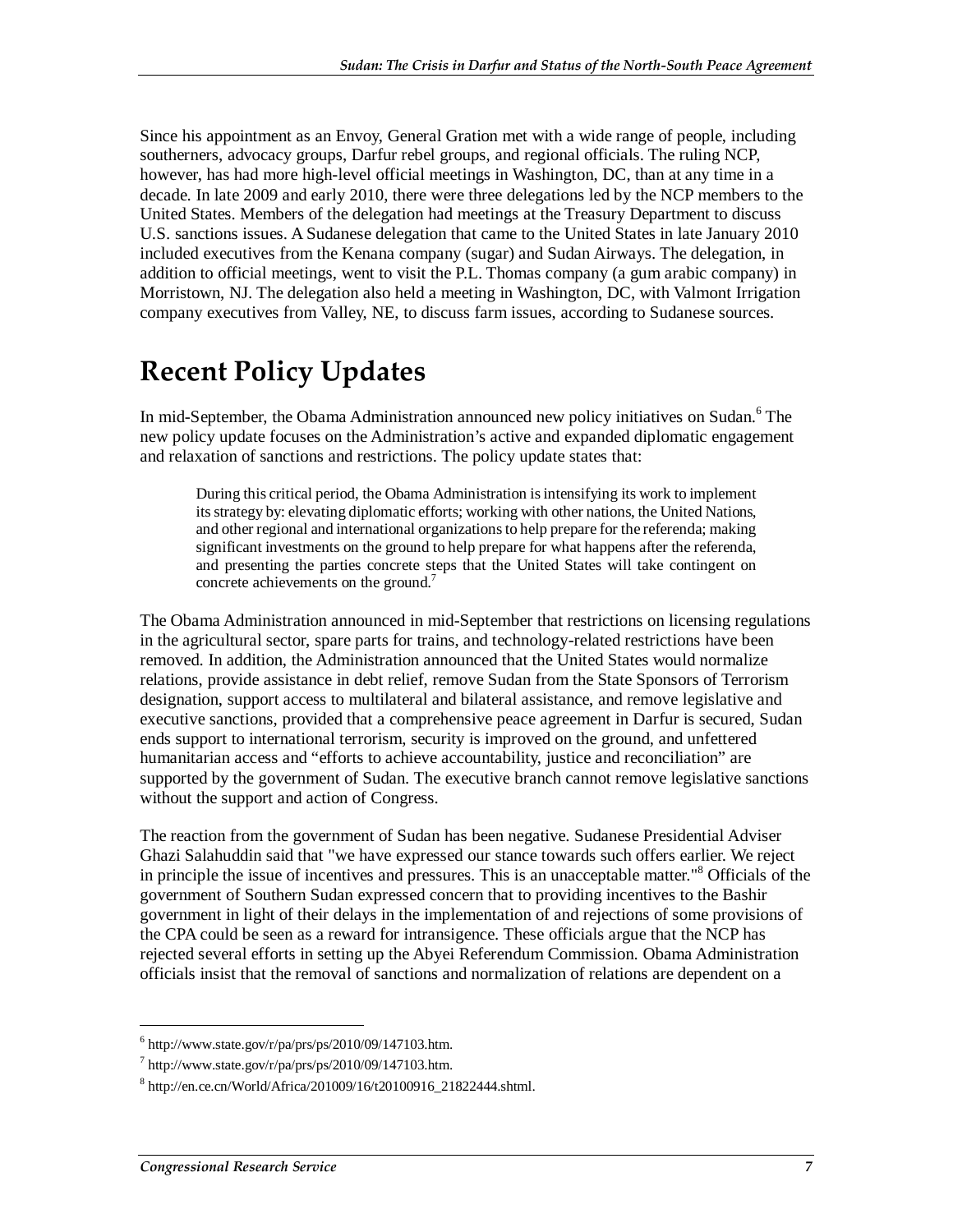Since his appointment as an Envoy, General Gration met with a wide range of people, including southerners, advocacy groups, Darfur rebel groups, and regional officials. The ruling NCP, however, has had more high-level official meetings in Washington, DC, than at any time in a decade. In late 2009 and early 2010, there were three delegations led by the NCP members to the United States. Members of the delegation had meetings at the Treasury Department to discuss U.S. sanctions issues. A Sudanese delegation that came to the United States in late January 2010 included executives from the Kenana company (sugar) and Sudan Airways. The delegation, in addition to official meetings, went to visit the P.L. Thomas company (a gum arabic company) in Morristown, NJ. The delegation also held a meeting in Washington, DC, with Valmont Irrigation company executives from Valley, NE, to discuss farm issues, according to Sudanese sources.

## **Recent Policy Updates**

In mid-September, the Obama Administration announced new policy initiatives on Sudan.<sup>6</sup> The new policy update focuses on the Administration's active and expanded diplomatic engagement and relaxation of sanctions and restrictions. The policy update states that:

During this critical period, the Obama Administration is intensifying its work to implement its strategy by: elevating diplomatic efforts; working with other nations, the United Nations, and other regional and international organizations to help prepare for the referenda; making significant investments on the ground to help prepare for what happens after the referenda, and presenting the parties concrete steps that the United States will take contingent on concrete achievements on the ground.<sup>7</sup>

The Obama Administration announced in mid-September that restrictions on licensing regulations in the agricultural sector, spare parts for trains, and technology-related restrictions have been removed. In addition, the Administration announced that the United States would normalize relations, provide assistance in debt relief, remove Sudan from the State Sponsors of Terrorism designation, support access to multilateral and bilateral assistance, and remove legislative and executive sanctions, provided that a comprehensive peace agreement in Darfur is secured, Sudan ends support to international terrorism, security is improved on the ground, and unfettered humanitarian access and "efforts to achieve accountability, justice and reconciliation" are supported by the government of Sudan. The executive branch cannot remove legislative sanctions without the support and action of Congress.

The reaction from the government of Sudan has been negative. Sudanese Presidential Adviser Ghazi Salahuddin said that "we have expressed our stance towards such offers earlier. We reject in principle the issue of incentives and pressures. This is an unacceptable matter."<sup>8</sup> Officials of the government of Southern Sudan expressed concern that to providing incentives to the Bashir government in light of their delays in the implementation of and rejections of some provisions of the CPA could be seen as a reward for intransigence. These officials argue that the NCP has rejected several efforts in setting up the Abyei Referendum Commission. Obama Administration officials insist that the removal of sanctions and normalization of relations are dependent on a

 $6$  http://www.state.gov/r/pa/prs/ps/2010/09/147103.htm.

 $^7$  http://www.state.gov/r/pa/prs/ps/2010/09/147103.htm.

 $8 \text{ http://en.ee.cn/World/Africa/201009/16/t20100916_21822444.s.html.}$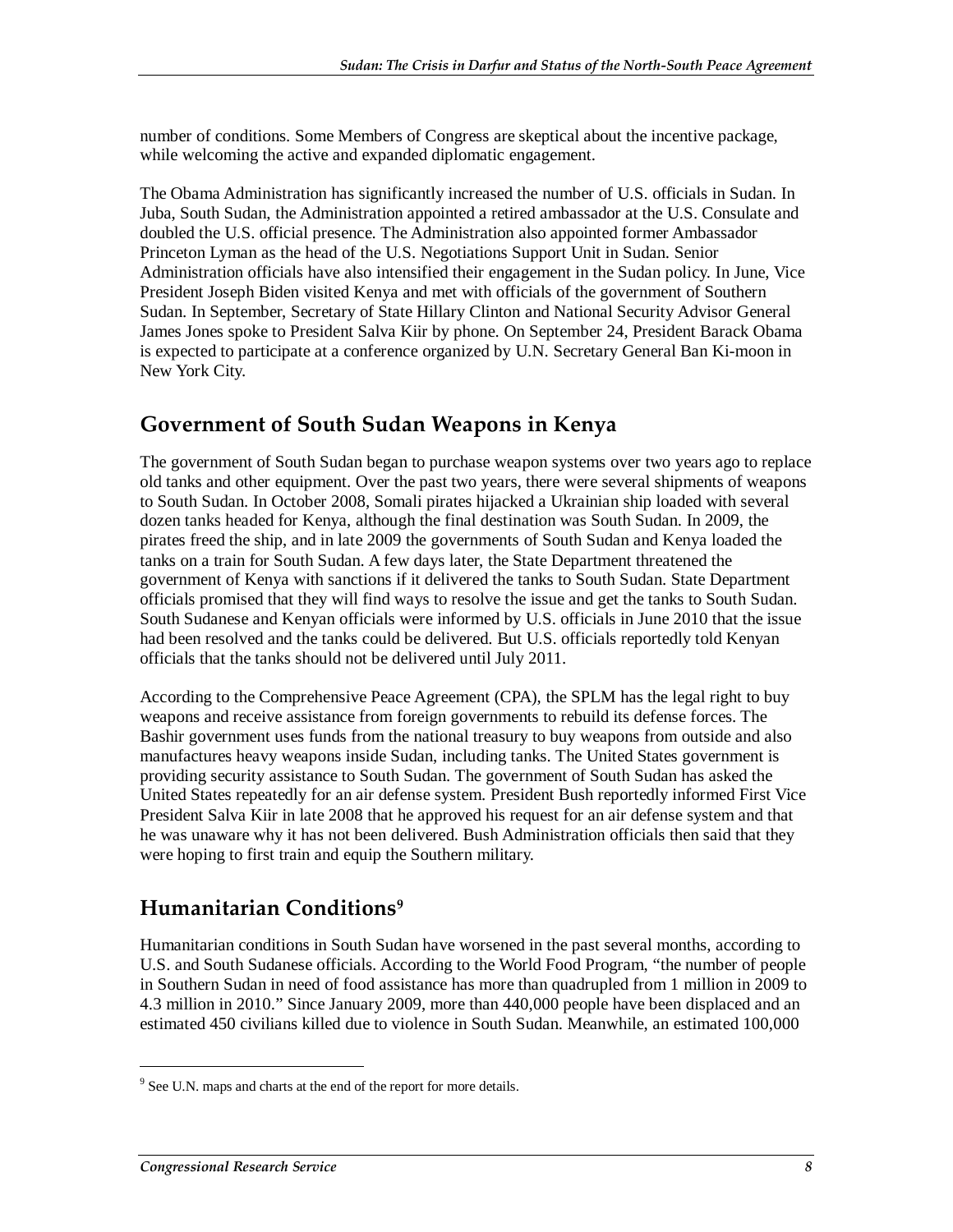number of conditions. Some Members of Congress are skeptical about the incentive package, while welcoming the active and expanded diplomatic engagement.

The Obama Administration has significantly increased the number of U.S. officials in Sudan. In Juba, South Sudan, the Administration appointed a retired ambassador at the U.S. Consulate and doubled the U.S. official presence. The Administration also appointed former Ambassador Princeton Lyman as the head of the U.S. Negotiations Support Unit in Sudan. Senior Administration officials have also intensified their engagement in the Sudan policy. In June, Vice President Joseph Biden visited Kenya and met with officials of the government of Southern Sudan. In September, Secretary of State Hillary Clinton and National Security Advisor General James Jones spoke to President Salva Kiir by phone. On September 24, President Barack Obama is expected to participate at a conference organized by U.N. Secretary General Ban Ki-moon in New York City.

### **Government of South Sudan Weapons in Kenya**

The government of South Sudan began to purchase weapon systems over two years ago to replace old tanks and other equipment. Over the past two years, there were several shipments of weapons to South Sudan. In October 2008, Somali pirates hijacked a Ukrainian ship loaded with several dozen tanks headed for Kenya, although the final destination was South Sudan. In 2009, the pirates freed the ship, and in late 2009 the governments of South Sudan and Kenya loaded the tanks on a train for South Sudan. A few days later, the State Department threatened the government of Kenya with sanctions if it delivered the tanks to South Sudan. State Department officials promised that they will find ways to resolve the issue and get the tanks to South Sudan. South Sudanese and Kenyan officials were informed by U.S. officials in June 2010 that the issue had been resolved and the tanks could be delivered. But U.S. officials reportedly told Kenyan officials that the tanks should not be delivered until July 2011.

According to the Comprehensive Peace Agreement (CPA), the SPLM has the legal right to buy weapons and receive assistance from foreign governments to rebuild its defense forces. The Bashir government uses funds from the national treasury to buy weapons from outside and also manufactures heavy weapons inside Sudan, including tanks. The United States government is providing security assistance to South Sudan. The government of South Sudan has asked the United States repeatedly for an air defense system. President Bush reportedly informed First Vice President Salva Kiir in late 2008 that he approved his request for an air defense system and that he was unaware why it has not been delivered. Bush Administration officials then said that they were hoping to first train and equip the Southern military.

### **Humanitarian Conditions9**

Humanitarian conditions in South Sudan have worsened in the past several months, according to U.S. and South Sudanese officials. According to the World Food Program, "the number of people in Southern Sudan in need of food assistance has more than quadrupled from 1 million in 2009 to 4.3 million in 2010." Since January 2009, more than 440,000 people have been displaced and an estimated 450 civilians killed due to violence in South Sudan. Meanwhile, an estimated 100,000

<sup>&</sup>lt;sup>9</sup> See U.N. maps and charts at the end of the report for more details.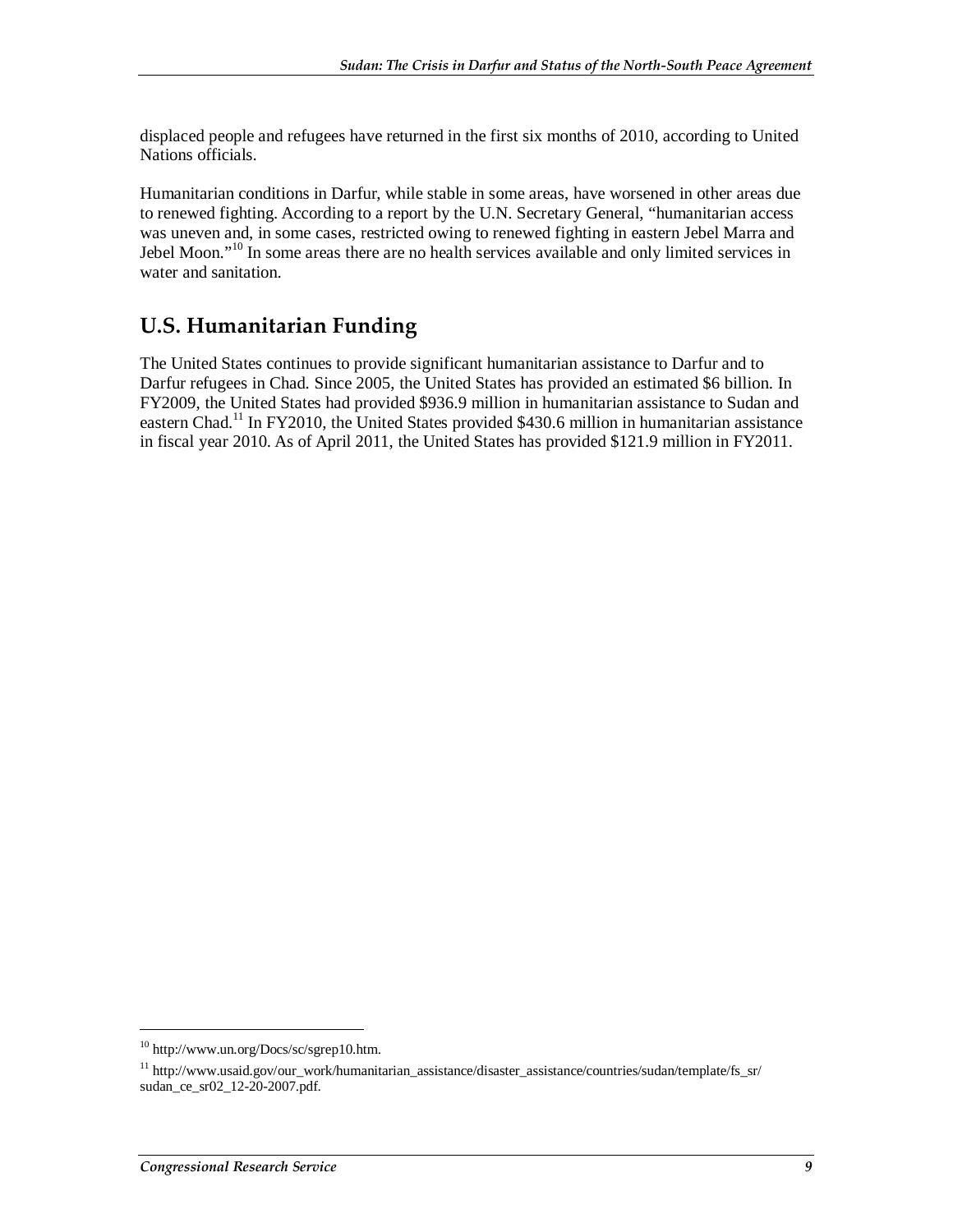displaced people and refugees have returned in the first six months of 2010, according to United Nations officials.

Humanitarian conditions in Darfur, while stable in some areas, have worsened in other areas due to renewed fighting. According to a report by the U.N. Secretary General, "humanitarian access was uneven and, in some cases, restricted owing to renewed fighting in eastern Jebel Marra and Jebel Moon."10 In some areas there are no health services available and only limited services in water and sanitation.

### **U.S. Humanitarian Funding**

The United States continues to provide significant humanitarian assistance to Darfur and to Darfur refugees in Chad. Since 2005, the United States has provided an estimated \$6 billion. In FY2009, the United States had provided \$936.9 million in humanitarian assistance to Sudan and eastern Chad.<sup>11</sup> In FY2010, the United States provided \$430.6 million in humanitarian assistance in fiscal year 2010. As of April 2011, the United States has provided \$121.9 million in FY2011.

<sup>10</sup> http://www.un.org/Docs/sc/sgrep10.htm.

<sup>11</sup> http://www.usaid.gov/our\_work/humanitarian\_assistance/disaster\_assistance/countries/sudan/template/fs\_sr/ sudan\_ce\_sr02\_12-20-2007.pdf.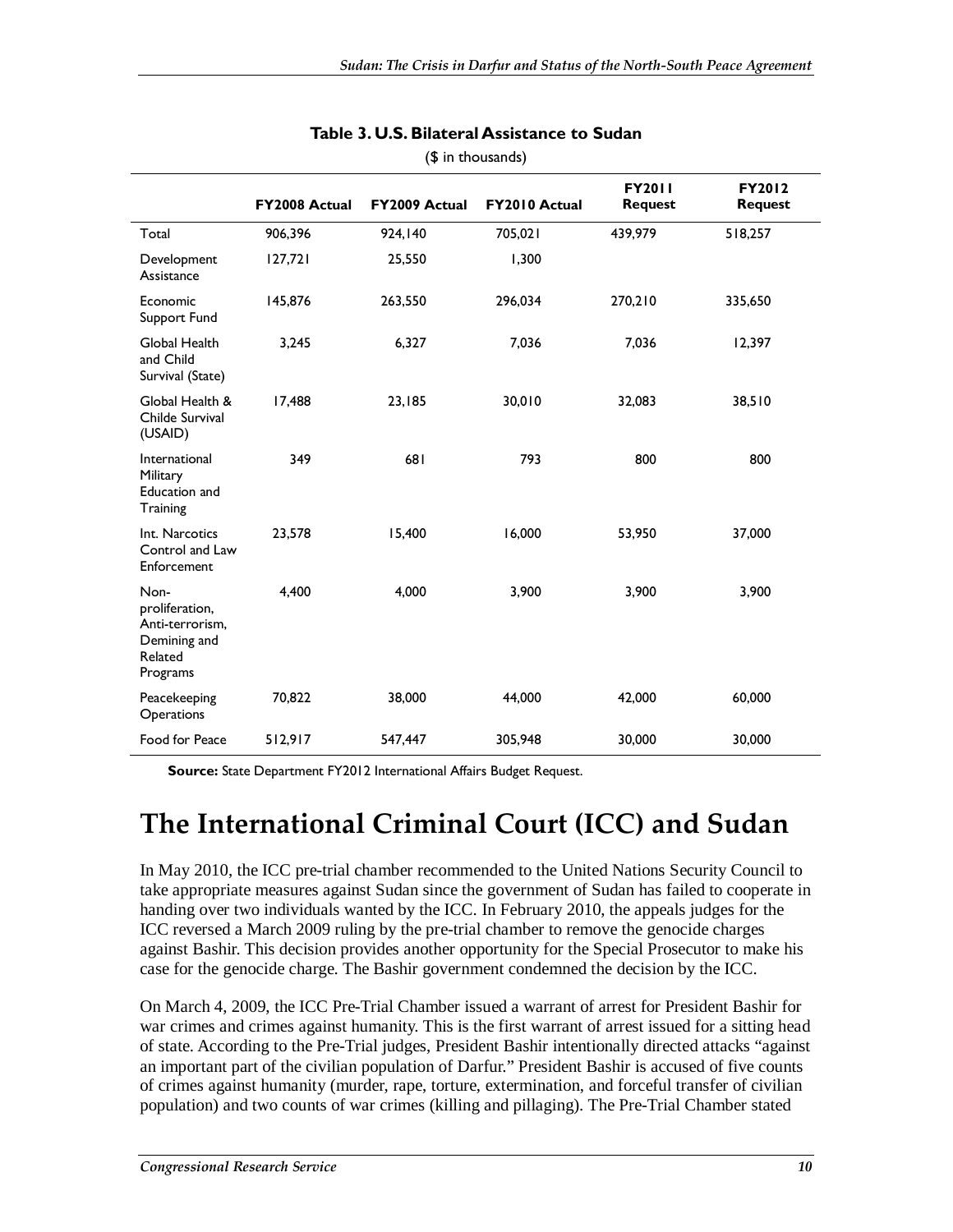| (\$ in thousands)                                                                |               |               |               |                                 |                                 |  |
|----------------------------------------------------------------------------------|---------------|---------------|---------------|---------------------------------|---------------------------------|--|
|                                                                                  | FY2008 Actual | FY2009 Actual | FY2010 Actual | <b>FY2011</b><br><b>Request</b> | <b>FY2012</b><br><b>Request</b> |  |
| Total                                                                            | 906,396       | 924,140       | 705,021       | 439,979                         | 518,257                         |  |
| Development<br>Assistance                                                        | 127,721       | 25,550        | 1,300         |                                 |                                 |  |
| Economic<br>Support Fund                                                         | 145,876       | 263,550       | 296,034       | 270,210                         | 335,650                         |  |
| Global Health<br>and Child<br>Survival (State)                                   | 3,245         | 6,327         | 7,036         | 7,036                           | 12,397                          |  |
| Global Health &<br>Childe Survival<br>(USAID)                                    | 17,488        | 23,185        | 30,010        | 32,083                          | 38,510                          |  |
| International<br><b>Military</b><br>Education and<br>Training                    | 349           | 681           | 793           | 800                             | 800                             |  |
| Int. Narcotics<br>Control and Law<br>Enforcement                                 | 23,578        | 15,400        | 16,000        | 53,950                          | 37,000                          |  |
| Non-<br>proliferation,<br>Anti-terrorism,<br>Demining and<br>Related<br>Programs | 4,400         | 4,000         | 3,900         | 3,900                           | 3,900                           |  |
| Peacekeeping<br>Operations                                                       | 70,822        | 38,000        | 44,000        | 42,000                          | 60,000                          |  |
| Food for Peace                                                                   | 512,917       | 547,447       | 305,948       | 30,000                          | 30,000                          |  |

#### **Table 3. U.S. Bilateral Assistance to Sudan**

**Source:** State Department FY2012 International Affairs Budget Request.

## **The International Criminal Court (ICC) and Sudan**

In May 2010, the ICC pre-trial chamber recommended to the United Nations Security Council to take appropriate measures against Sudan since the government of Sudan has failed to cooperate in handing over two individuals wanted by the ICC. In February 2010, the appeals judges for the ICC reversed a March 2009 ruling by the pre-trial chamber to remove the genocide charges against Bashir. This decision provides another opportunity for the Special Prosecutor to make his case for the genocide charge. The Bashir government condemned the decision by the ICC.

On March 4, 2009, the ICC Pre-Trial Chamber issued a warrant of arrest for President Bashir for war crimes and crimes against humanity. This is the first warrant of arrest issued for a sitting head of state. According to the Pre-Trial judges, President Bashir intentionally directed attacks "against an important part of the civilian population of Darfur." President Bashir is accused of five counts of crimes against humanity (murder, rape, torture, extermination, and forceful transfer of civilian population) and two counts of war crimes (killing and pillaging). The Pre-Trial Chamber stated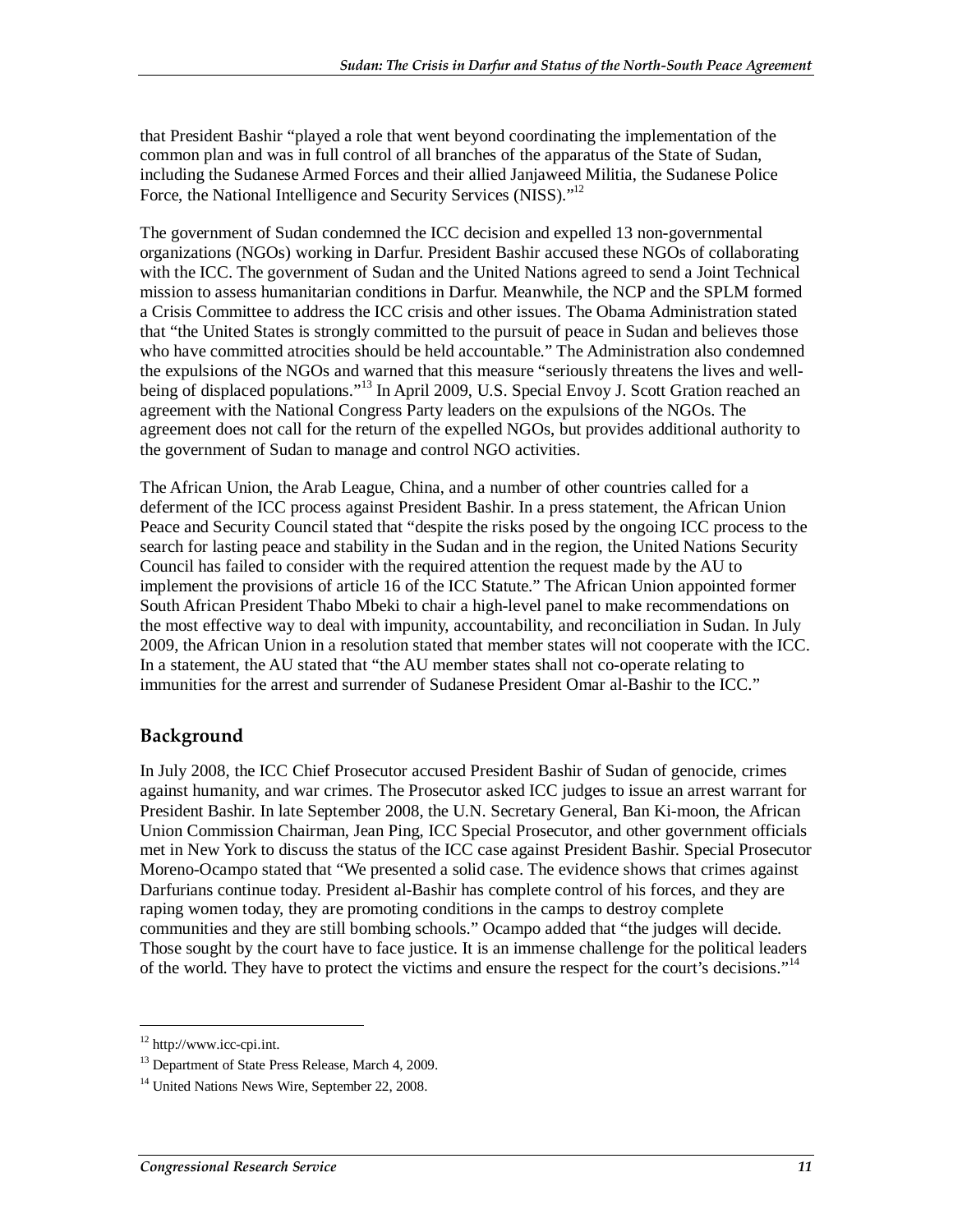that President Bashir "played a role that went beyond coordinating the implementation of the common plan and was in full control of all branches of the apparatus of the State of Sudan, including the Sudanese Armed Forces and their allied Janjaweed Militia, the Sudanese Police Force, the National Intelligence and Security Services (NISS)."<sup>12</sup>

The government of Sudan condemned the ICC decision and expelled 13 non-governmental organizations (NGOs) working in Darfur. President Bashir accused these NGOs of collaborating with the ICC. The government of Sudan and the United Nations agreed to send a Joint Technical mission to assess humanitarian conditions in Darfur. Meanwhile, the NCP and the SPLM formed a Crisis Committee to address the ICC crisis and other issues. The Obama Administration stated that "the United States is strongly committed to the pursuit of peace in Sudan and believes those who have committed atrocities should be held accountable." The Administration also condemned the expulsions of the NGOs and warned that this measure "seriously threatens the lives and wellbeing of displaced populations."<sup>13</sup> In April 2009, U.S. Special Envoy J. Scott Gration reached an agreement with the National Congress Party leaders on the expulsions of the NGOs. The agreement does not call for the return of the expelled NGOs, but provides additional authority to the government of Sudan to manage and control NGO activities.

The African Union, the Arab League, China, and a number of other countries called for a deferment of the ICC process against President Bashir. In a press statement, the African Union Peace and Security Council stated that "despite the risks posed by the ongoing ICC process to the search for lasting peace and stability in the Sudan and in the region, the United Nations Security Council has failed to consider with the required attention the request made by the AU to implement the provisions of article 16 of the ICC Statute." The African Union appointed former South African President Thabo Mbeki to chair a high-level panel to make recommendations on the most effective way to deal with impunity, accountability, and reconciliation in Sudan. In July 2009, the African Union in a resolution stated that member states will not cooperate with the ICC. In a statement, the AU stated that "the AU member states shall not co-operate relating to immunities for the arrest and surrender of Sudanese President Omar al-Bashir to the ICC."

#### **Background**

In July 2008, the ICC Chief Prosecutor accused President Bashir of Sudan of genocide, crimes against humanity, and war crimes. The Prosecutor asked ICC judges to issue an arrest warrant for President Bashir. In late September 2008, the U.N. Secretary General, Ban Ki-moon, the African Union Commission Chairman, Jean Ping, ICC Special Prosecutor, and other government officials met in New York to discuss the status of the ICC case against President Bashir. Special Prosecutor Moreno-Ocampo stated that "We presented a solid case. The evidence shows that crimes against Darfurians continue today. President al-Bashir has complete control of his forces, and they are raping women today, they are promoting conditions in the camps to destroy complete communities and they are still bombing schools." Ocampo added that "the judges will decide. Those sought by the court have to face justice. It is an immense challenge for the political leaders of the world. They have to protect the victims and ensure the respect for the court's decisions."<sup>14</sup>

<sup>12</sup> http://www.icc-cpi.int.

<sup>&</sup>lt;sup>13</sup> Department of State Press Release, March 4, 2009.

<sup>&</sup>lt;sup>14</sup> United Nations News Wire, September 22, 2008.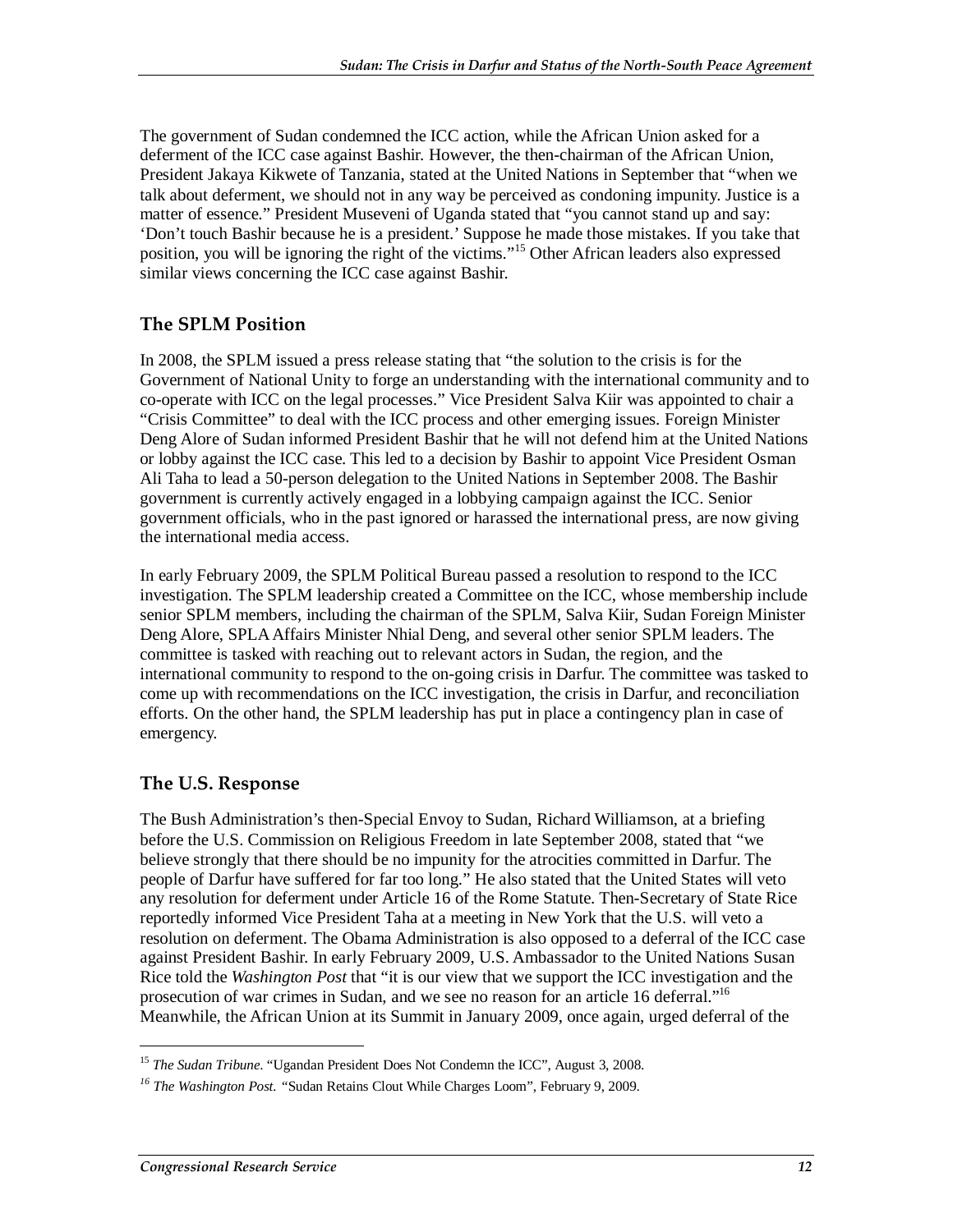The government of Sudan condemned the ICC action, while the African Union asked for a deferment of the ICC case against Bashir. However, the then-chairman of the African Union, President Jakaya Kikwete of Tanzania, stated at the United Nations in September that "when we talk about deferment, we should not in any way be perceived as condoning impunity. Justice is a matter of essence." President Museveni of Uganda stated that "you cannot stand up and say: 'Don't touch Bashir because he is a president.' Suppose he made those mistakes. If you take that position, you will be ignoring the right of the victims."15 Other African leaders also expressed similar views concerning the ICC case against Bashir.

#### **The SPLM Position**

In 2008, the SPLM issued a press release stating that "the solution to the crisis is for the Government of National Unity to forge an understanding with the international community and to co-operate with ICC on the legal processes." Vice President Salva Kiir was appointed to chair a "Crisis Committee" to deal with the ICC process and other emerging issues. Foreign Minister Deng Alore of Sudan informed President Bashir that he will not defend him at the United Nations or lobby against the ICC case. This led to a decision by Bashir to appoint Vice President Osman Ali Taha to lead a 50-person delegation to the United Nations in September 2008. The Bashir government is currently actively engaged in a lobbying campaign against the ICC. Senior government officials, who in the past ignored or harassed the international press, are now giving the international media access.

In early February 2009, the SPLM Political Bureau passed a resolution to respond to the ICC investigation. The SPLM leadership created a Committee on the ICC, whose membership include senior SPLM members, including the chairman of the SPLM, Salva Kiir, Sudan Foreign Minister Deng Alore, SPLA Affairs Minister Nhial Deng, and several other senior SPLM leaders. The committee is tasked with reaching out to relevant actors in Sudan, the region, and the international community to respond to the on-going crisis in Darfur. The committee was tasked to come up with recommendations on the ICC investigation, the crisis in Darfur, and reconciliation efforts. On the other hand, the SPLM leadership has put in place a contingency plan in case of emergency.

#### **The U.S. Response**

The Bush Administration's then-Special Envoy to Sudan, Richard Williamson, at a briefing before the U.S. Commission on Religious Freedom in late September 2008, stated that "we believe strongly that there should be no impunity for the atrocities committed in Darfur. The people of Darfur have suffered for far too long." He also stated that the United States will veto any resolution for deferment under Article 16 of the Rome Statute. Then-Secretary of State Rice reportedly informed Vice President Taha at a meeting in New York that the U.S. will veto a resolution on deferment. The Obama Administration is also opposed to a deferral of the ICC case against President Bashir. In early February 2009, U.S. Ambassador to the United Nations Susan Rice told the *Washington Post* that "it is our view that we support the ICC investigation and the prosecution of war crimes in Sudan, and we see no reason for an article 16 deferral."16 Meanwhile, the African Union at its Summit in January 2009, once again, urged deferral of the

<sup>15</sup> *The Sudan Tribune*. "Ugandan President Does Not Condemn the ICC", August 3, 2008.

*<sup>16</sup> The Washington Post. "*Sudan Retains Clout While Charges Loom", February 9, 2009.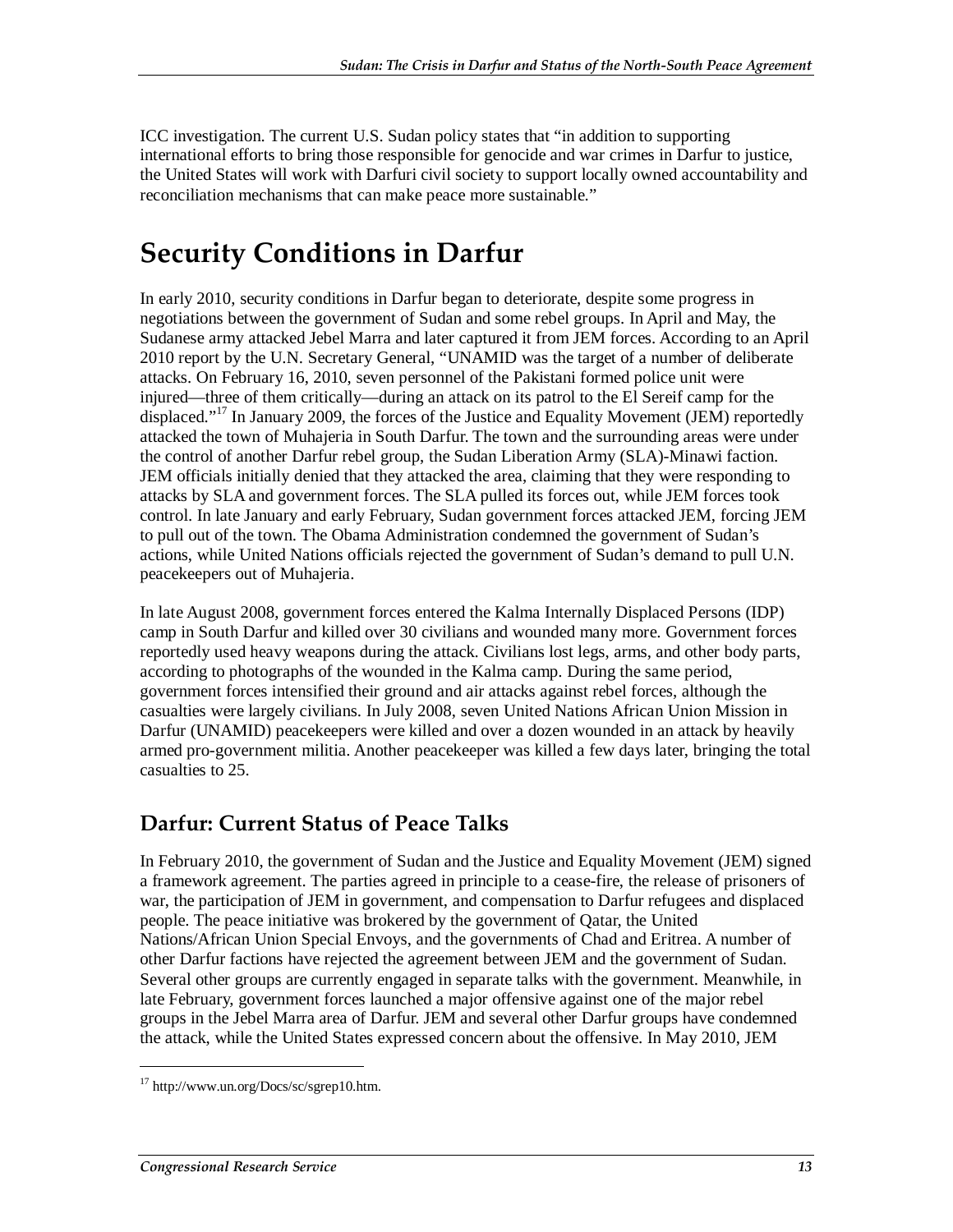ICC investigation. The current U.S. Sudan policy states that "in addition to supporting international efforts to bring those responsible for genocide and war crimes in Darfur to justice, the United States will work with Darfuri civil society to support locally owned accountability and reconciliation mechanisms that can make peace more sustainable."

## **Security Conditions in Darfur**

In early 2010, security conditions in Darfur began to deteriorate, despite some progress in negotiations between the government of Sudan and some rebel groups. In April and May, the Sudanese army attacked Jebel Marra and later captured it from JEM forces. According to an April 2010 report by the U.N. Secretary General, "UNAMID was the target of a number of deliberate attacks. On February 16, 2010, seven personnel of the Pakistani formed police unit were injured—three of them critically—during an attack on its patrol to the El Sereif camp for the displaced."17 In January 2009, the forces of the Justice and Equality Movement (JEM) reportedly attacked the town of Muhajeria in South Darfur. The town and the surrounding areas were under the control of another Darfur rebel group, the Sudan Liberation Army (SLA)-Minawi faction. JEM officials initially denied that they attacked the area, claiming that they were responding to attacks by SLA and government forces. The SLA pulled its forces out, while JEM forces took control. In late January and early February, Sudan government forces attacked JEM, forcing JEM to pull out of the town. The Obama Administration condemned the government of Sudan's actions, while United Nations officials rejected the government of Sudan's demand to pull U.N. peacekeepers out of Muhajeria.

In late August 2008, government forces entered the Kalma Internally Displaced Persons (IDP) camp in South Darfur and killed over 30 civilians and wounded many more. Government forces reportedly used heavy weapons during the attack. Civilians lost legs, arms, and other body parts, according to photographs of the wounded in the Kalma camp. During the same period, government forces intensified their ground and air attacks against rebel forces, although the casualties were largely civilians. In July 2008, seven United Nations African Union Mission in Darfur (UNAMID) peacekeepers were killed and over a dozen wounded in an attack by heavily armed pro-government militia. Another peacekeeper was killed a few days later, bringing the total casualties to 25.

### **Darfur: Current Status of Peace Talks**

In February 2010, the government of Sudan and the Justice and Equality Movement (JEM) signed a framework agreement. The parties agreed in principle to a cease-fire, the release of prisoners of war, the participation of JEM in government, and compensation to Darfur refugees and displaced people. The peace initiative was brokered by the government of Qatar, the United Nations/African Union Special Envoys, and the governments of Chad and Eritrea. A number of other Darfur factions have rejected the agreement between JEM and the government of Sudan. Several other groups are currently engaged in separate talks with the government. Meanwhile, in late February, government forces launched a major offensive against one of the major rebel groups in the Jebel Marra area of Darfur. JEM and several other Darfur groups have condemned the attack, while the United States expressed concern about the offensive. In May 2010, JEM

<sup>17</sup> http://www.un.org/Docs/sc/sgrep10.htm.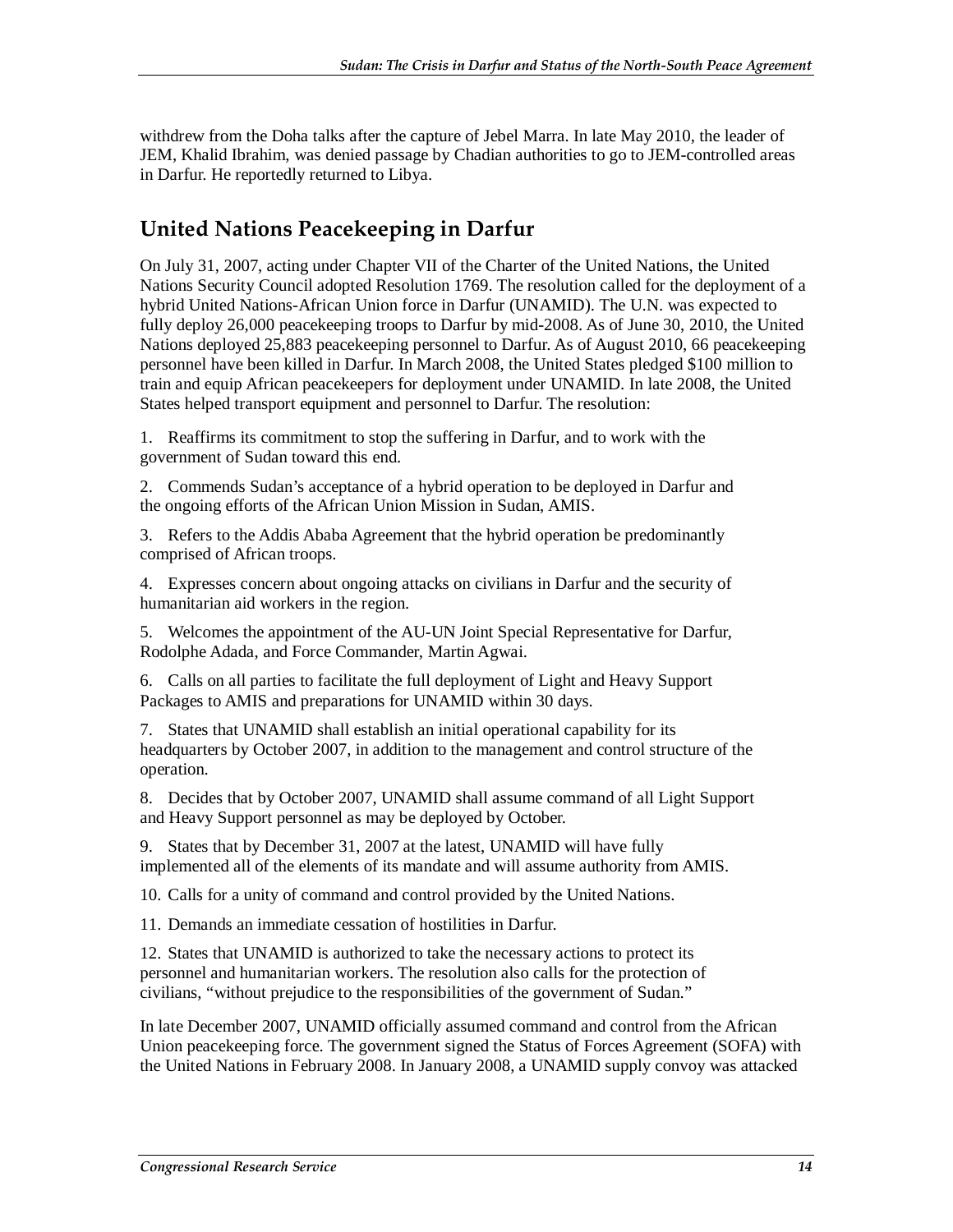withdrew from the Doha talks after the capture of Jebel Marra. In late May 2010, the leader of JEM, Khalid Ibrahim, was denied passage by Chadian authorities to go to JEM-controlled areas in Darfur. He reportedly returned to Libya.

## **United Nations Peacekeeping in Darfur**

On July 31, 2007, acting under Chapter VII of the Charter of the United Nations, the United Nations Security Council adopted Resolution 1769. The resolution called for the deployment of a hybrid United Nations-African Union force in Darfur (UNAMID). The U.N. was expected to fully deploy 26,000 peacekeeping troops to Darfur by mid-2008. As of June 30, 2010, the United Nations deployed 25,883 peacekeeping personnel to Darfur. As of August 2010, 66 peacekeeping personnel have been killed in Darfur. In March 2008, the United States pledged \$100 million to train and equip African peacekeepers for deployment under UNAMID. In late 2008, the United States helped transport equipment and personnel to Darfur. The resolution:

1. Reaffirms its commitment to stop the suffering in Darfur, and to work with the government of Sudan toward this end.

2. Commends Sudan's acceptance of a hybrid operation to be deployed in Darfur and the ongoing efforts of the African Union Mission in Sudan, AMIS.

3. Refers to the Addis Ababa Agreement that the hybrid operation be predominantly comprised of African troops.

4. Expresses concern about ongoing attacks on civilians in Darfur and the security of humanitarian aid workers in the region.

5. Welcomes the appointment of the AU-UN Joint Special Representative for Darfur, Rodolphe Adada, and Force Commander, Martin Agwai.

6. Calls on all parties to facilitate the full deployment of Light and Heavy Support Packages to AMIS and preparations for UNAMID within 30 days.

7. States that UNAMID shall establish an initial operational capability for its headquarters by October 2007, in addition to the management and control structure of the operation.

8. Decides that by October 2007, UNAMID shall assume command of all Light Support and Heavy Support personnel as may be deployed by October.

9. States that by December 31, 2007 at the latest, UNAMID will have fully implemented all of the elements of its mandate and will assume authority from AMIS.

10. Calls for a unity of command and control provided by the United Nations.

11. Demands an immediate cessation of hostilities in Darfur.

12. States that UNAMID is authorized to take the necessary actions to protect its personnel and humanitarian workers. The resolution also calls for the protection of civilians, "without prejudice to the responsibilities of the government of Sudan."

In late December 2007, UNAMID officially assumed command and control from the African Union peacekeeping force. The government signed the Status of Forces Agreement (SOFA) with the United Nations in February 2008. In January 2008, a UNAMID supply convoy was attacked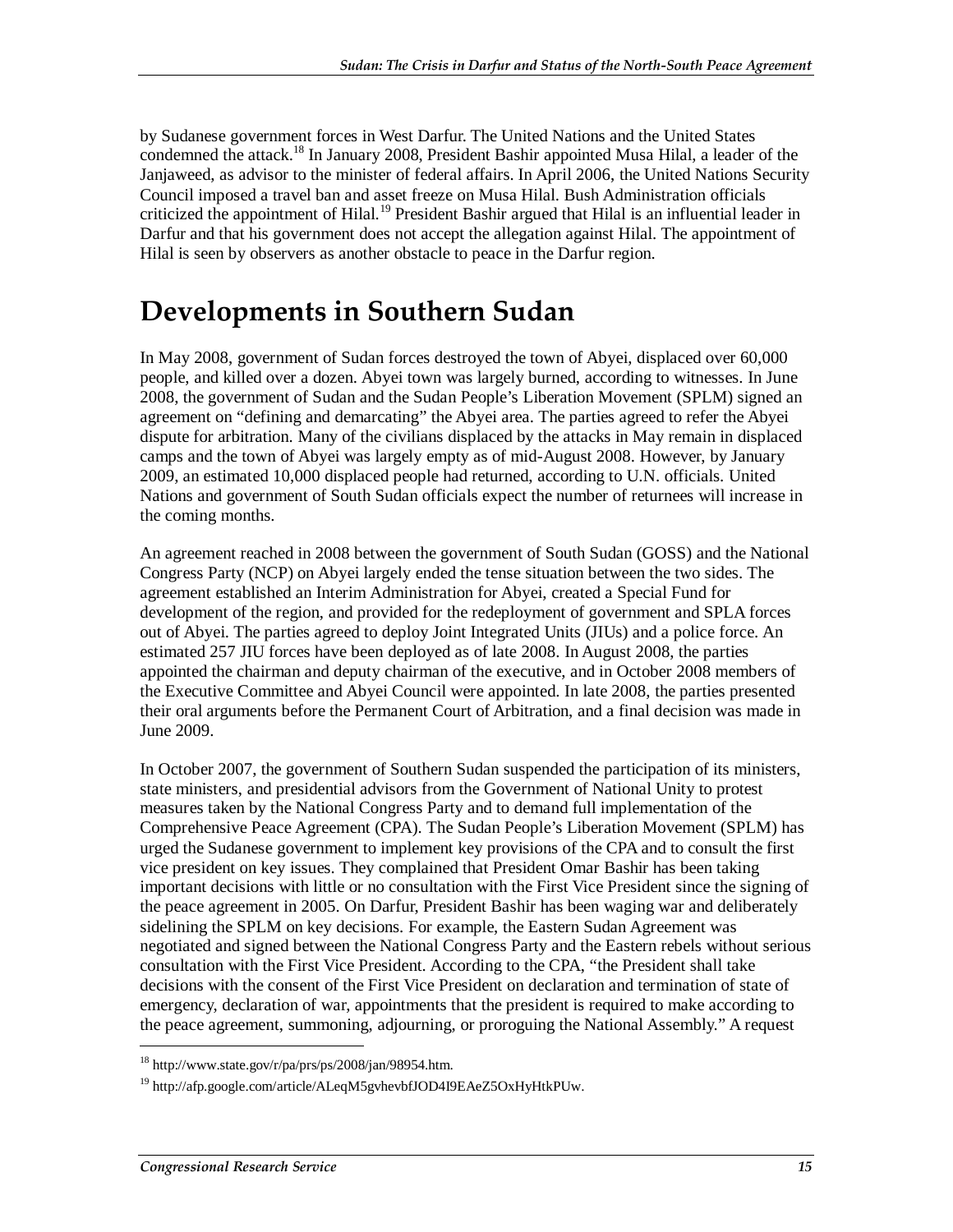by Sudanese government forces in West Darfur. The United Nations and the United States condemned the attack.<sup>18</sup> In January 2008, President Bashir appointed Musa Hilal, a leader of the Janjaweed, as advisor to the minister of federal affairs. In April 2006, the United Nations Security Council imposed a travel ban and asset freeze on Musa Hilal. Bush Administration officials criticized the appointment of Hilal.<sup>19</sup> President Bashir argued that Hilal is an influential leader in Darfur and that his government does not accept the allegation against Hilal. The appointment of Hilal is seen by observers as another obstacle to peace in the Darfur region.

## **Developments in Southern Sudan**

In May 2008, government of Sudan forces destroyed the town of Abyei, displaced over 60,000 people, and killed over a dozen. Abyei town was largely burned, according to witnesses. In June 2008, the government of Sudan and the Sudan People's Liberation Movement (SPLM) signed an agreement on "defining and demarcating" the Abyei area. The parties agreed to refer the Abyei dispute for arbitration. Many of the civilians displaced by the attacks in May remain in displaced camps and the town of Abyei was largely empty as of mid-August 2008. However, by January 2009, an estimated 10,000 displaced people had returned, according to U.N. officials. United Nations and government of South Sudan officials expect the number of returnees will increase in the coming months.

An agreement reached in 2008 between the government of South Sudan (GOSS) and the National Congress Party (NCP) on Abyei largely ended the tense situation between the two sides. The agreement established an Interim Administration for Abyei, created a Special Fund for development of the region, and provided for the redeployment of government and SPLA forces out of Abyei. The parties agreed to deploy Joint Integrated Units (JIUs) and a police force. An estimated 257 JIU forces have been deployed as of late 2008. In August 2008, the parties appointed the chairman and deputy chairman of the executive, and in October 2008 members of the Executive Committee and Abyei Council were appointed. In late 2008, the parties presented their oral arguments before the Permanent Court of Arbitration, and a final decision was made in June 2009.

In October 2007, the government of Southern Sudan suspended the participation of its ministers, state ministers, and presidential advisors from the Government of National Unity to protest measures taken by the National Congress Party and to demand full implementation of the Comprehensive Peace Agreement (CPA). The Sudan People's Liberation Movement (SPLM) has urged the Sudanese government to implement key provisions of the CPA and to consult the first vice president on key issues. They complained that President Omar Bashir has been taking important decisions with little or no consultation with the First Vice President since the signing of the peace agreement in 2005. On Darfur, President Bashir has been waging war and deliberately sidelining the SPLM on key decisions. For example, the Eastern Sudan Agreement was negotiated and signed between the National Congress Party and the Eastern rebels without serious consultation with the First Vice President. According to the CPA, "the President shall take decisions with the consent of the First Vice President on declaration and termination of state of emergency, declaration of war, appointments that the president is required to make according to the peace agreement, summoning, adjourning, or proroguing the National Assembly." A request

 $18 \text{ http://www.state.gov/r/pa/prs/ps/2008/jan/98954.htm.}$ 

<sup>&</sup>lt;sup>19</sup> http://afp.google.com/article/ALeqM5gvhevbfJOD4I9EAeZ5OxHyHtkPUw.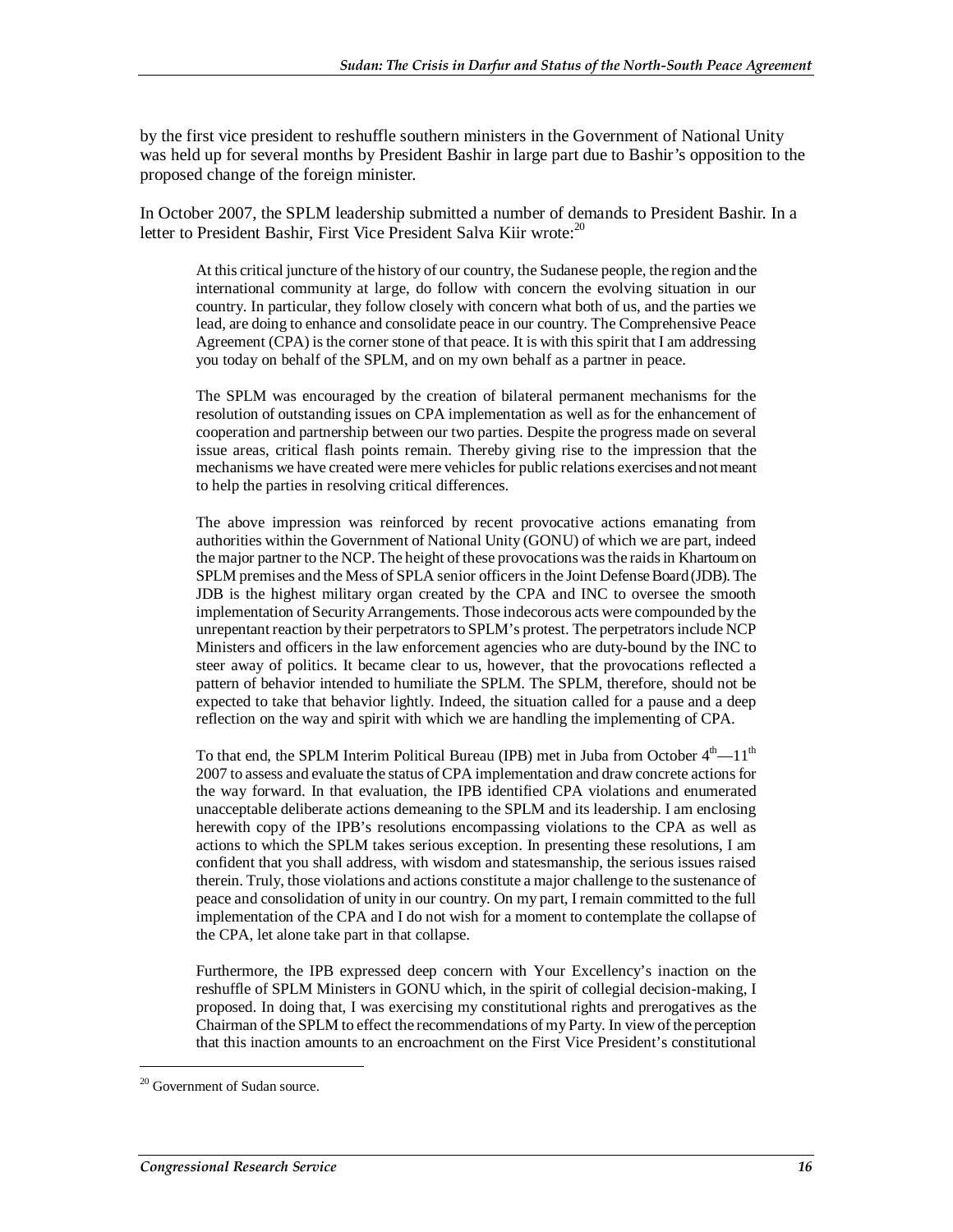by the first vice president to reshuffle southern ministers in the Government of National Unity was held up for several months by President Bashir in large part due to Bashir's opposition to the proposed change of the foreign minister.

In October 2007, the SPLM leadership submitted a number of demands to President Bashir. In a letter to President Bashir, First Vice President Salva Kiir wrote:<sup>20</sup>

At this critical juncture of the history of our country, the Sudanese people, the region and the international community at large, do follow with concern the evolving situation in our country. In particular, they follow closely with concern what both of us, and the parties we lead, are doing to enhance and consolidate peace in our country. The Comprehensive Peace Agreement (CPA) is the corner stone of that peace. It is with this spirit that I am addressing you today on behalf of the SPLM, and on my own behalf as a partner in peace.

The SPLM was encouraged by the creation of bilateral permanent mechanisms for the resolution of outstanding issues on CPA implementation as well as for the enhancement of cooperation and partnership between our two parties. Despite the progress made on several issue areas, critical flash points remain. Thereby giving rise to the impression that the mechanisms we have created were mere vehicles for public relations exercises and not meant to help the parties in resolving critical differences.

The above impression was reinforced by recent provocative actions emanating from authorities within the Government of National Unity (GONU) of which we are part, indeed the major partner to the NCP. The height of these provocations was the raids in Khartoum on SPLM premises and the Mess of SPLA senior officers in the Joint Defense Board (JDB). The JDB is the highest military organ created by the CPA and INC to oversee the smooth implementation of Security Arrangements. Those indecorous acts were compounded by the unrepentant reaction by their perpetrators to SPLM's protest. The perpetrators include NCP Ministers and officers in the law enforcement agencies who are duty-bound by the INC to steer away of politics. It became clear to us, however, that the provocations reflected a pattern of behavior intended to humiliate the SPLM. The SPLM, therefore, should not be expected to take that behavior lightly. Indeed, the situation called for a pause and a deep reflection on the way and spirit with which we are handling the implementing of CPA.

To that end, the SPLM Interim Political Bureau (IPB) met in Juba from October  $4<sup>th</sup> - 11<sup>th</sup>$ 2007 to assess and evaluate the status of CPA implementation and draw concrete actions for the way forward. In that evaluation, the IPB identified CPA violations and enumerated unacceptable deliberate actions demeaning to the SPLM and its leadership. I am enclosing herewith copy of the IPB's resolutions encompassing violations to the CPA as well as actions to which the SPLM takes serious exception. In presenting these resolutions, I am confident that you shall address, with wisdom and statesmanship, the serious issues raised therein. Truly, those violations and actions constitute a major challenge to the sustenance of peace and consolidation of unity in our country. On my part, I remain committed to the full implementation of the CPA and I do not wish for a moment to contemplate the collapse of the CPA, let alone take part in that collapse.

Furthermore, the IPB expressed deep concern with Your Excellency's inaction on the reshuffle of SPLM Ministers in GONU which, in the spirit of collegial decision-making, I proposed. In doing that, I was exercising my constitutional rights and prerogatives as the Chairman of the SPLM to effect the recommendations of my Party. In view of the perception that this inaction amounts to an encroachment on the First Vice President's constitutional

<sup>&</sup>lt;sup>20</sup> Government of Sudan source.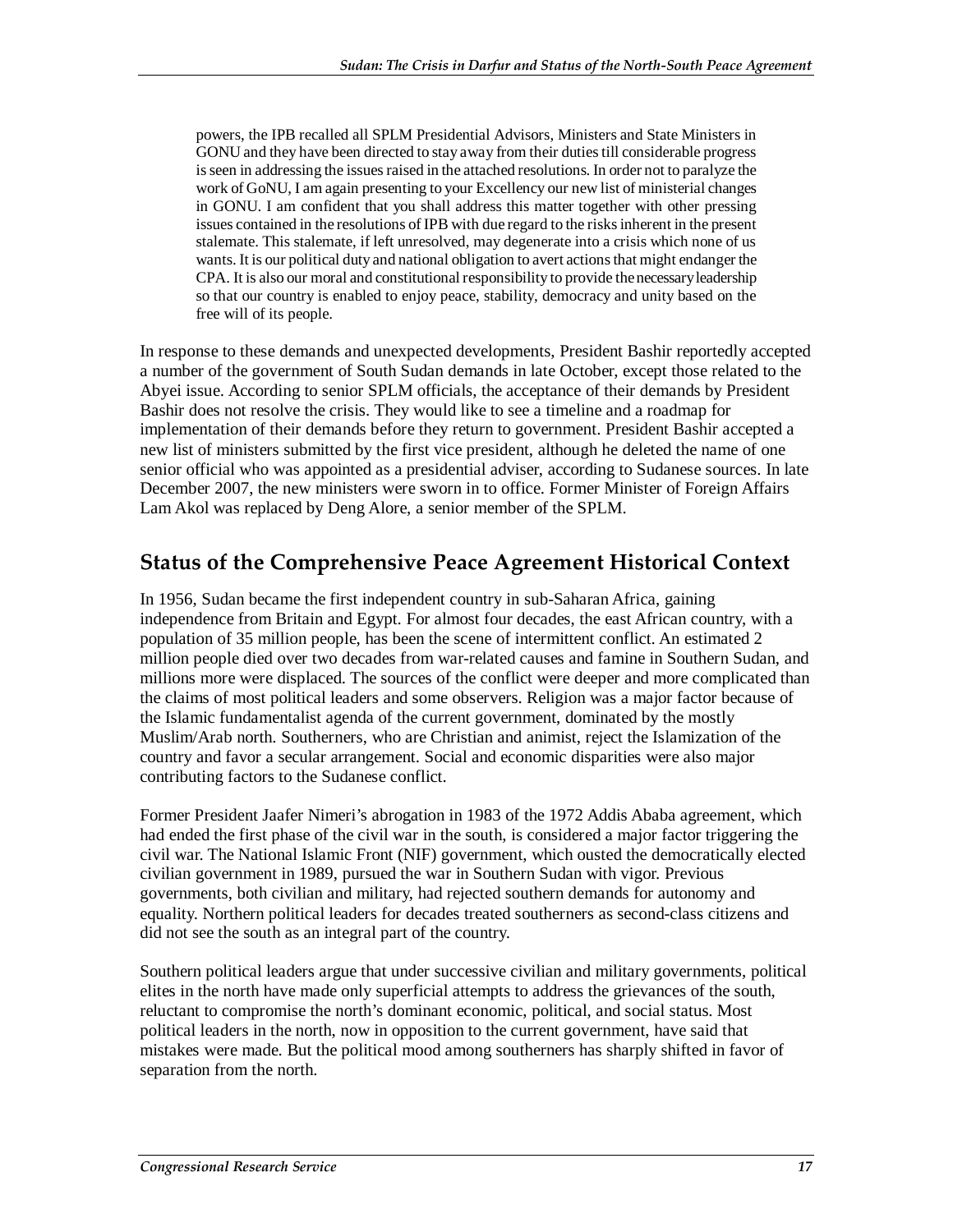powers, the IPB recalled all SPLM Presidential Advisors, Ministers and State Ministers in GONU and they have been directed to stay away from their duties till considerable progress is seen in addressing the issues raised in the attached resolutions. In order not to paralyze the work of GoNU, I am again presenting to your Excellency our new list of ministerial changes in GONU. I am confident that you shall address this matter together with other pressing issues contained in the resolutions of IPB with due regard to the risks inherent in the present stalemate. This stalemate, if left unresolved, may degenerate into a crisis which none of us wants. It is our political duty and national obligation to avert actions that might endanger the CPA. It is also our moral and constitutional responsibility to provide the necessary leadership so that our country is enabled to enjoy peace, stability, democracy and unity based on the free will of its people.

In response to these demands and unexpected developments, President Bashir reportedly accepted a number of the government of South Sudan demands in late October, except those related to the Abyei issue. According to senior SPLM officials, the acceptance of their demands by President Bashir does not resolve the crisis. They would like to see a timeline and a roadmap for implementation of their demands before they return to government. President Bashir accepted a new list of ministers submitted by the first vice president, although he deleted the name of one senior official who was appointed as a presidential adviser, according to Sudanese sources. In late December 2007, the new ministers were sworn in to office. Former Minister of Foreign Affairs Lam Akol was replaced by Deng Alore, a senior member of the SPLM.

### **Status of the Comprehensive Peace Agreement Historical Context**

In 1956, Sudan became the first independent country in sub-Saharan Africa, gaining independence from Britain and Egypt. For almost four decades, the east African country, with a population of 35 million people, has been the scene of intermittent conflict. An estimated 2 million people died over two decades from war-related causes and famine in Southern Sudan, and millions more were displaced. The sources of the conflict were deeper and more complicated than the claims of most political leaders and some observers. Religion was a major factor because of the Islamic fundamentalist agenda of the current government, dominated by the mostly Muslim/Arab north. Southerners, who are Christian and animist, reject the Islamization of the country and favor a secular arrangement. Social and economic disparities were also major contributing factors to the Sudanese conflict.

Former President Jaafer Nimeri's abrogation in 1983 of the 1972 Addis Ababa agreement, which had ended the first phase of the civil war in the south, is considered a major factor triggering the civil war. The National Islamic Front (NIF) government, which ousted the democratically elected civilian government in 1989, pursued the war in Southern Sudan with vigor. Previous governments, both civilian and military, had rejected southern demands for autonomy and equality. Northern political leaders for decades treated southerners as second-class citizens and did not see the south as an integral part of the country.

Southern political leaders argue that under successive civilian and military governments, political elites in the north have made only superficial attempts to address the grievances of the south, reluctant to compromise the north's dominant economic, political, and social status. Most political leaders in the north, now in opposition to the current government, have said that mistakes were made. But the political mood among southerners has sharply shifted in favor of separation from the north.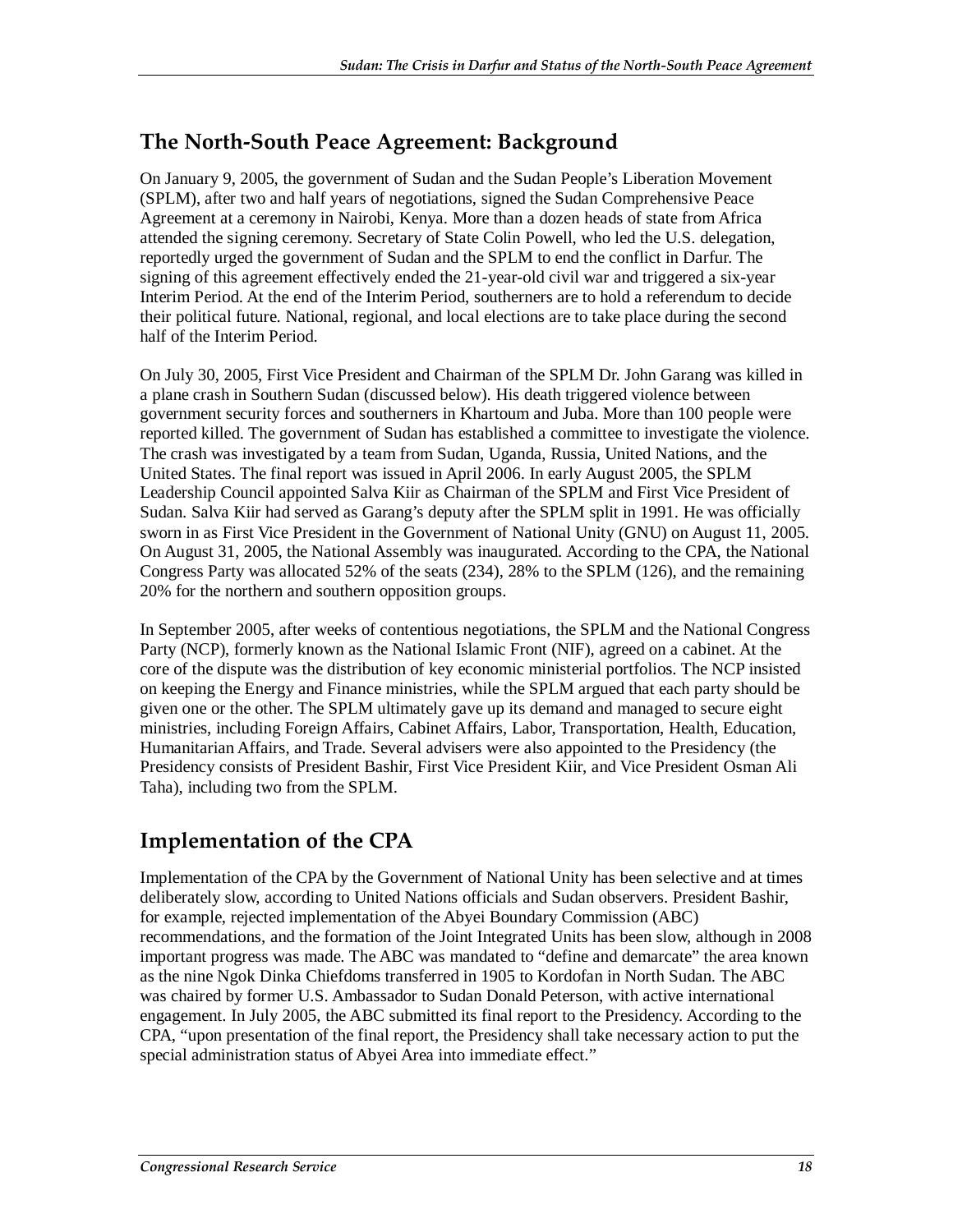### **The North-South Peace Agreement: Background**

On January 9, 2005, the government of Sudan and the Sudan People's Liberation Movement (SPLM), after two and half years of negotiations, signed the Sudan Comprehensive Peace Agreement at a ceremony in Nairobi, Kenya. More than a dozen heads of state from Africa attended the signing ceremony. Secretary of State Colin Powell, who led the U.S. delegation, reportedly urged the government of Sudan and the SPLM to end the conflict in Darfur. The signing of this agreement effectively ended the 21-year-old civil war and triggered a six-year Interim Period. At the end of the Interim Period, southerners are to hold a referendum to decide their political future. National, regional, and local elections are to take place during the second half of the Interim Period.

On July 30, 2005, First Vice President and Chairman of the SPLM Dr. John Garang was killed in a plane crash in Southern Sudan (discussed below). His death triggered violence between government security forces and southerners in Khartoum and Juba. More than 100 people were reported killed. The government of Sudan has established a committee to investigate the violence. The crash was investigated by a team from Sudan, Uganda, Russia, United Nations, and the United States. The final report was issued in April 2006. In early August 2005, the SPLM Leadership Council appointed Salva Kiir as Chairman of the SPLM and First Vice President of Sudan. Salva Kiir had served as Garang's deputy after the SPLM split in 1991. He was officially sworn in as First Vice President in the Government of National Unity (GNU) on August 11, 2005. On August 31, 2005, the National Assembly was inaugurated. According to the CPA, the National Congress Party was allocated 52% of the seats (234), 28% to the SPLM (126), and the remaining 20% for the northern and southern opposition groups.

In September 2005, after weeks of contentious negotiations, the SPLM and the National Congress Party (NCP), formerly known as the National Islamic Front (NIF), agreed on a cabinet. At the core of the dispute was the distribution of key economic ministerial portfolios. The NCP insisted on keeping the Energy and Finance ministries, while the SPLM argued that each party should be given one or the other. The SPLM ultimately gave up its demand and managed to secure eight ministries, including Foreign Affairs, Cabinet Affairs, Labor, Transportation, Health, Education, Humanitarian Affairs, and Trade. Several advisers were also appointed to the Presidency (the Presidency consists of President Bashir, First Vice President Kiir, and Vice President Osman Ali Taha), including two from the SPLM.

## **Implementation of the CPA**

Implementation of the CPA by the Government of National Unity has been selective and at times deliberately slow, according to United Nations officials and Sudan observers. President Bashir, for example, rejected implementation of the Abyei Boundary Commission (ABC) recommendations, and the formation of the Joint Integrated Units has been slow, although in 2008 important progress was made. The ABC was mandated to "define and demarcate" the area known as the nine Ngok Dinka Chiefdoms transferred in 1905 to Kordofan in North Sudan. The ABC was chaired by former U.S. Ambassador to Sudan Donald Peterson, with active international engagement. In July 2005, the ABC submitted its final report to the Presidency. According to the CPA, "upon presentation of the final report, the Presidency shall take necessary action to put the special administration status of Abyei Area into immediate effect."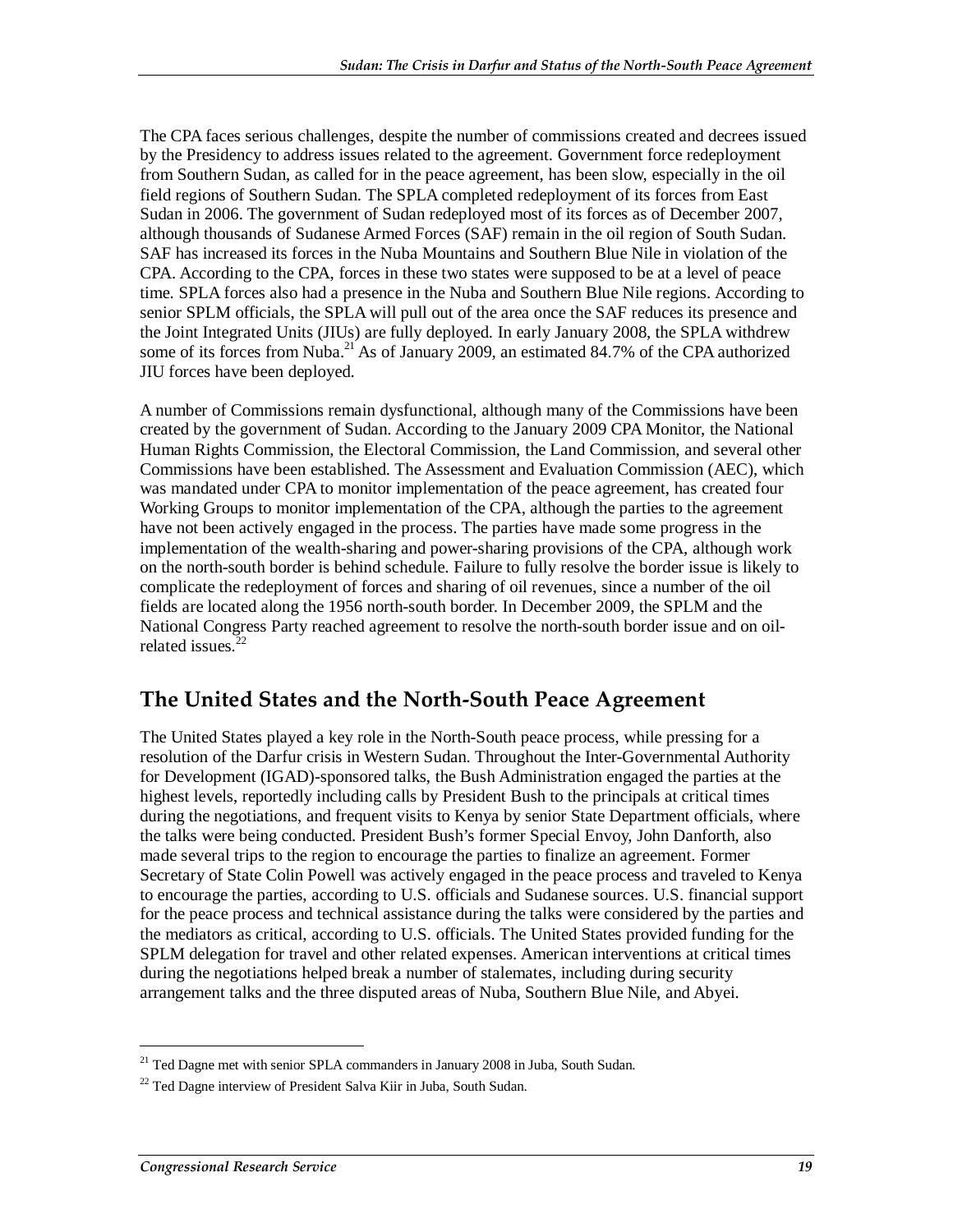The CPA faces serious challenges, despite the number of commissions created and decrees issued by the Presidency to address issues related to the agreement. Government force redeployment from Southern Sudan, as called for in the peace agreement, has been slow, especially in the oil field regions of Southern Sudan. The SPLA completed redeployment of its forces from East Sudan in 2006. The government of Sudan redeployed most of its forces as of December 2007, although thousands of Sudanese Armed Forces (SAF) remain in the oil region of South Sudan. SAF has increased its forces in the Nuba Mountains and Southern Blue Nile in violation of the CPA. According to the CPA, forces in these two states were supposed to be at a level of peace time. SPLA forces also had a presence in the Nuba and Southern Blue Nile regions. According to senior SPLM officials, the SPLA will pull out of the area once the SAF reduces its presence and the Joint Integrated Units (JIUs) are fully deployed. In early January 2008, the SPLA withdrew some of its forces from Nuba.<sup>21</sup> As of January 2009, an estimated 84.7% of the CPA authorized JIU forces have been deployed.

A number of Commissions remain dysfunctional, although many of the Commissions have been created by the government of Sudan. According to the January 2009 CPA Monitor, the National Human Rights Commission, the Electoral Commission, the Land Commission, and several other Commissions have been established. The Assessment and Evaluation Commission (AEC), which was mandated under CPA to monitor implementation of the peace agreement, has created four Working Groups to monitor implementation of the CPA, although the parties to the agreement have not been actively engaged in the process. The parties have made some progress in the implementation of the wealth-sharing and power-sharing provisions of the CPA, although work on the north-south border is behind schedule. Failure to fully resolve the border issue is likely to complicate the redeployment of forces and sharing of oil revenues, since a number of the oil fields are located along the 1956 north-south border. In December 2009, the SPLM and the National Congress Party reached agreement to resolve the north-south border issue and on oilrelated issues.<sup>22</sup>

### **The United States and the North-South Peace Agreement**

The United States played a key role in the North-South peace process, while pressing for a resolution of the Darfur crisis in Western Sudan. Throughout the Inter-Governmental Authority for Development (IGAD)-sponsored talks, the Bush Administration engaged the parties at the highest levels, reportedly including calls by President Bush to the principals at critical times during the negotiations, and frequent visits to Kenya by senior State Department officials, where the talks were being conducted. President Bush's former Special Envoy, John Danforth, also made several trips to the region to encourage the parties to finalize an agreement. Former Secretary of State Colin Powell was actively engaged in the peace process and traveled to Kenya to encourage the parties, according to U.S. officials and Sudanese sources. U.S. financial support for the peace process and technical assistance during the talks were considered by the parties and the mediators as critical, according to U.S. officials. The United States provided funding for the SPLM delegation for travel and other related expenses. American interventions at critical times during the negotiations helped break a number of stalemates, including during security arrangement talks and the three disputed areas of Nuba, Southern Blue Nile, and Abyei.

 $21$  Ted Dagne met with senior SPLA commanders in January 2008 in Juba, South Sudan.

 $22$  Ted Dagne interview of President Salva Kiir in Juba, South Sudan.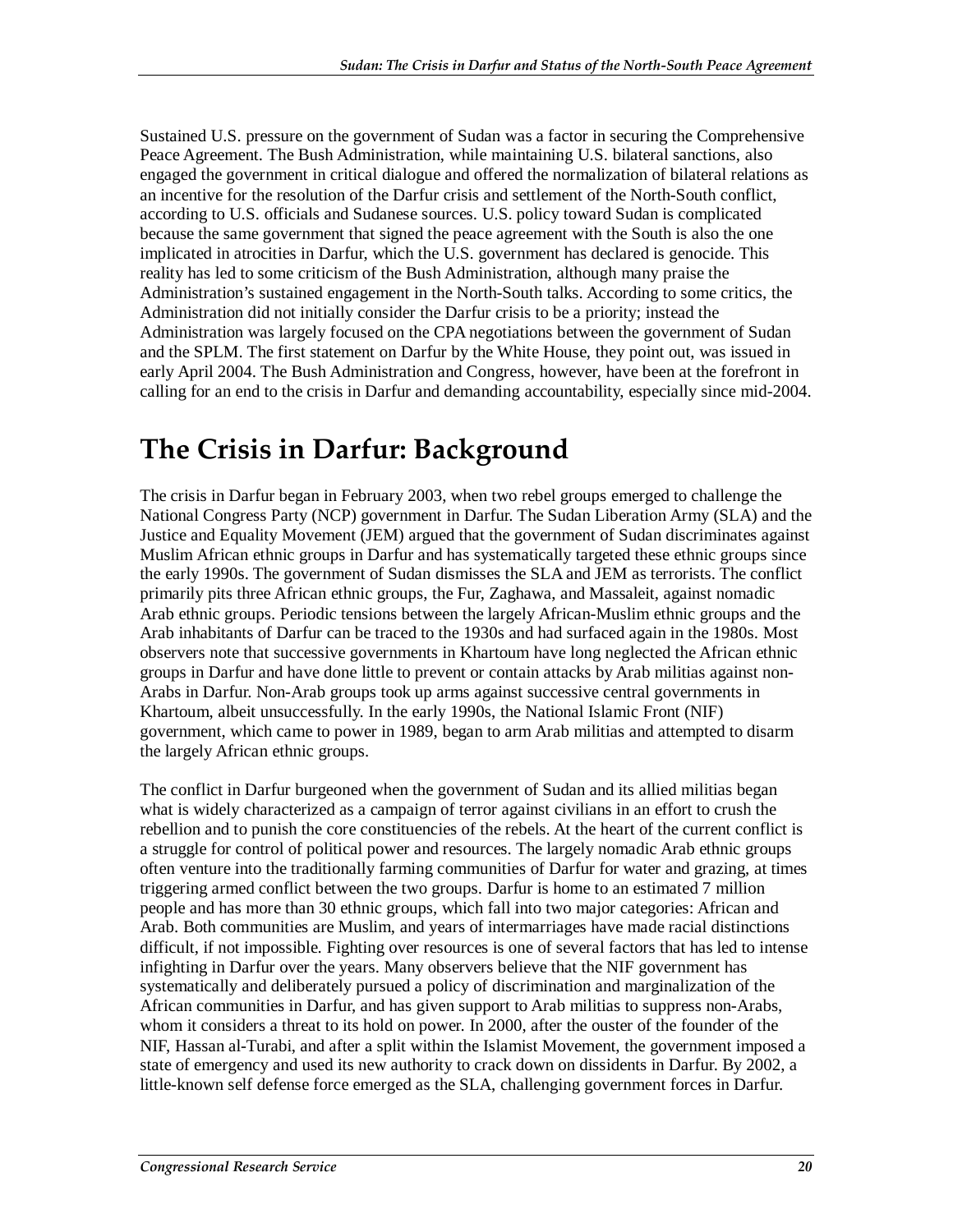Sustained U.S. pressure on the government of Sudan was a factor in securing the Comprehensive Peace Agreement. The Bush Administration, while maintaining U.S. bilateral sanctions, also engaged the government in critical dialogue and offered the normalization of bilateral relations as an incentive for the resolution of the Darfur crisis and settlement of the North-South conflict, according to U.S. officials and Sudanese sources. U.S. policy toward Sudan is complicated because the same government that signed the peace agreement with the South is also the one implicated in atrocities in Darfur, which the U.S. government has declared is genocide. This reality has led to some criticism of the Bush Administration, although many praise the Administration's sustained engagement in the North-South talks. According to some critics, the Administration did not initially consider the Darfur crisis to be a priority; instead the Administration was largely focused on the CPA negotiations between the government of Sudan and the SPLM. The first statement on Darfur by the White House, they point out, was issued in early April 2004. The Bush Administration and Congress, however, have been at the forefront in calling for an end to the crisis in Darfur and demanding accountability, especially since mid-2004.

## **The Crisis in Darfur: Background**

The crisis in Darfur began in February 2003, when two rebel groups emerged to challenge the National Congress Party (NCP) government in Darfur. The Sudan Liberation Army (SLA) and the Justice and Equality Movement (JEM) argued that the government of Sudan discriminates against Muslim African ethnic groups in Darfur and has systematically targeted these ethnic groups since the early 1990s. The government of Sudan dismisses the SLA and JEM as terrorists. The conflict primarily pits three African ethnic groups, the Fur, Zaghawa, and Massaleit, against nomadic Arab ethnic groups. Periodic tensions between the largely African-Muslim ethnic groups and the Arab inhabitants of Darfur can be traced to the 1930s and had surfaced again in the 1980s. Most observers note that successive governments in Khartoum have long neglected the African ethnic groups in Darfur and have done little to prevent or contain attacks by Arab militias against non-Arabs in Darfur. Non-Arab groups took up arms against successive central governments in Khartoum, albeit unsuccessfully. In the early 1990s, the National Islamic Front (NIF) government, which came to power in 1989, began to arm Arab militias and attempted to disarm the largely African ethnic groups.

The conflict in Darfur burgeoned when the government of Sudan and its allied militias began what is widely characterized as a campaign of terror against civilians in an effort to crush the rebellion and to punish the core constituencies of the rebels. At the heart of the current conflict is a struggle for control of political power and resources. The largely nomadic Arab ethnic groups often venture into the traditionally farming communities of Darfur for water and grazing, at times triggering armed conflict between the two groups. Darfur is home to an estimated 7 million people and has more than 30 ethnic groups, which fall into two major categories: African and Arab. Both communities are Muslim, and years of intermarriages have made racial distinctions difficult, if not impossible. Fighting over resources is one of several factors that has led to intense infighting in Darfur over the years. Many observers believe that the NIF government has systematically and deliberately pursued a policy of discrimination and marginalization of the African communities in Darfur, and has given support to Arab militias to suppress non-Arabs, whom it considers a threat to its hold on power. In 2000, after the ouster of the founder of the NIF, Hassan al-Turabi, and after a split within the Islamist Movement, the government imposed a state of emergency and used its new authority to crack down on dissidents in Darfur. By 2002, a little-known self defense force emerged as the SLA, challenging government forces in Darfur.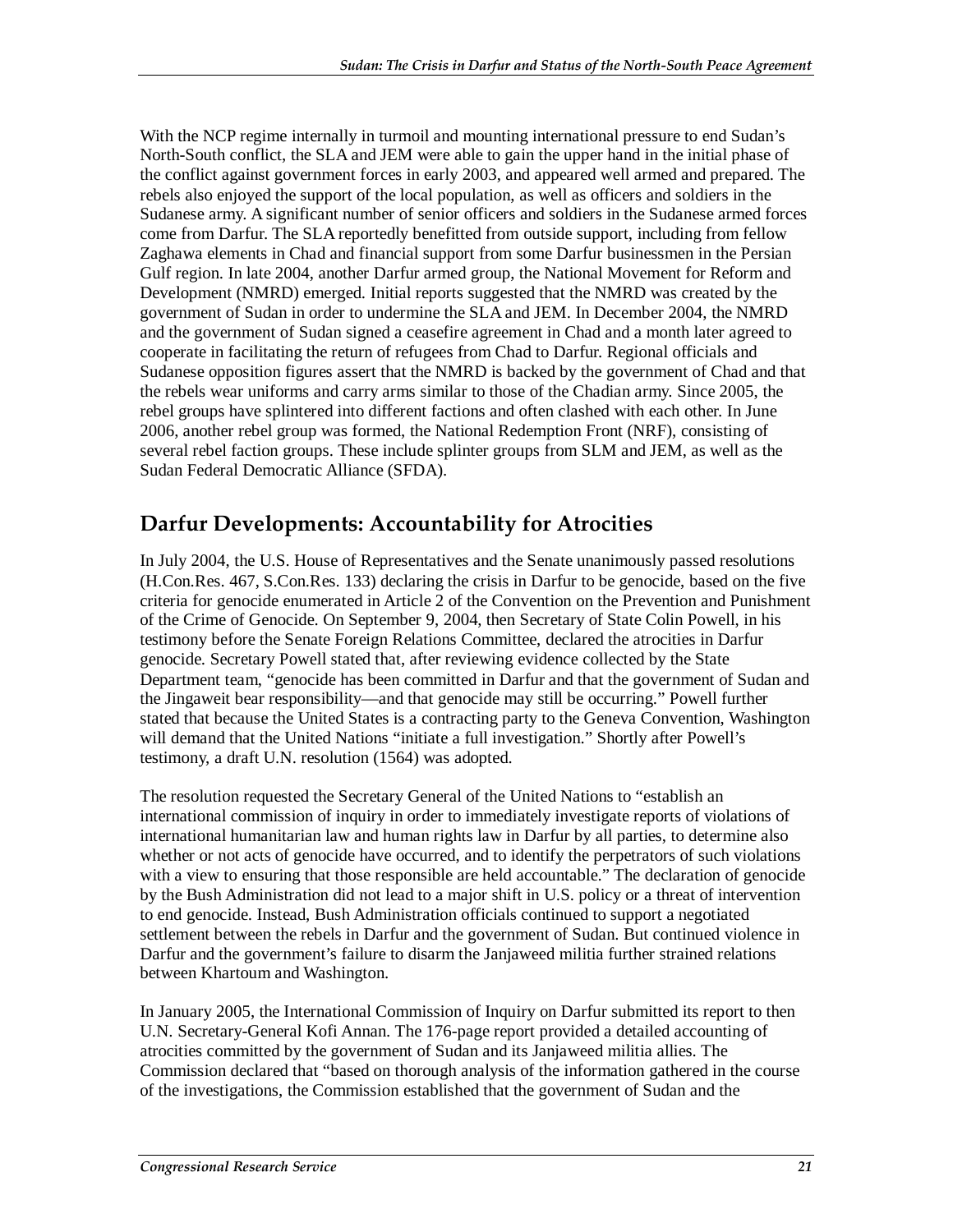With the NCP regime internally in turmoil and mounting international pressure to end Sudan's North-South conflict, the SLA and JEM were able to gain the upper hand in the initial phase of the conflict against government forces in early 2003, and appeared well armed and prepared. The rebels also enjoyed the support of the local population, as well as officers and soldiers in the Sudanese army. A significant number of senior officers and soldiers in the Sudanese armed forces come from Darfur. The SLA reportedly benefitted from outside support, including from fellow Zaghawa elements in Chad and financial support from some Darfur businessmen in the Persian Gulf region. In late 2004, another Darfur armed group, the National Movement for Reform and Development (NMRD) emerged. Initial reports suggested that the NMRD was created by the government of Sudan in order to undermine the SLA and JEM. In December 2004, the NMRD and the government of Sudan signed a ceasefire agreement in Chad and a month later agreed to cooperate in facilitating the return of refugees from Chad to Darfur. Regional officials and Sudanese opposition figures assert that the NMRD is backed by the government of Chad and that the rebels wear uniforms and carry arms similar to those of the Chadian army. Since 2005, the rebel groups have splintered into different factions and often clashed with each other. In June 2006, another rebel group was formed, the National Redemption Front (NRF), consisting of several rebel faction groups. These include splinter groups from SLM and JEM, as well as the Sudan Federal Democratic Alliance (SFDA).

### **Darfur Developments: Accountability for Atrocities**

In July 2004, the U.S. House of Representatives and the Senate unanimously passed resolutions (H.Con.Res. 467, S.Con.Res. 133) declaring the crisis in Darfur to be genocide, based on the five criteria for genocide enumerated in Article 2 of the Convention on the Prevention and Punishment of the Crime of Genocide. On September 9, 2004, then Secretary of State Colin Powell, in his testimony before the Senate Foreign Relations Committee, declared the atrocities in Darfur genocide. Secretary Powell stated that, after reviewing evidence collected by the State Department team, "genocide has been committed in Darfur and that the government of Sudan and the Jingaweit bear responsibility—and that genocide may still be occurring." Powell further stated that because the United States is a contracting party to the Geneva Convention, Washington will demand that the United Nations "initiate a full investigation." Shortly after Powell's testimony, a draft U.N. resolution (1564) was adopted.

The resolution requested the Secretary General of the United Nations to "establish an international commission of inquiry in order to immediately investigate reports of violations of international humanitarian law and human rights law in Darfur by all parties, to determine also whether or not acts of genocide have occurred, and to identify the perpetrators of such violations with a view to ensuring that those responsible are held accountable." The declaration of genocide by the Bush Administration did not lead to a major shift in U.S. policy or a threat of intervention to end genocide. Instead, Bush Administration officials continued to support a negotiated settlement between the rebels in Darfur and the government of Sudan. But continued violence in Darfur and the government's failure to disarm the Janjaweed militia further strained relations between Khartoum and Washington.

In January 2005, the International Commission of Inquiry on Darfur submitted its report to then U.N. Secretary-General Kofi Annan. The 176-page report provided a detailed accounting of atrocities committed by the government of Sudan and its Janjaweed militia allies. The Commission declared that "based on thorough analysis of the information gathered in the course of the investigations, the Commission established that the government of Sudan and the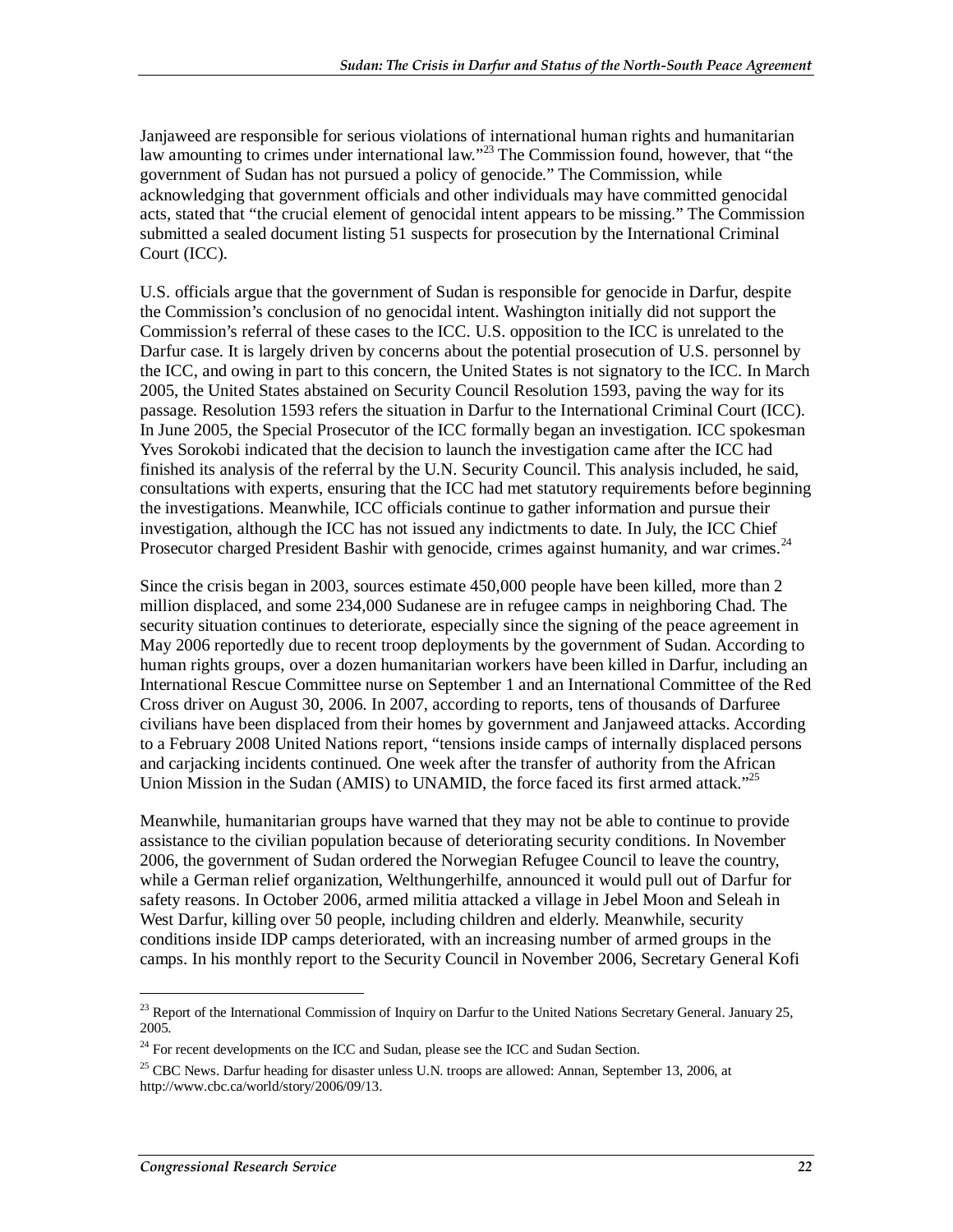Janjaweed are responsible for serious violations of international human rights and humanitarian law amounting to crimes under international law."<sup>23</sup> The Commission found, however, that "the government of Sudan has not pursued a policy of genocide." The Commission, while acknowledging that government officials and other individuals may have committed genocidal acts, stated that "the crucial element of genocidal intent appears to be missing." The Commission submitted a sealed document listing 51 suspects for prosecution by the International Criminal Court (ICC).

U.S. officials argue that the government of Sudan is responsible for genocide in Darfur, despite the Commission's conclusion of no genocidal intent. Washington initially did not support the Commission's referral of these cases to the ICC. U.S. opposition to the ICC is unrelated to the Darfur case. It is largely driven by concerns about the potential prosecution of U.S. personnel by the ICC, and owing in part to this concern, the United States is not signatory to the ICC. In March 2005, the United States abstained on Security Council Resolution 1593, paving the way for its passage. Resolution 1593 refers the situation in Darfur to the International Criminal Court (ICC). In June 2005, the Special Prosecutor of the ICC formally began an investigation. ICC spokesman Yves Sorokobi indicated that the decision to launch the investigation came after the ICC had finished its analysis of the referral by the U.N. Security Council. This analysis included, he said, consultations with experts, ensuring that the ICC had met statutory requirements before beginning the investigations. Meanwhile, ICC officials continue to gather information and pursue their investigation, although the ICC has not issued any indictments to date. In July, the ICC Chief Prosecutor charged President Bashir with genocide, crimes against humanity, and war crimes.<sup>24</sup>

Since the crisis began in 2003, sources estimate 450,000 people have been killed, more than 2 million displaced, and some 234,000 Sudanese are in refugee camps in neighboring Chad. The security situation continues to deteriorate, especially since the signing of the peace agreement in May 2006 reportedly due to recent troop deployments by the government of Sudan. According to human rights groups, over a dozen humanitarian workers have been killed in Darfur, including an International Rescue Committee nurse on September 1 and an International Committee of the Red Cross driver on August 30, 2006. In 2007, according to reports, tens of thousands of Darfuree civilians have been displaced from their homes by government and Janjaweed attacks. According to a February 2008 United Nations report, "tensions inside camps of internally displaced persons and carjacking incidents continued. One week after the transfer of authority from the African Union Mission in the Sudan (AMIS) to UNAMID, the force faced its first armed attack.<sup>225</sup>

Meanwhile, humanitarian groups have warned that they may not be able to continue to provide assistance to the civilian population because of deteriorating security conditions. In November 2006, the government of Sudan ordered the Norwegian Refugee Council to leave the country, while a German relief organization, Welthungerhilfe, announced it would pull out of Darfur for safety reasons. In October 2006, armed militia attacked a village in Jebel Moon and Seleah in West Darfur, killing over 50 people, including children and elderly. Meanwhile, security conditions inside IDP camps deteriorated, with an increasing number of armed groups in the camps. In his monthly report to the Security Council in November 2006, Secretary General Kofi

 $^{23}$  Report of the International Commission of Inquiry on Darfur to the United Nations Secretary General. January 25, 2005.

 $24$  For recent developments on the ICC and Sudan, please see the ICC and Sudan Section.

<sup>&</sup>lt;sup>25</sup> CBC News. Darfur heading for disaster unless U.N. troops are allowed: Annan, September 13, 2006, at http://www.cbc.ca/world/story/2006/09/13.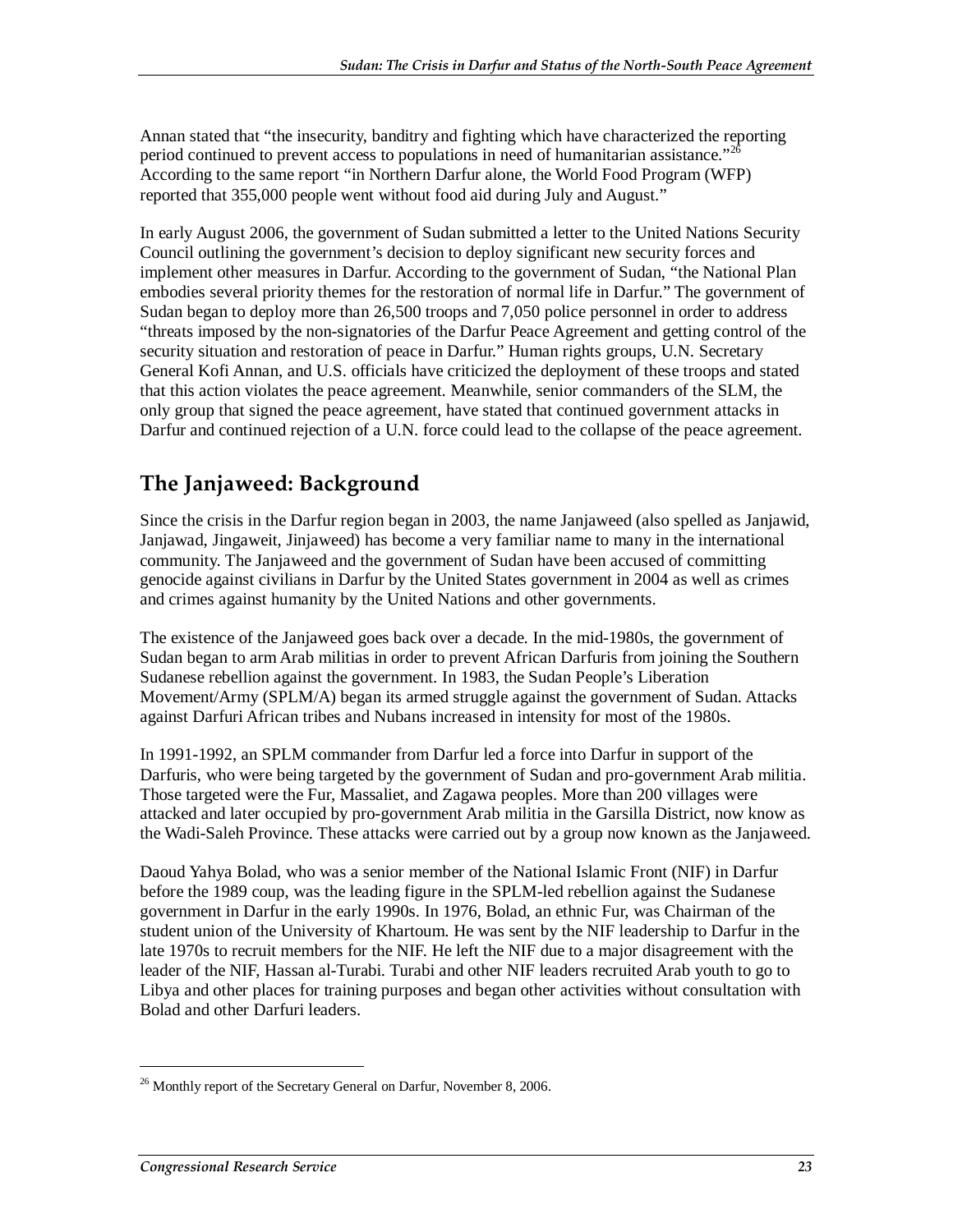Annan stated that "the insecurity, banditry and fighting which have characterized the reporting period continued to prevent access to populations in need of humanitarian assistance.<sup>"26</sup> According to the same report "in Northern Darfur alone, the World Food Program (WFP) reported that 355,000 people went without food aid during July and August."

In early August 2006, the government of Sudan submitted a letter to the United Nations Security Council outlining the government's decision to deploy significant new security forces and implement other measures in Darfur. According to the government of Sudan, "the National Plan embodies several priority themes for the restoration of normal life in Darfur." The government of Sudan began to deploy more than 26,500 troops and 7,050 police personnel in order to address "threats imposed by the non-signatories of the Darfur Peace Agreement and getting control of the security situation and restoration of peace in Darfur." Human rights groups, U.N. Secretary General Kofi Annan, and U.S. officials have criticized the deployment of these troops and stated that this action violates the peace agreement. Meanwhile, senior commanders of the SLM, the only group that signed the peace agreement, have stated that continued government attacks in Darfur and continued rejection of a U.N. force could lead to the collapse of the peace agreement.

### **The Janjaweed: Background**

Since the crisis in the Darfur region began in 2003, the name Janjaweed (also spelled as Janjawid, Janjawad, Jingaweit, Jinjaweed) has become a very familiar name to many in the international community. The Janjaweed and the government of Sudan have been accused of committing genocide against civilians in Darfur by the United States government in 2004 as well as crimes and crimes against humanity by the United Nations and other governments.

The existence of the Janjaweed goes back over a decade. In the mid-1980s, the government of Sudan began to arm Arab militias in order to prevent African Darfuris from joining the Southern Sudanese rebellion against the government. In 1983, the Sudan People's Liberation Movement/Army (SPLM/A) began its armed struggle against the government of Sudan. Attacks against Darfuri African tribes and Nubans increased in intensity for most of the 1980s.

In 1991-1992, an SPLM commander from Darfur led a force into Darfur in support of the Darfuris, who were being targeted by the government of Sudan and pro-government Arab militia. Those targeted were the Fur, Massaliet, and Zagawa peoples. More than 200 villages were attacked and later occupied by pro-government Arab militia in the Garsilla District, now know as the Wadi-Saleh Province. These attacks were carried out by a group now known as the Janjaweed.

Daoud Yahya Bolad, who was a senior member of the National Islamic Front (NIF) in Darfur before the 1989 coup, was the leading figure in the SPLM-led rebellion against the Sudanese government in Darfur in the early 1990s. In 1976, Bolad, an ethnic Fur, was Chairman of the student union of the University of Khartoum. He was sent by the NIF leadership to Darfur in the late 1970s to recruit members for the NIF. He left the NIF due to a major disagreement with the leader of the NIF, Hassan al-Turabi. Turabi and other NIF leaders recruited Arab youth to go to Libya and other places for training purposes and began other activities without consultation with Bolad and other Darfuri leaders.

 $^{26}$  Monthly report of the Secretary General on Darfur, November 8, 2006.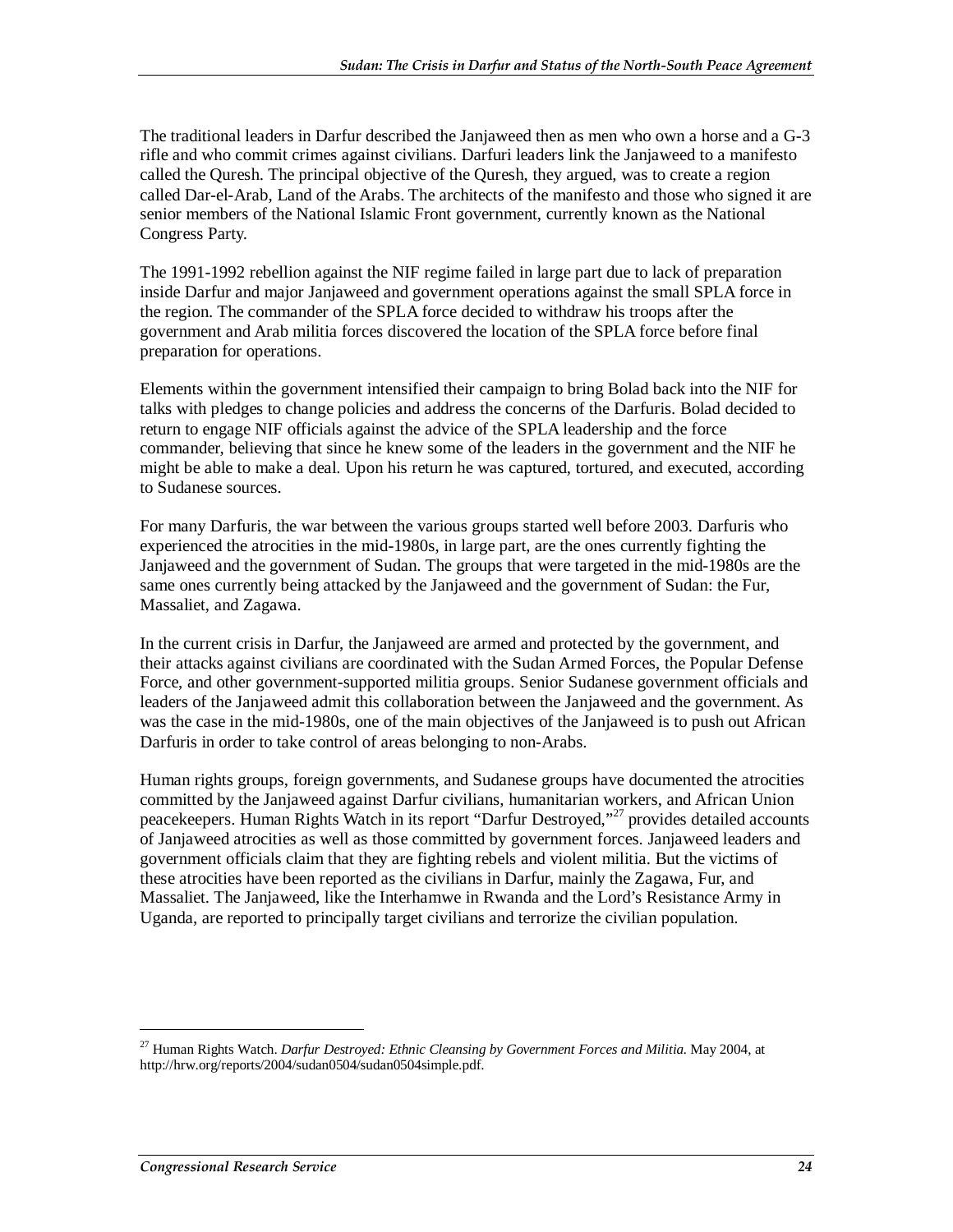The traditional leaders in Darfur described the Janjaweed then as men who own a horse and a G-3 rifle and who commit crimes against civilians. Darfuri leaders link the Janjaweed to a manifesto called the Quresh. The principal objective of the Quresh, they argued, was to create a region called Dar-el-Arab, Land of the Arabs. The architects of the manifesto and those who signed it are senior members of the National Islamic Front government, currently known as the National Congress Party.

The 1991-1992 rebellion against the NIF regime failed in large part due to lack of preparation inside Darfur and major Janjaweed and government operations against the small SPLA force in the region. The commander of the SPLA force decided to withdraw his troops after the government and Arab militia forces discovered the location of the SPLA force before final preparation for operations.

Elements within the government intensified their campaign to bring Bolad back into the NIF for talks with pledges to change policies and address the concerns of the Darfuris. Bolad decided to return to engage NIF officials against the advice of the SPLA leadership and the force commander, believing that since he knew some of the leaders in the government and the NIF he might be able to make a deal. Upon his return he was captured, tortured, and executed, according to Sudanese sources.

For many Darfuris, the war between the various groups started well before 2003. Darfuris who experienced the atrocities in the mid-1980s, in large part, are the ones currently fighting the Janjaweed and the government of Sudan. The groups that were targeted in the mid-1980s are the same ones currently being attacked by the Janjaweed and the government of Sudan: the Fur, Massaliet, and Zagawa.

In the current crisis in Darfur, the Janjaweed are armed and protected by the government, and their attacks against civilians are coordinated with the Sudan Armed Forces, the Popular Defense Force, and other government-supported militia groups. Senior Sudanese government officials and leaders of the Janjaweed admit this collaboration between the Janjaweed and the government. As was the case in the mid-1980s, one of the main objectives of the Janjaweed is to push out African Darfuris in order to take control of areas belonging to non-Arabs.

Human rights groups, foreign governments, and Sudanese groups have documented the atrocities committed by the Janjaweed against Darfur civilians, humanitarian workers, and African Union peacekeepers. Human Rights Watch in its report "Darfur Destroyed,"<sup>27</sup> provides detailed accounts of Janjaweed atrocities as well as those committed by government forces. Janjaweed leaders and government officials claim that they are fighting rebels and violent militia. But the victims of these atrocities have been reported as the civilians in Darfur, mainly the Zagawa, Fur, and Massaliet. The Janjaweed, like the Interhamwe in Rwanda and the Lord's Resistance Army in Uganda, are reported to principally target civilians and terrorize the civilian population.

<sup>27</sup> Human Rights Watch. *Darfur Destroyed: Ethnic Cleansing by Government Forces and Militia.* May 2004, at http://hrw.org/reports/2004/sudan0504/sudan0504simple.pdf.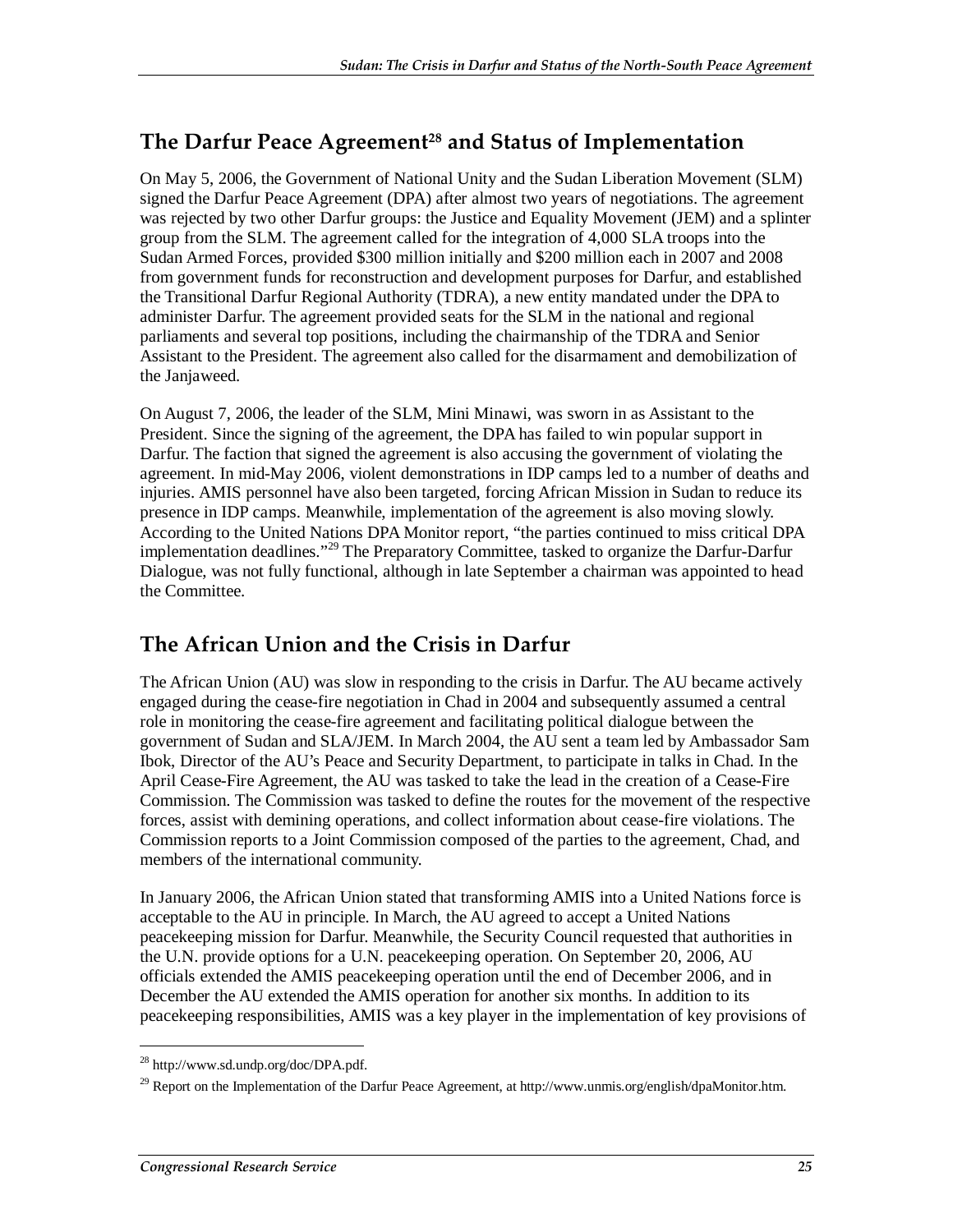### The Darfur Peace Agreement<sup>28</sup> and Status of Implementation

On May 5, 2006, the Government of National Unity and the Sudan Liberation Movement (SLM) signed the Darfur Peace Agreement (DPA) after almost two years of negotiations. The agreement was rejected by two other Darfur groups: the Justice and Equality Movement (JEM) and a splinter group from the SLM. The agreement called for the integration of 4,000 SLA troops into the Sudan Armed Forces, provided \$300 million initially and \$200 million each in 2007 and 2008 from government funds for reconstruction and development purposes for Darfur, and established the Transitional Darfur Regional Authority (TDRA), a new entity mandated under the DPA to administer Darfur. The agreement provided seats for the SLM in the national and regional parliaments and several top positions, including the chairmanship of the TDRA and Senior Assistant to the President. The agreement also called for the disarmament and demobilization of the Janjaweed.

On August 7, 2006, the leader of the SLM, Mini Minawi, was sworn in as Assistant to the President. Since the signing of the agreement, the DPA has failed to win popular support in Darfur. The faction that signed the agreement is also accusing the government of violating the agreement. In mid-May 2006, violent demonstrations in IDP camps led to a number of deaths and injuries. AMIS personnel have also been targeted, forcing African Mission in Sudan to reduce its presence in IDP camps. Meanwhile, implementation of the agreement is also moving slowly. According to the United Nations DPA Monitor report, "the parties continued to miss critical DPA implementation deadlines."<sup>29</sup> The Preparatory Committee, tasked to organize the Darfur-Darfur Dialogue, was not fully functional, although in late September a chairman was appointed to head the Committee.

## **The African Union and the Crisis in Darfur**

The African Union (AU) was slow in responding to the crisis in Darfur. The AU became actively engaged during the cease-fire negotiation in Chad in 2004 and subsequently assumed a central role in monitoring the cease-fire agreement and facilitating political dialogue between the government of Sudan and SLA/JEM. In March 2004, the AU sent a team led by Ambassador Sam Ibok, Director of the AU's Peace and Security Department, to participate in talks in Chad. In the April Cease-Fire Agreement, the AU was tasked to take the lead in the creation of a Cease-Fire Commission. The Commission was tasked to define the routes for the movement of the respective forces, assist with demining operations, and collect information about cease-fire violations. The Commission reports to a Joint Commission composed of the parties to the agreement, Chad, and members of the international community.

In January 2006, the African Union stated that transforming AMIS into a United Nations force is acceptable to the AU in principle. In March, the AU agreed to accept a United Nations peacekeeping mission for Darfur. Meanwhile, the Security Council requested that authorities in the U.N. provide options for a U.N. peacekeeping operation. On September 20, 2006, AU officials extended the AMIS peacekeeping operation until the end of December 2006, and in December the AU extended the AMIS operation for another six months. In addition to its peacekeeping responsibilities, AMIS was a key player in the implementation of key provisions of

<sup>28</sup> http://www.sd.undp.org/doc/DPA.pdf.

<sup>&</sup>lt;sup>29</sup> Report on the Implementation of the Darfur Peace Agreement, at http://www.unmis.org/english/dpaMonitor.htm.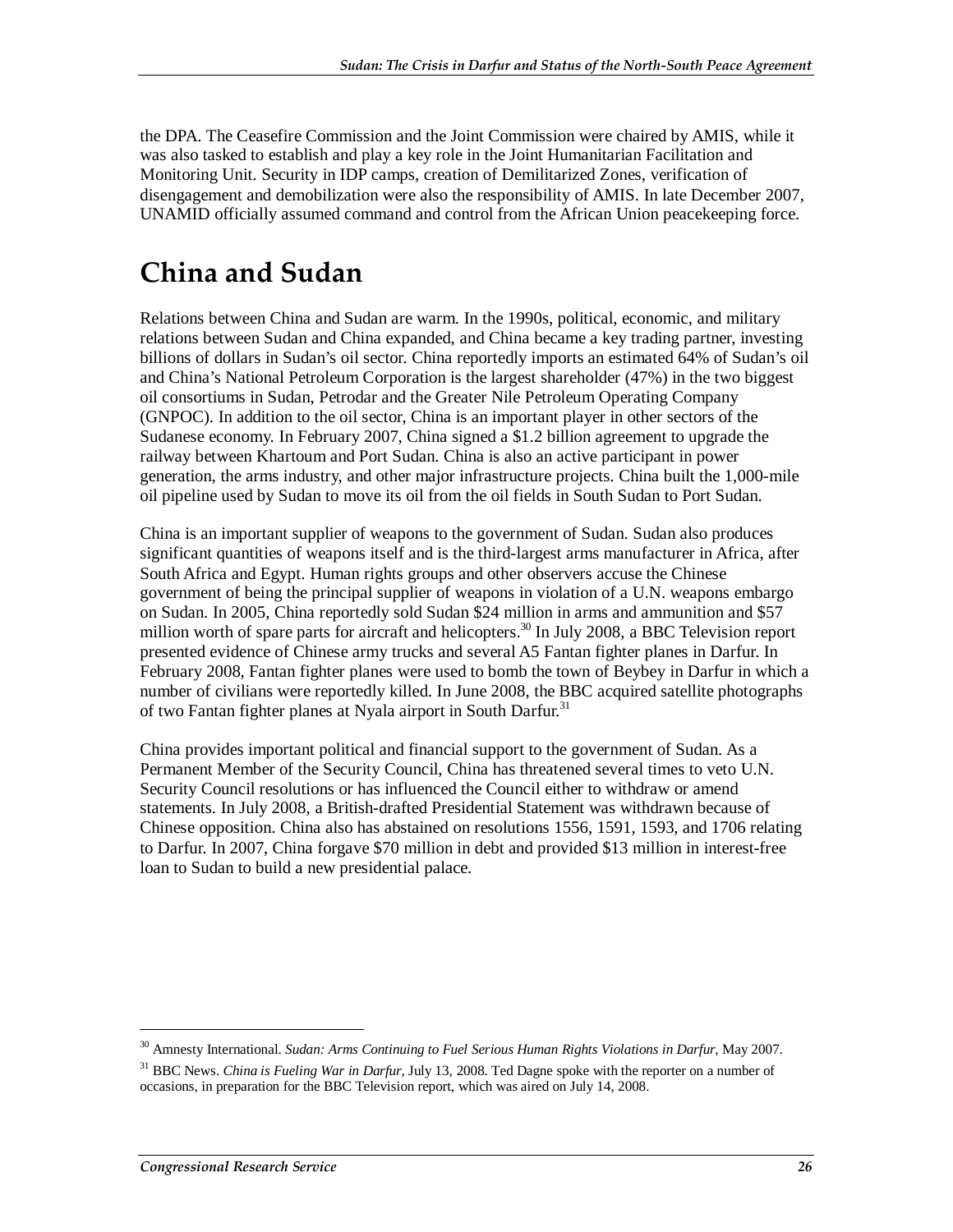the DPA. The Ceasefire Commission and the Joint Commission were chaired by AMIS, while it was also tasked to establish and play a key role in the Joint Humanitarian Facilitation and Monitoring Unit. Security in IDP camps, creation of Demilitarized Zones, verification of disengagement and demobilization were also the responsibility of AMIS. In late December 2007, UNAMID officially assumed command and control from the African Union peacekeeping force.

## **China and Sudan**

Relations between China and Sudan are warm. In the 1990s, political, economic, and military relations between Sudan and China expanded, and China became a key trading partner, investing billions of dollars in Sudan's oil sector. China reportedly imports an estimated 64% of Sudan's oil and China's National Petroleum Corporation is the largest shareholder (47%) in the two biggest oil consortiums in Sudan, Petrodar and the Greater Nile Petroleum Operating Company (GNPOC). In addition to the oil sector, China is an important player in other sectors of the Sudanese economy. In February 2007, China signed a \$1.2 billion agreement to upgrade the railway between Khartoum and Port Sudan. China is also an active participant in power generation, the arms industry, and other major infrastructure projects. China built the 1,000-mile oil pipeline used by Sudan to move its oil from the oil fields in South Sudan to Port Sudan.

China is an important supplier of weapons to the government of Sudan. Sudan also produces significant quantities of weapons itself and is the third-largest arms manufacturer in Africa, after South Africa and Egypt. Human rights groups and other observers accuse the Chinese government of being the principal supplier of weapons in violation of a U.N. weapons embargo on Sudan. In 2005, China reportedly sold Sudan \$24 million in arms and ammunition and \$57 million worth of spare parts for aircraft and helicopters.<sup>30</sup> In July 2008, a BBC Television report presented evidence of Chinese army trucks and several A5 Fantan fighter planes in Darfur. In February 2008, Fantan fighter planes were used to bomb the town of Beybey in Darfur in which a number of civilians were reportedly killed. In June 2008, the BBC acquired satellite photographs of two Fantan fighter planes at Nyala airport in South Darfur.<sup>31</sup>

China provides important political and financial support to the government of Sudan. As a Permanent Member of the Security Council, China has threatened several times to veto U.N. Security Council resolutions or has influenced the Council either to withdraw or amend statements. In July 2008, a British-drafted Presidential Statement was withdrawn because of Chinese opposition. China also has abstained on resolutions 1556, 1591, 1593, and 1706 relating to Darfur. In 2007, China forgave \$70 million in debt and provided \$13 million in interest-free loan to Sudan to build a new presidential palace.

<sup>30</sup> Amnesty International. *Sudan: Arms Continuing to Fuel Serious Human Rights Violations in Darfur*, May 2007.

<sup>31</sup> BBC News. *China is Fueling War in Darfur*, July 13, 2008. Ted Dagne spoke with the reporter on a number of occasions, in preparation for the BBC Television report, which was aired on July 14, 2008.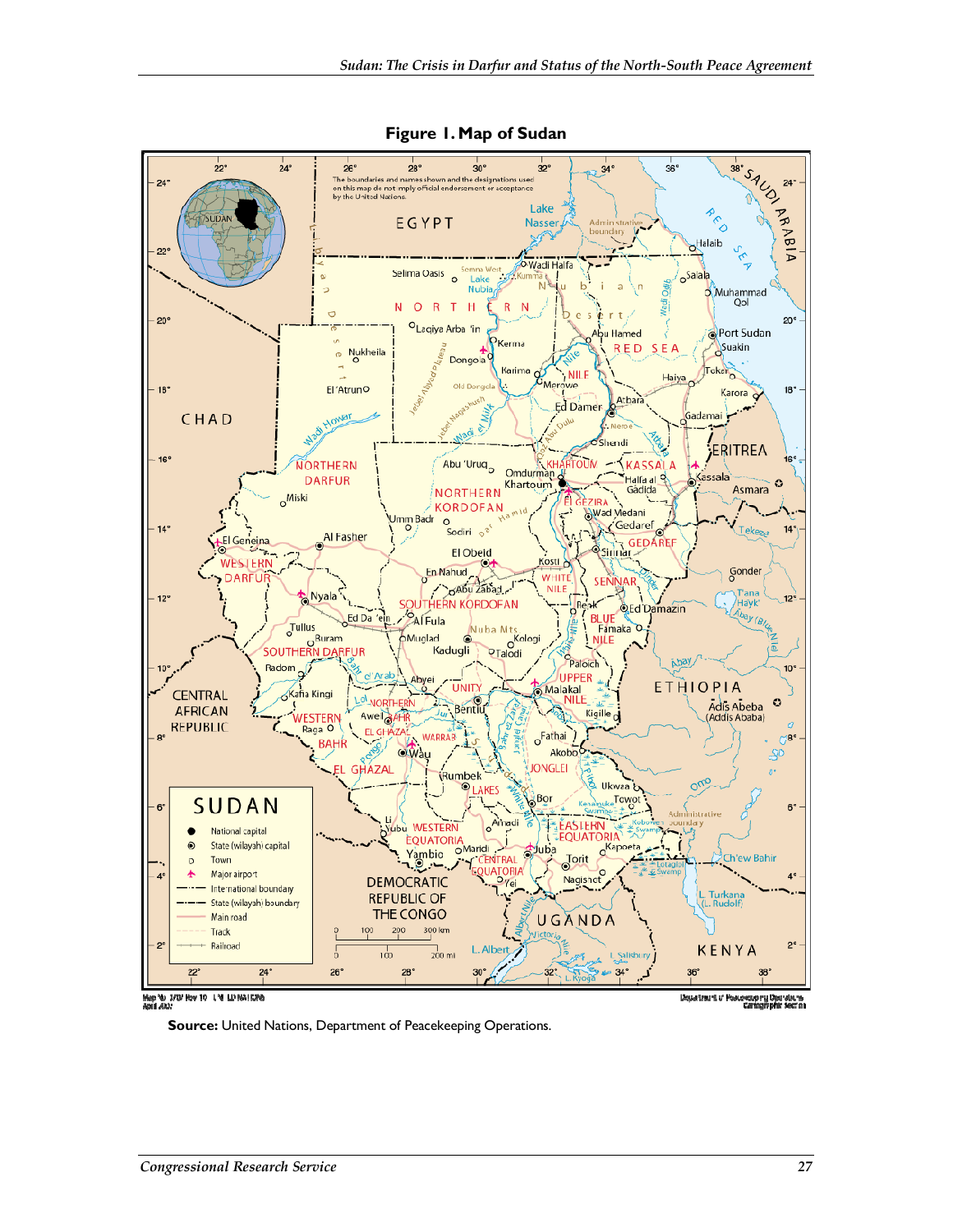

**Figure 1. Map of Sudan** 

.<br>Map No 1707 Hov 10 L.NI LD NATIONS<br>April 2007

Department of Poscessiping Operations

**Source:** United Nations, Department of Peacekeeping Operations.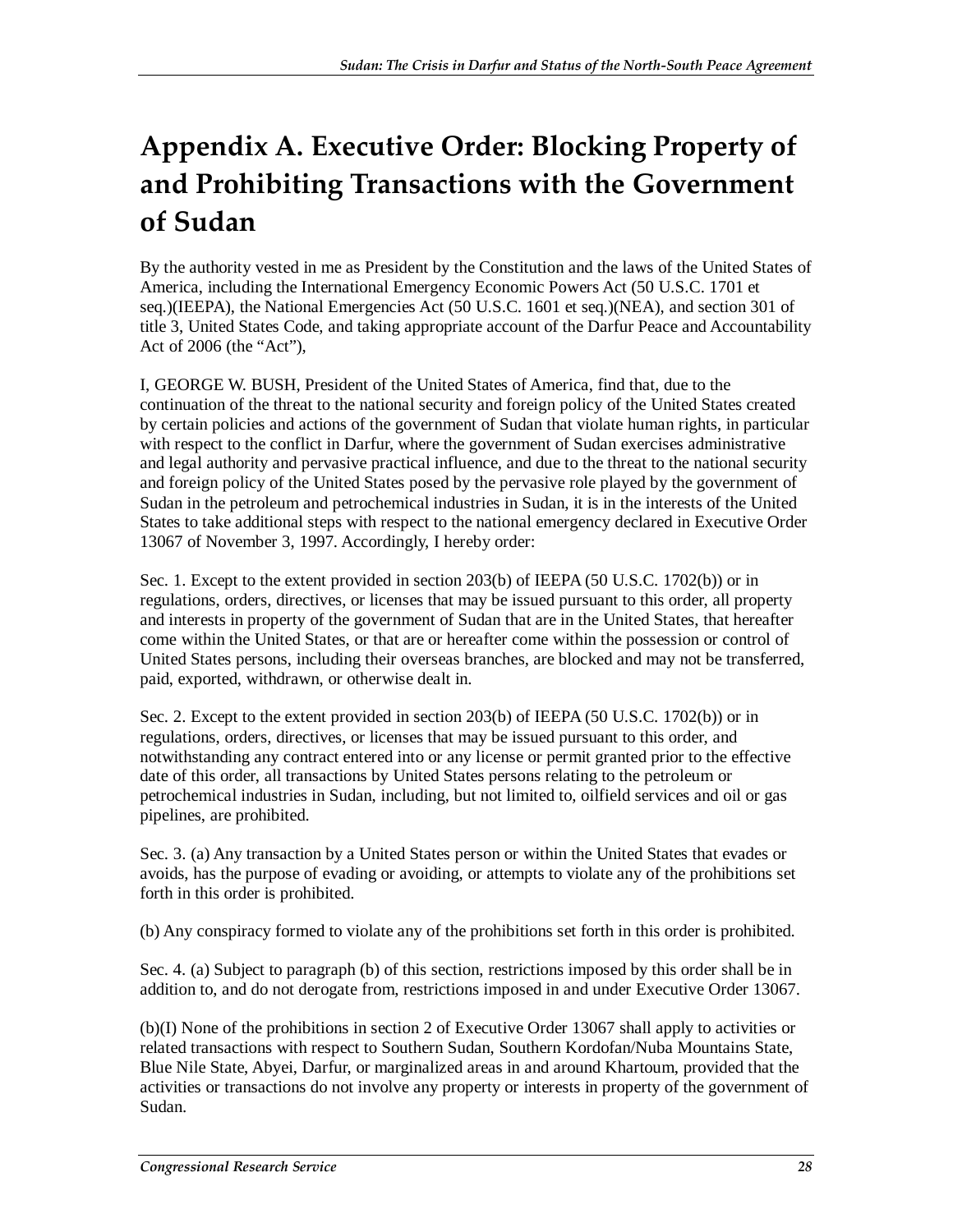## **Appendix A. Executive Order: Blocking Property of and Prohibiting Transactions with the Government of Sudan**

By the authority vested in me as President by the Constitution and the laws of the United States of America, including the International Emergency Economic Powers Act (50 U.S.C. 1701 et seq.)(IEEPA), the National Emergencies Act (50 U.S.C. 1601 et seq.)(NEA), and section 301 of title 3, United States Code, and taking appropriate account of the Darfur Peace and Accountability Act of 2006 (the "Act"),

I, GEORGE W. BUSH, President of the United States of America, find that, due to the continuation of the threat to the national security and foreign policy of the United States created by certain policies and actions of the government of Sudan that violate human rights, in particular with respect to the conflict in Darfur, where the government of Sudan exercises administrative and legal authority and pervasive practical influence, and due to the threat to the national security and foreign policy of the United States posed by the pervasive role played by the government of Sudan in the petroleum and petrochemical industries in Sudan, it is in the interests of the United States to take additional steps with respect to the national emergency declared in Executive Order 13067 of November 3, 1997. Accordingly, I hereby order:

Sec. 1. Except to the extent provided in section 203(b) of IEEPA (50 U.S.C. 1702(b)) or in regulations, orders, directives, or licenses that may be issued pursuant to this order, all property and interests in property of the government of Sudan that are in the United States, that hereafter come within the United States, or that are or hereafter come within the possession or control of United States persons, including their overseas branches, are blocked and may not be transferred, paid, exported, withdrawn, or otherwise dealt in.

Sec. 2. Except to the extent provided in section 203(b) of IEEPA (50 U.S.C. 1702(b)) or in regulations, orders, directives, or licenses that may be issued pursuant to this order, and notwithstanding any contract entered into or any license or permit granted prior to the effective date of this order, all transactions by United States persons relating to the petroleum or petrochemical industries in Sudan, including, but not limited to, oilfield services and oil or gas pipelines, are prohibited.

Sec. 3. (a) Any transaction by a United States person or within the United States that evades or avoids, has the purpose of evading or avoiding, or attempts to violate any of the prohibitions set forth in this order is prohibited.

(b) Any conspiracy formed to violate any of the prohibitions set forth in this order is prohibited.

Sec. 4. (a) Subject to paragraph (b) of this section, restrictions imposed by this order shall be in addition to, and do not derogate from, restrictions imposed in and under Executive Order 13067.

(b)(I) None of the prohibitions in section 2 of Executive Order 13067 shall apply to activities or related transactions with respect to Southern Sudan, Southern Kordofan/Nuba Mountains State, Blue Nile State, Abyei, Darfur, or marginalized areas in and around Khartoum, provided that the activities or transactions do not involve any property or interests in property of the government of Sudan.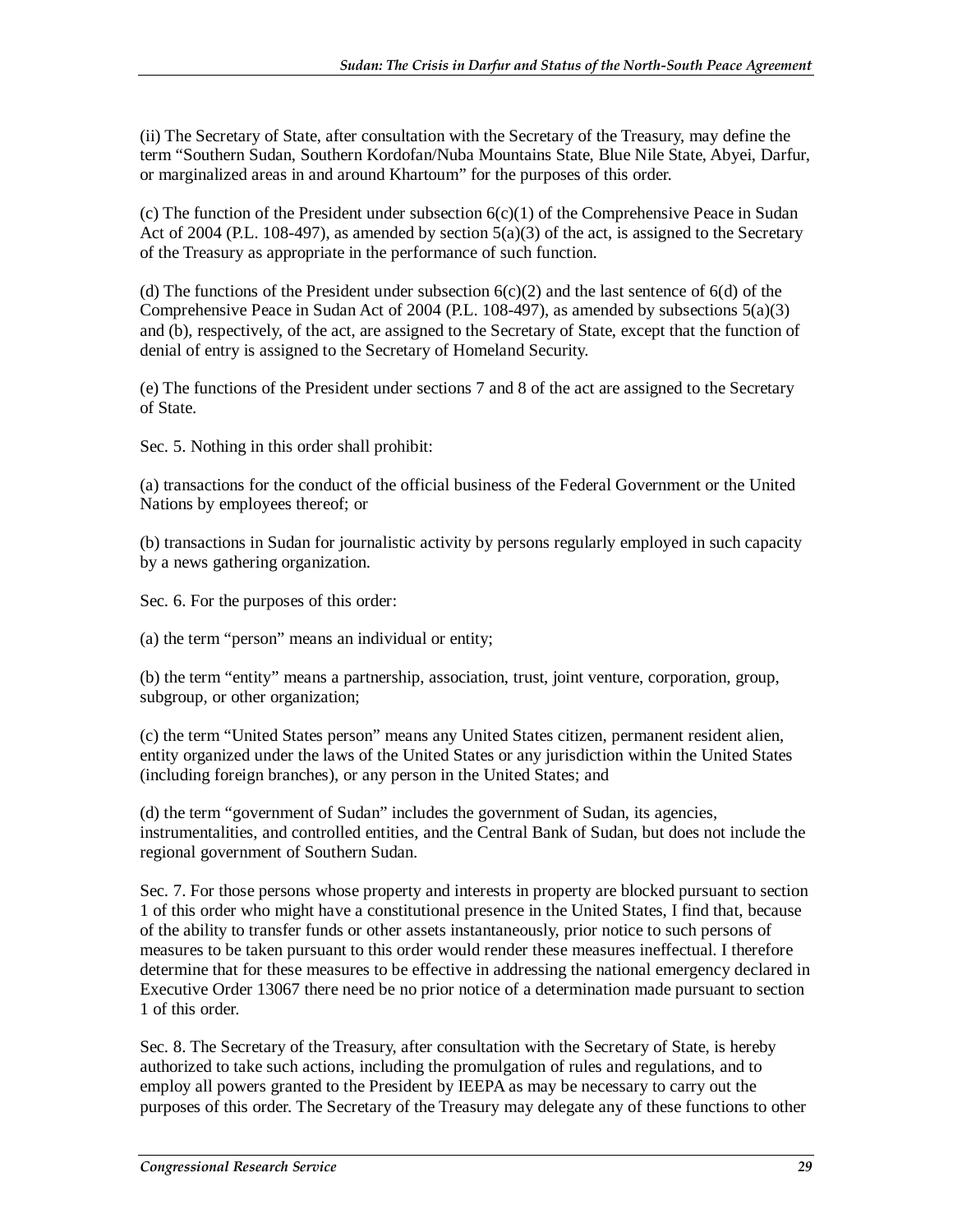(ii) The Secretary of State, after consultation with the Secretary of the Treasury, may define the term "Southern Sudan, Southern Kordofan/Nuba Mountains State, Blue Nile State, Abyei, Darfur, or marginalized areas in and around Khartoum" for the purposes of this order.

(c) The function of the President under subsection  $6(c)(1)$  of the Comprehensive Peace in Sudan Act of 2004 (P.L. 108-497), as amended by section  $5(a)(3)$  of the act, is assigned to the Secretary of the Treasury as appropriate in the performance of such function.

(d) The functions of the President under subsection  $6(c)(2)$  and the last sentence of  $6(d)$  of the Comprehensive Peace in Sudan Act of 2004 (P.L. 108-497), as amended by subsections  $5(a)(3)$ and (b), respectively, of the act, are assigned to the Secretary of State, except that the function of denial of entry is assigned to the Secretary of Homeland Security.

(e) The functions of the President under sections 7 and 8 of the act are assigned to the Secretary of State.

Sec. 5. Nothing in this order shall prohibit:

(a) transactions for the conduct of the official business of the Federal Government or the United Nations by employees thereof; or

(b) transactions in Sudan for journalistic activity by persons regularly employed in such capacity by a news gathering organization.

Sec. 6. For the purposes of this order:

(a) the term "person" means an individual or entity;

(b) the term "entity" means a partnership, association, trust, joint venture, corporation, group, subgroup, or other organization;

(c) the term "United States person" means any United States citizen, permanent resident alien, entity organized under the laws of the United States or any jurisdiction within the United States (including foreign branches), or any person in the United States; and

(d) the term "government of Sudan" includes the government of Sudan, its agencies, instrumentalities, and controlled entities, and the Central Bank of Sudan, but does not include the regional government of Southern Sudan.

Sec. 7. For those persons whose property and interests in property are blocked pursuant to section 1 of this order who might have a constitutional presence in the United States, I find that, because of the ability to transfer funds or other assets instantaneously, prior notice to such persons of measures to be taken pursuant to this order would render these measures ineffectual. I therefore determine that for these measures to be effective in addressing the national emergency declared in Executive Order 13067 there need be no prior notice of a determination made pursuant to section 1 of this order.

Sec. 8. The Secretary of the Treasury, after consultation with the Secretary of State, is hereby authorized to take such actions, including the promulgation of rules and regulations, and to employ all powers granted to the President by IEEPA as may be necessary to carry out the purposes of this order. The Secretary of the Treasury may delegate any of these functions to other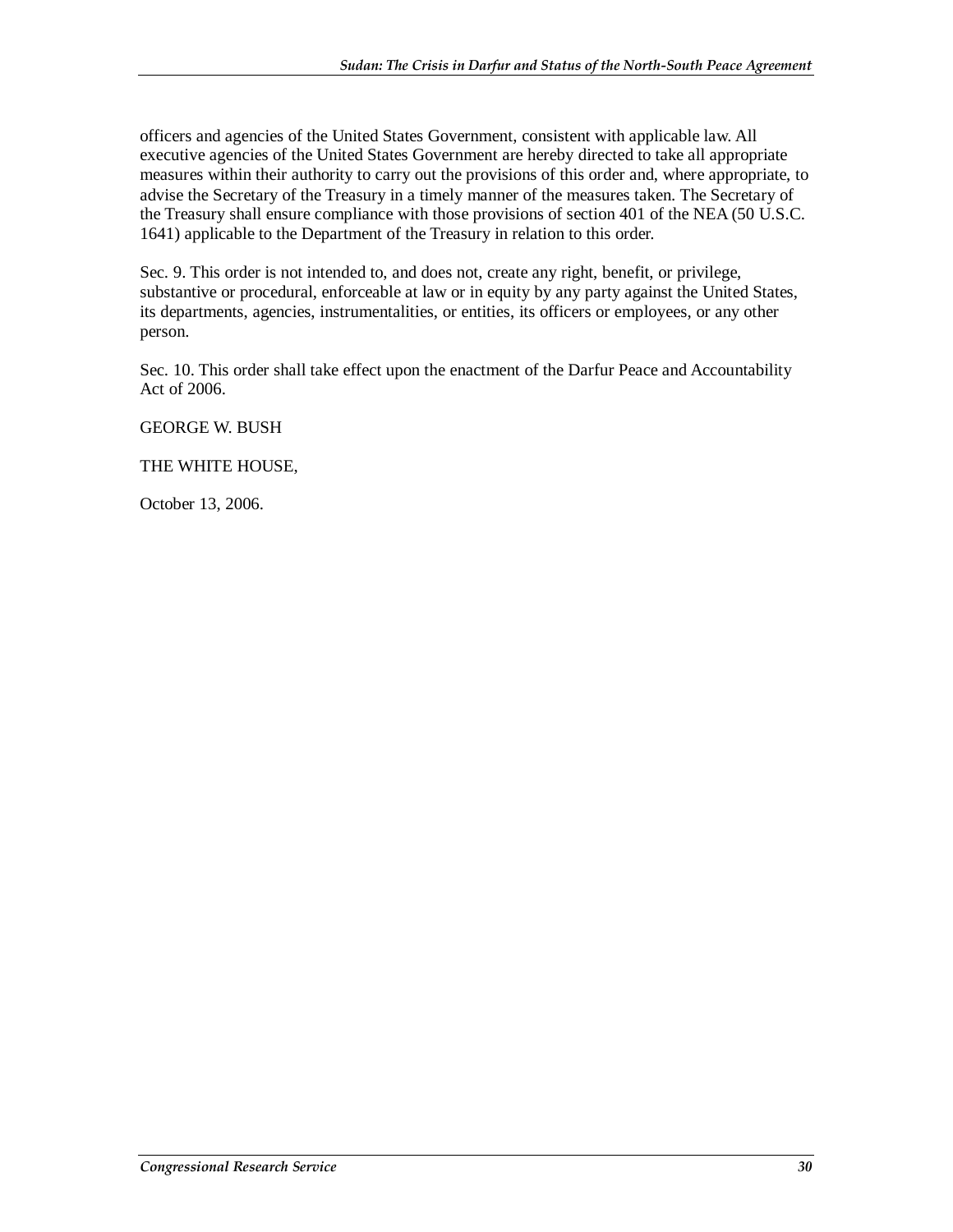officers and agencies of the United States Government, consistent with applicable law. All executive agencies of the United States Government are hereby directed to take all appropriate measures within their authority to carry out the provisions of this order and, where appropriate, to advise the Secretary of the Treasury in a timely manner of the measures taken. The Secretary of the Treasury shall ensure compliance with those provisions of section 401 of the NEA (50 U.S.C. 1641) applicable to the Department of the Treasury in relation to this order.

Sec. 9. This order is not intended to, and does not, create any right, benefit, or privilege, substantive or procedural, enforceable at law or in equity by any party against the United States, its departments, agencies, instrumentalities, or entities, its officers or employees, or any other person.

Sec. 10. This order shall take effect upon the enactment of the Darfur Peace and Accountability Act of 2006.

#### GEORGE W. BUSH

#### THE WHITE HOUSE,

October 13, 2006.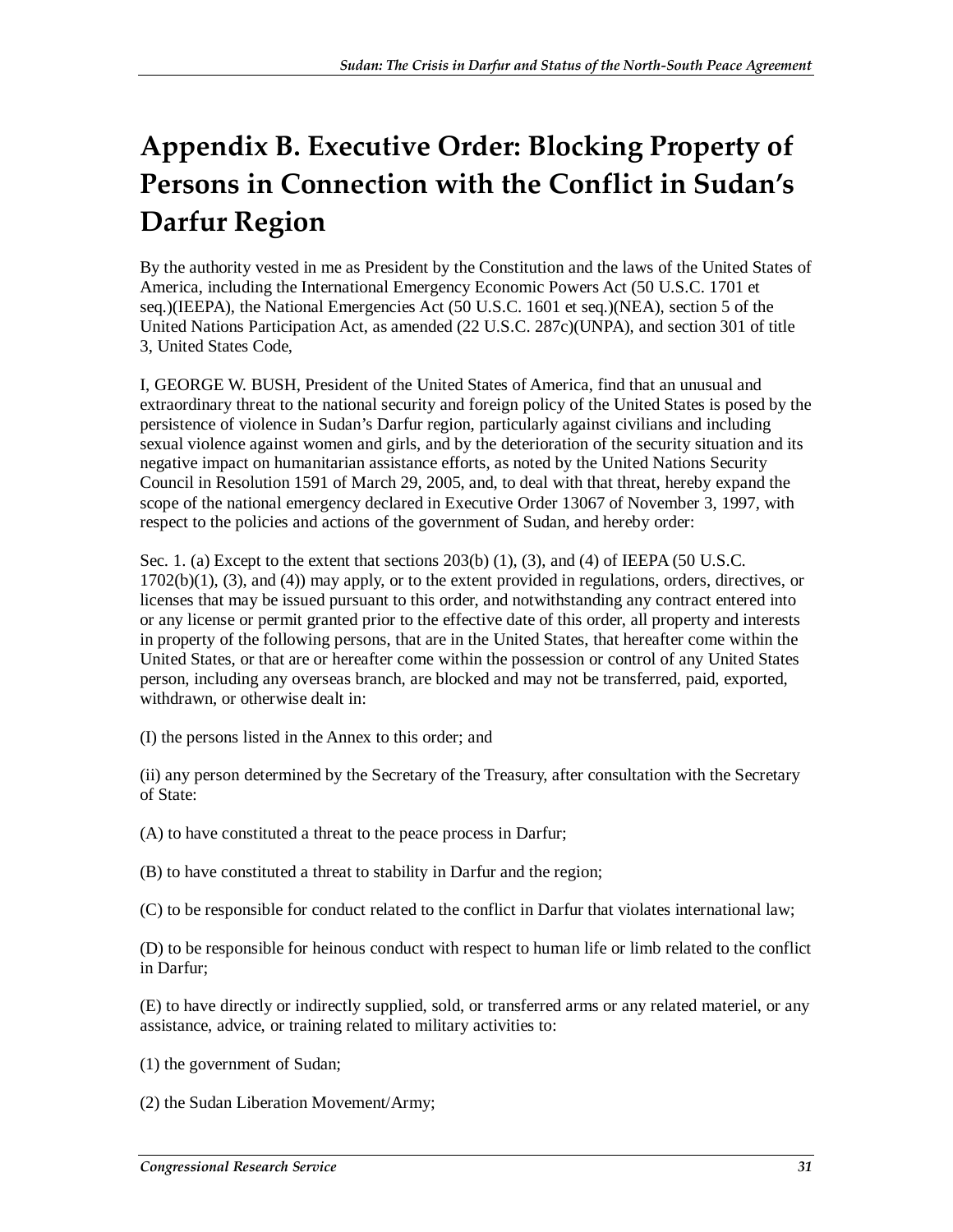## **Appendix B. Executive Order: Blocking Property of Persons in Connection with the Conflict in Sudan's Darfur Region**

By the authority vested in me as President by the Constitution and the laws of the United States of America, including the International Emergency Economic Powers Act (50 U.S.C. 1701 et seq.)(IEEPA), the National Emergencies Act (50 U.S.C. 1601 et seq.)(NEA), section 5 of the United Nations Participation Act, as amended (22 U.S.C. 287c)(UNPA), and section 301 of title 3, United States Code,

I, GEORGE W. BUSH, President of the United States of America, find that an unusual and extraordinary threat to the national security and foreign policy of the United States is posed by the persistence of violence in Sudan's Darfur region, particularly against civilians and including sexual violence against women and girls, and by the deterioration of the security situation and its negative impact on humanitarian assistance efforts, as noted by the United Nations Security Council in Resolution 1591 of March 29, 2005, and, to deal with that threat, hereby expand the scope of the national emergency declared in Executive Order 13067 of November 3, 1997, with respect to the policies and actions of the government of Sudan, and hereby order:

Sec. 1. (a) Except to the extent that sections  $203(b)$  (1), (3), and (4) of IEEPA (50 U.S.C. 1702(b)(1), (3), and (4)) may apply, or to the extent provided in regulations, orders, directives, or licenses that may be issued pursuant to this order, and notwithstanding any contract entered into or any license or permit granted prior to the effective date of this order, all property and interests in property of the following persons, that are in the United States, that hereafter come within the United States, or that are or hereafter come within the possession or control of any United States person, including any overseas branch, are blocked and may not be transferred, paid, exported, withdrawn, or otherwise dealt in:

(I) the persons listed in the Annex to this order; and

(ii) any person determined by the Secretary of the Treasury, after consultation with the Secretary of State:

- (A) to have constituted a threat to the peace process in Darfur;
- (B) to have constituted a threat to stability in Darfur and the region;
- (C) to be responsible for conduct related to the conflict in Darfur that violates international law;

(D) to be responsible for heinous conduct with respect to human life or limb related to the conflict in Darfur;

(E) to have directly or indirectly supplied, sold, or transferred arms or any related materiel, or any assistance, advice, or training related to military activities to:

- (1) the government of Sudan;
- (2) the Sudan Liberation Movement/Army;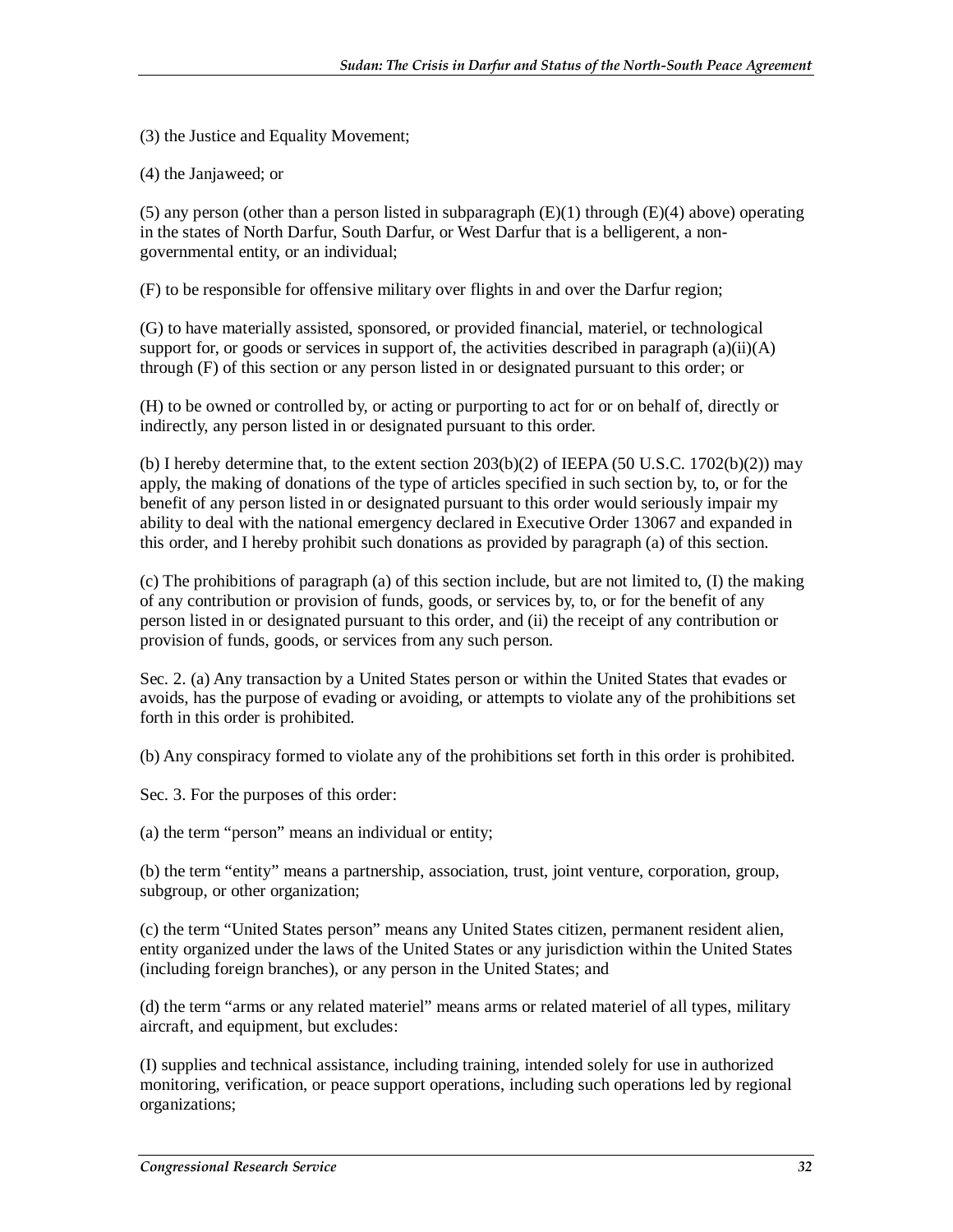(3) the Justice and Equality Movement;

(4) the Janjaweed; or

(5) any person (other than a person listed in subparagraph  $(E)(1)$  through  $(E)(4)$  above) operating in the states of North Darfur, South Darfur, or West Darfur that is a belligerent, a nongovernmental entity, or an individual;

(F) to be responsible for offensive military over flights in and over the Darfur region;

(G) to have materially assisted, sponsored, or provided financial, materiel, or technological support for, or goods or services in support of, the activities described in paragraph  $(a)(ii)(A)$ through (F) of this section or any person listed in or designated pursuant to this order; or

(H) to be owned or controlled by, or acting or purporting to act for or on behalf of, directly or indirectly, any person listed in or designated pursuant to this order.

(b) I hereby determine that, to the extent section  $203(b)(2)$  of IEEPA (50 U.S.C. 1702(b)(2)) may apply, the making of donations of the type of articles specified in such section by, to, or for the benefit of any person listed in or designated pursuant to this order would seriously impair my ability to deal with the national emergency declared in Executive Order 13067 and expanded in this order, and I hereby prohibit such donations as provided by paragraph (a) of this section.

(c) The prohibitions of paragraph (a) of this section include, but are not limited to, (I) the making of any contribution or provision of funds, goods, or services by, to, or for the benefit of any person listed in or designated pursuant to this order, and (ii) the receipt of any contribution or provision of funds, goods, or services from any such person.

Sec. 2. (a) Any transaction by a United States person or within the United States that evades or avoids, has the purpose of evading or avoiding, or attempts to violate any of the prohibitions set forth in this order is prohibited.

(b) Any conspiracy formed to violate any of the prohibitions set forth in this order is prohibited.

Sec. 3. For the purposes of this order:

(a) the term "person" means an individual or entity;

(b) the term "entity" means a partnership, association, trust, joint venture, corporation, group, subgroup, or other organization;

(c) the term "United States person" means any United States citizen, permanent resident alien, entity organized under the laws of the United States or any jurisdiction within the United States (including foreign branches), or any person in the United States; and

(d) the term "arms or any related materiel" means arms or related materiel of all types, military aircraft, and equipment, but excludes:

(I) supplies and technical assistance, including training, intended solely for use in authorized monitoring, verification, or peace support operations, including such operations led by regional organizations;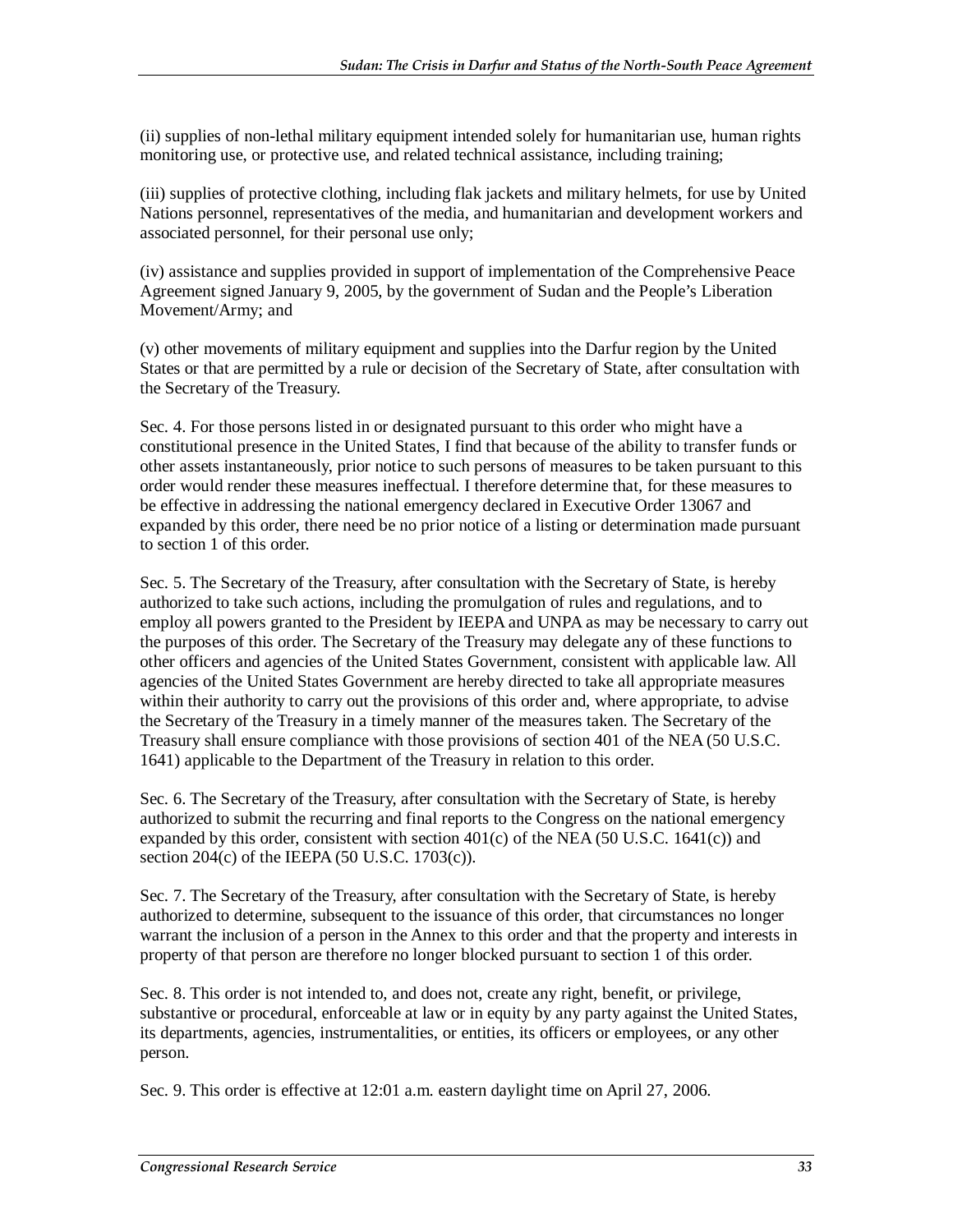(ii) supplies of non-lethal military equipment intended solely for humanitarian use, human rights monitoring use, or protective use, and related technical assistance, including training;

(iii) supplies of protective clothing, including flak jackets and military helmets, for use by United Nations personnel, representatives of the media, and humanitarian and development workers and associated personnel, for their personal use only;

(iv) assistance and supplies provided in support of implementation of the Comprehensive Peace Agreement signed January 9, 2005, by the government of Sudan and the People's Liberation Movement/Army; and

(v) other movements of military equipment and supplies into the Darfur region by the United States or that are permitted by a rule or decision of the Secretary of State, after consultation with the Secretary of the Treasury.

Sec. 4. For those persons listed in or designated pursuant to this order who might have a constitutional presence in the United States, I find that because of the ability to transfer funds or other assets instantaneously, prior notice to such persons of measures to be taken pursuant to this order would render these measures ineffectual. I therefore determine that, for these measures to be effective in addressing the national emergency declared in Executive Order 13067 and expanded by this order, there need be no prior notice of a listing or determination made pursuant to section 1 of this order.

Sec. 5. The Secretary of the Treasury, after consultation with the Secretary of State, is hereby authorized to take such actions, including the promulgation of rules and regulations, and to employ all powers granted to the President by IEEPA and UNPA as may be necessary to carry out the purposes of this order. The Secretary of the Treasury may delegate any of these functions to other officers and agencies of the United States Government, consistent with applicable law. All agencies of the United States Government are hereby directed to take all appropriate measures within their authority to carry out the provisions of this order and, where appropriate, to advise the Secretary of the Treasury in a timely manner of the measures taken. The Secretary of the Treasury shall ensure compliance with those provisions of section 401 of the NEA (50 U.S.C. 1641) applicable to the Department of the Treasury in relation to this order.

Sec. 6. The Secretary of the Treasury, after consultation with the Secretary of State, is hereby authorized to submit the recurring and final reports to the Congress on the national emergency expanded by this order, consistent with section  $401(c)$  of the NEA (50 U.S.C. 1641(c)) and section 204(c) of the IEEPA (50 U.S.C. 1703(c)).

Sec. 7. The Secretary of the Treasury, after consultation with the Secretary of State, is hereby authorized to determine, subsequent to the issuance of this order, that circumstances no longer warrant the inclusion of a person in the Annex to this order and that the property and interests in property of that person are therefore no longer blocked pursuant to section 1 of this order.

Sec. 8. This order is not intended to, and does not, create any right, benefit, or privilege, substantive or procedural, enforceable at law or in equity by any party against the United States, its departments, agencies, instrumentalities, or entities, its officers or employees, or any other person.

Sec. 9. This order is effective at 12:01 a.m. eastern daylight time on April 27, 2006.